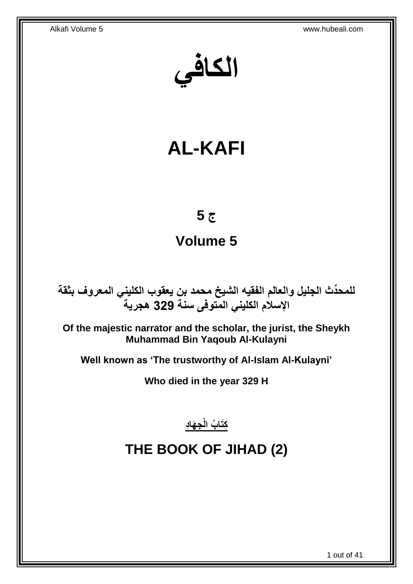**الكافي**

# **AL-KAFI**

# **ج 5**

# **Volume 5**

**دث الجليل والعالم الفقيه الشيخ محمد بن يعقوب الكليني المعروف بثقة للمح ِّ اإلسالم الكليني المتوفى سنة 329 هجرية**

**Of the majestic narrator and the scholar, the jurist, the Sheykh Muhammad Bin Yaqoub Al-Kulayni**

**Well known as 'The trustworthy of Al-Islam Al-Kulayni'**

**Who died in the year 329 H**

<u>ِكِتَابُ الْجِهَادِ</u>

# <span id="page-0-0"></span>**THE BOOK OF JIHAD (2)**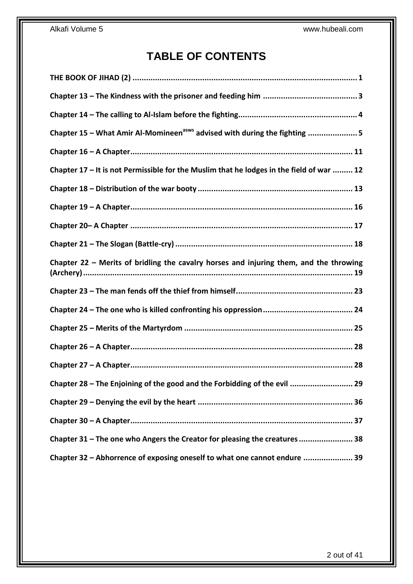# **TABLE OF CONTENTS**

| Chapter 15 - What Amir Al-Momineen <sup>asws</sup> advised with during the fighting 5    |
|------------------------------------------------------------------------------------------|
|                                                                                          |
| Chapter 17 - It is not Permissible for the Muslim that he lodges in the field of war  12 |
|                                                                                          |
|                                                                                          |
|                                                                                          |
|                                                                                          |
| Chapter 22 - Merits of bridling the cavalry horses and injuring them, and the throwing   |
|                                                                                          |
|                                                                                          |
|                                                                                          |
|                                                                                          |
|                                                                                          |
| Chapter 28 - The Enjoining of the good and the Forbidding of the evil  29                |
|                                                                                          |
|                                                                                          |
| Chapter 31 - The one who Angers the Creator for pleasing the creatures 38                |
| Chapter 32 - Abhorrence of exposing oneself to what one cannot endure  39                |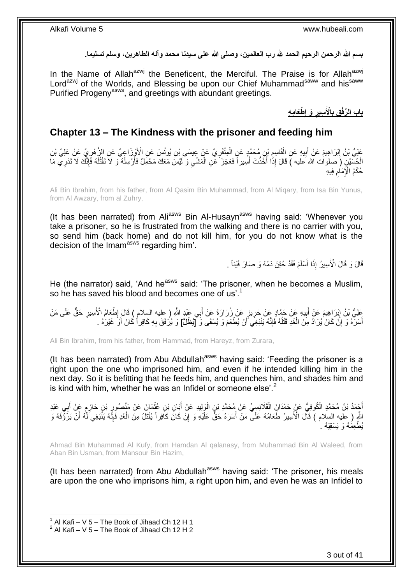**بسم هللا الرحمن الرحيم الحمد هلل رب العالمين، وصلى هللا على سيدنا محمد وآله الطاهرين، وسلم تسليما.**

In the Name of Allah<sup>azwj</sup> the Beneficent, the Merciful. The Praise is for Allah<sup>azwj</sup> Lord<sup>azwj</sup> of the Worlds, and Blessing be upon our Chief Muhammad<sup>saww</sup> and his<sup>saww</sup> Purified Progeny<sup>asws</sup>, and greetings with abundant greetings.

> **ْطَعا ِم ِه َو إ ِسير اْْلَ ِق ب باب ال ِّرفْ ِ ِ ِ**

## <span id="page-2-0"></span>**Chapter 13 – The Kindness with the prisoner and feeding him**

ِ عَلِيُّ بْنُ إِبْرَاهِيمَ عَنْ أَبِيهِ عَنِ الْقَاسِمِ بْنِ مُحَمَّدٍ عَنٍ الْمِنْقَرِيِّ عَنْ عِسِمَى بْنِ يُونُسَ عَنِ الْأَوْزَاعِيِّ عَنِ الزُّهْرِيِّ عَنْ عَلِيٍّ بْنِ ْ ِ ْ **!** ِ ِ الْجُسَيْنِ (َ صلوات الله عليه ) قَالَ إِذَا أَخَذْتَ أَسِيراً فَعَجَزَ عَنِ الْمَشْيِ وَ لَيْسَ مَعَكَ مَحْمِلٌ فَأَرْسِلْهُ وَ لَاَ تَقْتُلْهُ فَإِنَّكَ لَا تَدْرِي مَا ْ َ ِ ْ َ **ٔ** َ ْ ِ ا∣<br>ِ∘ِ ْ حُكْمُ الْإِمَامِ فِيهِ ِ

Ali Bin Ibrahim, from his father, from Al Qasim Bin Muhammad, from Al Miqary, from Isa Bin Yunus, from Al Awzary, from al Zuhry,

(It has been narrated) from Ali<sup>asws</sup> Bin Al-Husayn<sup>asws</sup> having said: 'Whenever you take a prisoner, so he is frustrated from the walking and there is no carrier with you, so send him (back home) and do not kill him, for you do not know what is the decision of the Imam<sup>asws</sup> regarding him'.

> قَالَ وَ قَالَ الْأَسِيرُ إِذَا أَسْلَمَ فَقَدْ حُقِنَ دَمُهُ وَ صَارَ فَيْئاً . َ

He (the narrator) said, 'And he<sup>asws</sup> said: 'The prisoner, when he becomes a Muslim, so he has saved his blood and becomes one of us'.<sup>1</sup>

َعْلِيُّ بْنُ إِبْرَاهِيمَ عَنْ أَبِيهِ عَنْ حَفَّادٍ عَنْ حَرِيزٍ عَنْ زُرَارَةَ عَنْ أَبِي عَنْدٍ اللَّهِ ( عِليه السلام ) قَالَ إِطْعَامُ الْأَسِيرِ حَقٌّ عَلَى مَنْ َ ِ ِ َ יִין<br>: ِ ِ ِ أَسَرَ ۖهُ وَ إِنَّ كَانَ يُرَادُ مِنَ الْغَدِ قَتْلُهُ فَإِنَّهُ يَنْبَغِيَ أَنْ يُطْعَمَ وَ يُسْقَى وَ [يُظْلَ] وَ يُرُفَقَ بِهِ كَافِراً كَانَ أَوْ غَيْرَهُ . َ ∣اٍ ٔ<br>ا ْ ِ َ َ

Ali Bin Ibrahim, from his father, from Hammad, from Hareyz, from Zurara,

(It has been narrated) from Abu Abdullah<sup>asws</sup> having said: 'Feeding the prisoner is a right upon the one who imprisoned him, and even if he intended killing him in the next day. So it is befitting that he feeds him, and quenches him, and shades him and is kind with him, whether he was an Infidel or someone else'. $<sup>2</sup>$ </sup>

أَجْمَدُ بْنُ مُحَمَّدٍ الْكُوفِيُّ عَنْ حَمْدَانَِ الْقَلَانِسِيِّ عَنْ مُحَمَّدِ بْنٍ الْوَلِيدِ عَنْ أَبَانِ بْنِ عُثْمَانَ عَنْ مَنْصُورٍ بْنِ حَازِمٍ عَنْ أَبِي عَبْدِ ْ َ ْ ْ **∶** َ ֧֩֘׆֧ ِ ِ اللَّهِ ( عليه السلام ) قَالَ الْأَسِيرُ طَعَامُهُ عَلَى مَنْ أَسَرَهُ حَقٌّ عَلَيْهِ وَ إِنْ كَانَّ كَافِراً يُقْتَلُ مِنَ الْغَدِ فَإِنَّهُ يَنْبَغِيَ لَهُ أَنْ يَرُؤُفَهُ وَ َ َ ِ ْ ِ يُطْعِمُهُ وَ يَسْقِيَهُ . ٰ

Ahmad Bin Muhammad Al Kufy, from Hamdan Al qalanasy, from Muhammad Bin Al Waleed, from Aban Bin Usman, from Mansour Bin Hazim,

(It has been narrated) from Abu Abdullah<sup>asws</sup> having said: 'The prisoner, his meals are upon the one who imprisons him, a right upon him, and even he was an Infidel to

 1 Al Kafi – V 5 – The Book of Jihaad Ch 12 H 1 2 Al Kafi – V 5 – The Book of Jihaad Ch 12 H 2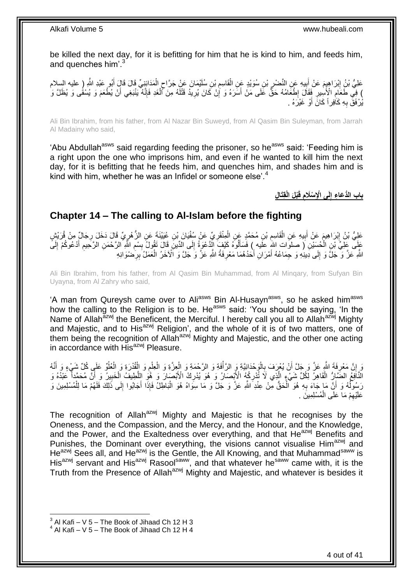be killed the next day, for it is befitting for him that he is kind to him, and feeds him, and quenches him'.<sup>3</sup>

عَلِيُّ بْنُِ إِبْرَاهِيِمَ عَنْ أَبِيهِ عَنِ النَّصْرِ بْنِ سُوَيْدٍ عَنِ الْقَاسِمِ بْنِ سُلَيْمَانَ عَنْ جَرَّاحِ الْمَدَانِنِيِّ قَالَ قَالٍ أَبُو عَبْدِ اللَّهِ (ِ عليه السلام ْ ٍ ِ ْ نِ سُوَيْدٍ عَنِ الْمَ Į. **∣** ِ َ ) فِي طَعَامِ الْإِنْسِرِ فَقَالَ إِطْعَامُهُ حَقٌّ عَلَى مَنْ أَسَرَهُ وَ إِنْ كَانَ يُرِيدُ قَتْلَهُ مِنَ أَلْغَدِ فَإِنَّهُ يَنْبَغِي أَنْ يُطْعَمَ وَ يُسْقُى وَ يُظَلَّ وَ ِ َ ِ ِ ِ َ ا∣<br>ِ∘ ْ لَ ِ يُرْفَقَ بِهِ كَأْفِراً كَانَ أَوْ غَيْرَهُ . َ **∶** 

Ali Bin Ibrahim, from his father, from Al Nazar Bin Suweyd, from Al Qasim Bin Suleyman, from Jarrah Al Madainy who said,

'Abu Abdullah<sup>asws</sup> said regarding feeding the prisoner, so he<sup>asws</sup> said: 'Feeding him is a right upon the one who imprisons him, and even if he wanted to kill him the next day, for it is befitting that he feeds him, and quenches him, and shades him and is kind with him, whether he was an Infidel or someone else<sup>'.4</sup>

> **ِقَتا ِل ْبلَ الْ قَ لَى اْإلِ ْسَالم باب الُّد َعا ِء إ ِ ِ**

### <span id="page-3-0"></span>**Chapter 14 – The calling to Al-Islam before the fighting**

عَلِيُّ بْنُ إِبْرَاهِيمَ عَنْ أَبِيهِ عَنِ الْقَاسِمِ بْنِ مُحَمَّدٍ عَنِ الْمِنْقَرِيِّ عَنْ سُفْيَانَ بْنِ عُيَيْنَةَ عَنِ الزُّهْرِيِّ قَالَ دَخَلَ رِجَالٌ مِنْ قُرَيْشٍ ِ ْ ِ ْ ِ َ <u>֖֓</u> **∤** ِ عَلِّي فِلْيَ بِّنِ الْحُسَيْنِ ( صلوات اللَّهِ علَيه ) فَسَأَلُوهُ كَيْفٍ لِلْأَعْوَةُ إِلَى الدِّينِ قَالَ تَقُولُ بِسْمِ اللَّهِ الرَّحْمَنِ الرَّحِيمِ أَدْعُوكُمْ إِلَيَّ ِ ِ ∣∣<br>∶ َ ֺ֦֖֦֖֖֖֖֧֧֧֚֚֝֟֟֓֝֬֝֝֝֬֝֓֟֓֟֓֝֬֝֓֝֓֟֓֟֓֬֝֓֓֞֟֓֡֓֬֓֝֓֞֟֓֝֬֝֓֞֝֬֝֓֞֝֓֞֝֬֝֓֝֬֝֓֞֝֬֝֓֞ لَ ِ َ ِ اللَّهِ عَنَّ وَ جَلَّ وَ إِلَى دِينِهِ وَ حِمَاعُهُ أَمْرَانِ أَحَدُهُمَا مَعْرِفَةُ اللَّهِ عَنَّ وَ جَلَّ وَ الْآخَرُ الْعَمَلُ بِرِخْمْوَانِهِ َ ِ **∶** ْ **∶** َ

Ali Bin Ibrahim, from his father, from Al Qasim Bin Muhammad, from Al Minqary, from Sufyan Bin Uyayna, from Al Zahry who said,

'A man from Qureysh came over to Ali<sup>asws</sup> Bin Al-Husayn<sup>asws</sup>, so he asked him<sup>asws</sup> how the calling to the Religion is to be. He<sup>asws</sup> said: 'You should be saying, 'In the Name of Allah<sup>azwj</sup> the Beneficent, the Merciful. I hereby call you all to Allah<sup>azwj</sup> Mighty and Majestic, and to His<sup>azwj</sup> Religion', and the whole of it is of two matters, one of them being the recognition of Allah<sup>azwj</sup> Mighty and Majestic, and the other one acting in accordance with His<sup>azwj</sup> Pleasure.

وَ إِنَّ مَعْرِفَةَ اللَّهِ عَنَّ وَ جَلَّ أَنْ يُعْرَفَ بِالْوَحْدَانِيَّةِ وَ الرَّأْفَةِ وَ الرَّحْمَةِ وَ الْعِلْمِ وَ الْغُلُوَّ عَلَى كُلِّ شَيْءٍ وَ أَنَّهُ ْ **ٔ** ْ ِ اُ ِ ِ ُ ْ ْ م<br>با ْ َ الْثَّافِعُ الضَّاِرُّ الْقَاهِرُ لِّكُلِّ شَيْءٍ الَّذِي لَا تُّدْرِكُهُ الْأَبْصَارُ وَ ۖ هُوَ يُدْرِكُ الْأَبْصَارَ وَ هُوَ الِلَّطِيفُ الْخَبِيرُ وَ أَنَّ مُحَمَّداً ۖ عَبْدُهُ وَ ْ َ ِ ْ َّ ِ ِ رَسُولُهُ وَ أَنَّ مَا جَاءَ بِهِ هُوَ ٱلْحَقُّ مِنْ عِنْدِ اللَّهِ عَزَّ وَ جَلَّ وَ مَا سِوَاهُ هُوَ الْبَاطِلُ فَإِذَا أَجَابُوا إِلَى ذَلِكَ فَلَهُمْ مَا لِلْمُسْلِمِينَ وَ َ ْ ْ **∶** ُ ِ ْ عَلَيْهِمْ مَا عَلَى الْمُسْلِمِينَ . ْ ِ

The recognition of Allah<sup>azwj</sup> Mighty and Majestic is that he recognises by the Oneness, and the Compassion, and the Mercy, and the Honour, and the Knowledge, and the Power, and the Exaltedness over everything, and that He<sup>azwj</sup> Benefits and Punishes, the Dominant over everything, the visions cannot visualise Him<sup>azwj</sup> and He<sup>azwj</sup> Sees all, and He<sup>azwj</sup> is the Gentle, the All Knowing, and that Muhammad<sup>saww</sup> is His<sup>azwj</sup> servant and His<sup>azwj</sup> Rasool<sup>saww</sup>, and that whatever he<sup>saww</sup> came with, it is the Truth from the Presence of Allah<sup>azwj</sup> Mighty and Majestic, and whatever is besides it

 $^3$  Al Kafi – V 5 – The Book of Jihaad Ch 12 H 3

 $4$  Al Kafi – V 5 – The Book of Jihaad Ch 12 H 4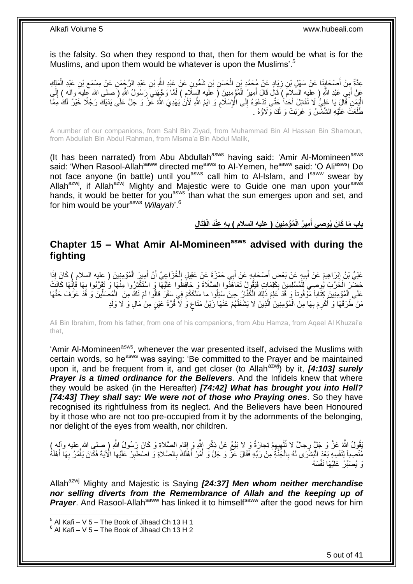is the falsity. So when they respond to that, then for them would be what is for the Muslims, and upon them would be whatever is upon the Muslims'.<sup>5</sup>

عِدَّةٌ مِنْ أَصْحَابِنَا عَنْ سَهْلِ بْنِ زِيَادٍ عَنْ مُحَمَّدِ بْنِ الْحَسَنِ بْنِ شَمُّونٍ عَنْ عَبْدِ اللَّهِ بْنِ عَبْدِ الْمَزَاءِ مَنْ عَبْدِ الْمَلِكِ ْ **∶ ∣** َ ْ ِ عَنْ أَبِيّ عَبْدِ اللَّهِ ( عِلْيِهِ السَلاِمَ ) قَالَ قَالَ أَمِيرُ الْمُؤْمِنِينَ ( عَلَيه السِّلَامِ ) لَمَّا وَجَّهَنِيَّ رَسُولُ اللَّهِ ( صلّى الله عليه والله ) إِلَي لَ ِ ْ َ الْيَمَنِ َقَالَ يَا عَلِيُّ لَا تُقَاتِلُ أَحَداً حَتَّى تَدْعُوهُ إِلَى الْإِسْلَامِ وَ ايْمُ اللَّهِ لَأَنْ<br>كَثِيَرَ قَالَ يَا عَلِيُّ إِلا تُقَاتِل أَحَداً حَتَّى يَدْفُوهُ إِلَى الْإِسْلَامِ وَ ايْمُ اللَّهِ لَأَنْ ي ِ ِ َ ا<br>ا طَلَعَتْ عَلَيْهِ الشَّمْسُ وَ غَرَبَتْ وَ لَكَ وَلَاؤُهُ .

A number of our companions, from Sahl Bin Ziyad, from Muhammad Bin Al Hassan Bin Shamoun, from Abdullah Bin Abdul Rahman, from Misma'a Bin Abdul Malik,

(It has been narrated) from Abu Abdullah<sup>asws</sup> having said: 'Amir Al-Momineen<sup>asws</sup> said: 'When Rasool-Allah<sup>saww</sup> directed me<sup>asws</sup> to Al-Yemen, he<sup>saww</sup> said: 'O Ali<sup>asws</sup>! Do not face anyone (in battle) until you<sup>asws</sup> call him to Al-Islam, and l<sup>saww</sup> swear by Allah<sup>azwj</sup>, if Allah<sup>azwj</sup> Mighty and Majestic were to Guide one man upon your<sup>asws</sup> hands, it would be better for you<sup>asws</sup> than what the sun emerges upon and set, and for him would be your<sup>asws</sup> Wilayah'.<sup>6</sup>

> باب مَا كَانَ يُوصِى أَمِيرُ الْمُؤْمِنِينَ ( عليه السلام ) بِهِ عِنْدَ الْقِتَالِ **ِ َ**

## <span id="page-4-0"></span>**Chapter 15 – What Amir Al-Momineenasws advised with during the fighting**

عَلِيُّ بْنُ إِبْرَاهِيمَ عَنْ أَبِيهٍ عَنْ بَعْضٍ أَصْحَابِهِ عَنْ أَبِي حَمْزَةٍ عَنْ عَقِيلٍ إِلْخُزَاعِيِّ أَنَّ أَمِيزَ الْمُؤْمِنِينَ ( عِليه السلام ) كَانَ إِذَا َ .<br>و َ **!** َ ِ ْ َ َ حَضَّنَ الْخَرْبَ يُوصِّيَ لِلْمُسْلِمِينَ بِكَلِّمَاتٍ فَيَقُولُ تَعَاهَدُوا الصَّلَاةَ وَ حَافِظُوا عَلَيْهَا وَ اسْتَكْثِرُوا مِنْهَا وَ تَقَرَّبُوا بِهَا فُإِنَّهَا كَانَتْ ِ ْ ْ ِ ِ عَلَى الْمُؤْمِنِينَ كِتَاباً مَّوْقُوتاً وَ قَدْ عَلِمَ ذَلِكَ الْكُفَّارُ حِينَ سُئِلُوا ما سَلَكَكُمْ فِي سَقَرَ قالُوا لَمْ نَكُ مِنَ ۖ الْمُصَلِّينَ وَ قَدْ عَرَفَ حَقَّهَا ْ ْ ِّ مَنْ طَرَقَهَا وَ أَكْرِمَ بِهَا مِنَ الْمُؤْمِنِينَ الَّذِينَ لَا يَشْغَلُهُمْ عَنْهَا زَيْنُ مَثَاعٍ وَ لَا قُرَّةُ عَيْنٍ مِنْ مَالٍ وَ لَا وَلَدٍ ان<br>ا َّ ْ **∶** ا<br>ا ;<br>;

Ali Bin Ibrahim, from his father, from one of his companions, from Abu Hamza, from Aqeel Al Khuzai'e that,

'Amir Al-Momineen<sup>asws</sup>, whenever the war presented itself, advised the Muslims with certain words, so he<sup>asws</sup> was saying: 'Be committed to the Prayer and be maintained upon it, and be frequent from it, and get closer (to Allah<sup>azwj</sup>) by it, *[4:103] surely* **Prayer is a timed ordinance for the Believers**. And the Infidels knew that where they would be asked (in the Hereafter) *[74:42] What has brought you into Hell? [74:43] They shall say: We were not of those who Praying ones*. So they have recognised its rightfulness from its neglect. And the Believers have been Honoured by it those who are not too pre-occupied from it by the adornments of the belonging, nor delight of the eyes from wealth, nor children.

ْ قُولُ اللَّهُ عَنَّ وَ جَلَّ رِجالٌ لا تُأْهِيِهِمْ تِجارَةٌ وَ لا بَيْعٌ عَنْ ذِكْرِ اللَّهِ وَ إِقامِ الصَّلاةِ وَ كَانَ رَسُولُ اللَّهِ (صلى الله عليه وآله )<br>. ِ ِ **∶** ِ ِ ْ مُنْصِباً لِنَفْسِهِ بَعْدَ الْبُشْرَى لَهُ بِالْجَنَّةِ مِنْ رَبِّهِ فَقَالَ عَزَّ وَ جَلَّ وَ أُمُرْ أَهْلَكَ بِالصَّلاةِ وَ اصْطَبِرْ عَلَيْها الْآيَةَ فَكَانَ يَأْمُرُ بِهَا أَهْلَهُ ِ َ **ٔ** ْ **∶** ْ َ ِ ْ ِ وَ يُصَبِّرُ عَلَيْهَا نَفْسَهُ

Allah<sup>azwj</sup> Mighty and Majestic is Saying *[24:37] Men whom neither merchandise nor selling diverts from the Remembrance of Allah and the keeping up of*  **Prayer**. And Rasool-Allah<sup>saww</sup> has linked it to himself<sup>saww</sup> after the good news for him

 $<sup>5</sup>$  Al Kafi – V 5 – The Book of Jihaad Ch 13 H 1</sup>  $^6$  Al Kafi – V 5 – The Book of Jihaad Ch 13 H 2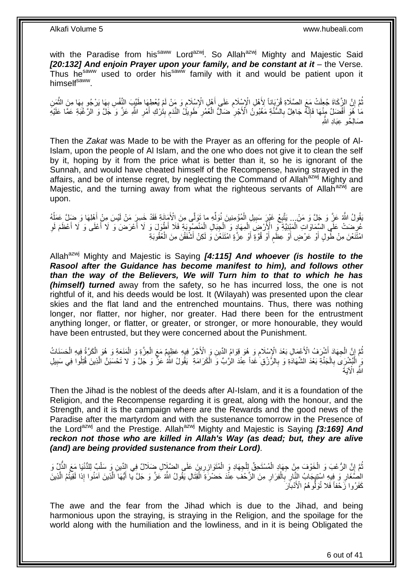with the Paradise from his<sup>saww</sup> Lord<sup>azwj</sup>. So Allah<sup>azwj</sup> Mighty and Majestic Said *[20:132] And enjoin Prayer upon your family, and be constant at it* – the Verse. Thus he<sup>saww</sup> used to order his<sup>saww</sup> family with it and would be patient upon it himself<sup>saww</sup>.

تُّمَّ إِنَّ الزَّكَاةَ جُعِلَتْ مَعَ الصَّلَاةِ قُرْبَاناً لِأَهْلِ الْإِسْلَامِ عَلَى أَهْلِ الْإِسْلَامِ وَ<br>إِنَّ الزَّكَاةَ جُعِلَتْ مَعَ الصَّلَاةِ قُرْبَاناً لِأَهْلِ الْإِسْلَامِ عَلَى أَهْلِ الْإِسْلَامِ وَ مَنْ ل ِ َ ِ י<br>; ُ َّ ِ ِ مَا ٰ هُوَ أَفْضَلُ مِنْهَا فَإِنَّهُ جَاهِلٌ بِالسُّنَّةِ مَغْبُونُ الْأَجْرِ ٰ ضَالٌ الْعُمُرِ ۖ طَوِيلُ النَّدَم بِتُرْكِ أَمْرِ اللَّهِ عَنَّ وَ الرَّغْيَةِ عَمَّا عَلَيْهِ **∶** ِ ِ َ  $\frac{1}{2}$ ِ ِ **∶** ْ **∶** صَالِّحُهِ عَبَادِ اللَّه

Then the *Zakat* was Made to be with the Prayer as an offering for the people of Al-Islam, upon the people of Al Islam, and the one who does not give it to clean the self by it, hoping by it from the price what is better than it, so he is ignorant of the Sunnah, and would have cheated himself of the Recompense, having strayed in the affairs, and be of intense regret, by neglecting the Command of Allah<sup>azwj</sup> Mighty and Majestic, and the turning away from what the righteous servants of Allah<sup>azwj</sup> are upon.

َقُولُ اللَّهُ عَنَّ وَ جَلَّ وَ مَنْ... يَتَّبِعْ غَيْرٍ سَبِيلِ الْمُؤْمِنِينَ نُوَلِّهِ ما تَوَلَّى مِنَ الْأَمَانَةِ فَقَدْ خَسِرٍ مَنْ لَيْسَ مِنْ أَهْلِهَا وَ ضَلِّ عَمَلُهُ ِّ ْ ِ ِ ُ َ عُرِّضَتْ عَلَى السَّمَاوَاتِ الْمَبْنِيَّةِ ۖ وَ الْإِلَّاضِ الْمِهَادِ وَ الْجِبَالِ الْمَنْصُوبَةِ فَلَا أَطْوَلَ وَ لَا أَعْرَضَ وَ لَا أَعْلَى وَ لَا أَعْظَمَ لَوِ ْ ْ ْ ِ ِ َ َ َ ْ امْتَنَعْنَ مِنْ طُولٍ أَوْ عَرْضٍ أَوْ عِظَمِ أَوْ قُوَّةٍ أَوْ عِزَّةٍ اَمْتَنَعْنَ وَ لَكِنْ أَشْفَقْنَ مِنَ الْعُقُوبَةِ ْ َ َ اُ ٍ اُ َ

Allah<sup>azwj</sup> Mighty and Majestic is Saying **[4:115] And whoever (is hostile to the** *Rasool after the Guidance has become manifest to him), and follows other than the way of the Believers, We will Turn him to that to which he has (himself) turned* away from the safety, so he has incurred loss, the one is not rightful of it, and his deeds would be lost. It (Wilayah) was presented upon the clear skies and the flat land and the entrenched mountains. Thus, there was nothing longer, nor flatter, nor higher, nor greater. Had there been for the entrustment anything longer, or flatter, or greater, or stronger, or more honourable, they would have been entrusted, but they were concerned about the Punishment.

ُّمَّ إِنَّ الْجِهَادَ أَشْرَفُ الْأَعْمَالِ بَعْدَ الْإِسْلَامِ وَ هُوَ قِوَامُ الدِّينِ وَ الْأَجْرُ فِيهِ عَظِيمٌ مَعَ الْعِزَّةِ وَ الْمَنَعَةِ وَ هُوَ الْمَرْأَةُ فِيهِ الْحَسَنَات<br>إِنَّ الْجِهَادَ أَشْرَتَهُ مِنْ ال **∶** َ ْ ِ ْ ْ ْ ْ مَ الْبُشْرِيَ بِالْجَذَّةِ بَعْدَ الشَّهَادَةِ وَ بِالرَّزْقِ غَداً عِنْدَ الرَّبِّ وَ الْكَرَامَةِ ۚ يَقُولُ اللَّهُ عَزَّ وَ جَلَّ وَ لا تَحْسَبَنَّ الَّذِينَ قُتِلُوا فِي سَبِيلِ ْ ِ ْ **∶** ْ ِ َّ اللَّهِ الْآيَةَ

Then the Jihad is the noblest of the deeds after Al-Islam, and it is a foundation of the Religion, and the Recompense regarding it is great, along with the honour, and the Strength, and it is the campaign where are the Rewards and the good news of the Paradise after the martyrdom and with the sustenance tomorrow in the Presence of the Lord<sup>azwj</sup> and the Prestige. Allah<sup>azwj</sup> Mighty and Majestic is Saving **[3:169] And** *reckon not those who are killed in Allah's Way (as dead; but, they are alive (and) are being provided sustenance from their Lord)*.

ثُمَّ إِنَّ الرُّعْبَ وَ الْخَوْفَ مِنْ جِهَادِ الْمُسْتَحِقِّ لِلْجِهَادِ وَ الْمُتَوَازِرِينَ عَلَى الضَّلَالِ ضَلَالٌ فِي الدِّينِ وَ سَلْبٌ لِلدُّنْيَا مَعَ الذُّلِّ وَ<br>وَيَسْتَمَرُّ وَيَسْتَمَرُّ مِنْ الْجَوْفَ مِنْ ِ ْ ْ ْ ْ ِ ْ الصَّغَارِ وَ فِيهِ اسْتِيجَابُ النَّارِ بِالْفِرَارِ مِنَ الزَّحْفَ عِنْدَ حَضْرَةَ الْقِتَالِ يَقُولُ اللَّهُ عَزَّ وَ جَلَّ يَا أَيُّهَا الَّذِينَ آمَنُوا إِذا لَقِيتُمُ الَّذِينَ **∶** ْ **∶ ∶** ِ َّ َّ َ ْ كَفَرُوا زَّحْفاً فَلا تُوَلُّوهُمُ الْأَدْبَارَ

The awe and the fear from the Jihad which is due to the Jihad, and being harmonious upon the straying, is straying in the Religion, and the spoilage for the world along with the humiliation and the lowliness, and in it is being Obligated the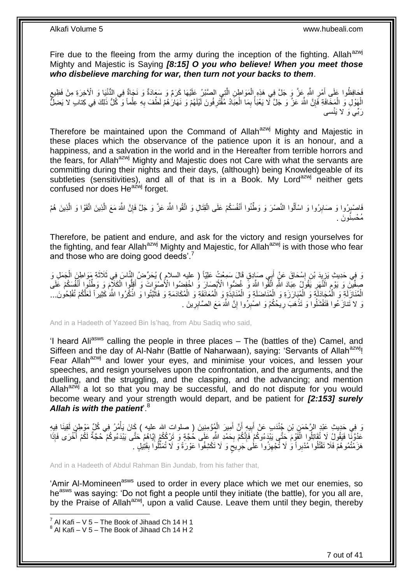Fire due to the fleeing from the army during the inception of the fighting. Allah $a$ <sup>azwj</sup> Mighty and Majestic is Saying *[8:15] O you who believe! When you meet those who disbelieve marching for war, then turn not your backs to them*.

فَحَافِظُوا عَلَى أَمْرِ اللَّهِ عَزَّ وَ جَلَّ فِي هَذِهِ الْمَوَاطِنِ الْذِي الصَّبْرُ عَلَيْهَا كَرَمٌ وَ سَعَادَةٌ وَ نَجَاةٌ فِي الدُّنْيَا وَ الْآخِرَةِ مِنْ فَظِيعِ<br>فَحَافِظُوا عَلَى أَمْرِ اللَّهِ عَزَّ وَ جَلَّ ف َّ ْ ِ َ ۶<br>پا الْهَوْلِ وَ الْمَخَّافَةِ فَإِنَّ اللَّهَ عَزَّ وَ جَلَّ لَا يَعْبَأُ بِمَا الْعِبَادُ مُقّْتَرِفُونَ لَيْلَهُمْ وَ نَهَارَكُمْ لَطُفَ بِهِ عِلْماً وَ كُلُّ ذَلِكَ فِي كِنابِ لا يَضِلُّ ْ ِ المُحَمَّد المُحَمَّد المُحَمَّد المُحَمَّد المُحَمَّد المُحَمَّد المُحَمَّد المُحَمَّد المُحَمَّد المُحَمَّد ِ ْ ْ ِ ِ َرِّبي َو َل َينْسى

Therefore be maintained upon the Command of Allah<sup>azwj</sup> Mighty and Majestic in these places which the observance of the patience upon it is an honour, and a happiness, and a salvation in the world and in the Hereafter from terrible horrors and the fears, for Allah<sup>azwj</sup> Mighty and Majestic does not Care with what the servants are committing during their nights and their days, (although) being Knowledgeable of its subtleties (sensitivities), and all of that is in a Book. My Lord<sup>azwj</sup> neither gets confused nor does He<sup>azwj</sup> forget.

فَاصْبِرُوا وَ صَابِرُوا وَ اسْأَلُوا النَّصْرَ وَ وَطَّنُوا أَنْفُسَكُمْ عَلَى الْقِتَالِ وَ اتَّقُوا اللَّهَ عَزَّ وَ جَلَّ فَإِنَّ اللَّهَ مَعَ الَّذِينَ اتَّقَوْا وَ الَّذِينَ هُمْ ْ َ َ ِ ِ َّ َّ ِ ُم ْح ِسنُو َن .

Therefore, be patient and endure, and ask for the victory and resign yourselves for the fighting, and fear Allah<sup>azwj</sup> Mighty and Majestic, for Allah<sup>azwj</sup> is with those who fear and those who are doing good deeds'.<sup>7</sup>

وَ فِي حَدِيثِ يَزِيِدَ بْنِ إِسْحَاقَ عَنٍْ أَبِي صَادِقٍ قَالَ سَمِعْتُ عَلِيّاً ( عليه السلام ) يُحَرِّضُ النَّاسَ فِي ثَلَاثَةِ مَوَاطِنَ الْجَمَلِ وَ َ ِ ¦ ْ َ َ صِفَّيْنَِ وَ يَوْمٍ اَلَّنَّهَرِ يََقُولُ عِبَادَ اللَّهِ اتَّقُوا اللَّهَ وَّ غُضُّوا الْأَسْمِعَانَ وَ اخْفِضُوا الْأَصْنُواتَ وَ أَقِلُّوا الْكَلَاَّمَ وَ وَطَّنُوا أَنْفُسَكُمْ عَلَى ِ **ُ** َ ْ الْمُنَازَلَةِ وَ الْمُجَادَلَةِ وَ الْمُبَارَزَةِ وَ الْمُنَاضَلَةِ وَ الْمُنَابَذَةِ وَ الْمُعَانَقَةِ وَ الْمُكَادَمَةِ وَ فَاتْبُتُوا وَ اذْكُرُوا اللَّهَ كَثِيراً لَعَلَّكُمْ تُفْلِحُونَ... ا<br>ا ْ **ٔ** ة<br>. ْ ْ ْ ْ ْ لَ نَ لا تَنازَعُوا فَتَفْشَلُوا وَ تَذْهَبَ رِيحُكُمْ وَ اصْبِرُوا إِنَّ اللَّهَ مَعَ الصَّابِرِينَ . ِ ِ ِ **ٔ** ِ

And in a Hadeeth of Yazeed Bin Is'haq, from Abu Sadiq who said,

'I heard Ali<sup>asws</sup> calling the people in three places - The (battles of the) Camel, and Siffeen and the day of Al-Nahr (Battle of Naharwaan), saying: 'Servants of Allah<sup>azwj</sup>! Fear Allah<sup>azwj</sup> and lower your eyes, and minimise your voices, and lessen your speeches, and resign yourselves upon the confrontation, and the arguments, and the duelling, and the struggling, and the clasping, and the advancing; and mention Allah $a^{2x\bar{w}j}$  a lot so that you may be successful, and do not dispute for you would become weary and your strength would depart, and be patient for *[2:153] surely Allah is with the patient*'.<sup>8</sup>

يَ فِي جَدِيثِ عَبْدِ الرَّحْمَنِ بْنِ جُنْدَبِ عَنْ أَبِيهِ أَنَّ أَمِيرَ الْمُؤْمِنِينَ ( صلوات الله عليه ) كَانَ يَأْمُرُ فِي كُلِّ مَوْطِنٍ لَقِينَا فِيهِ<br>وَ فِي حَدِيثِ عَبْدِ الرَّحْمَنِ بْنِ جُنْدَبِ عَنْ أَبِيهِ أَ ْ ْ َ **!** َ عَدُوَّنًا فَيَقُولُ لَا تُقَاتِلُوا الْقَوْمَ حَتَّى يَبْدَءُوكُمْ فَإِنَّكُمْ بِحَمْدِ اللَّهِ عَلَى خُجَّةٍ وَ تَرْكُكُمْ إِيَّاهُمْ حَتَّى يَبْدَءُوكُمْ حُجَّةٌ لَكُمْ أُخْرَى فَإِذَا **∶** ∣اٍ<br>∶ ْ ُ ِ هَزَمْتُمُوهُمْ فَلَا تَقْتُلُوا مُدْبِراً وَ لَا تُجْهِزُوا عَلَٰىَ جَرِيعٍَ وَ لَا تَكْشِفُوا عَوْرَةً وَ لَا تُمَثَّلُوا بِقَتِيلٍ . ِ ِّ ٍ ِ ِ

And in a Hadeeth of Abdul Rahman Bin Jundab, from his father that,

'Amir Al-Momineen<sup>asws</sup> used to order in every place which we met our enemies, so he<sup>asws</sup> was saying: 'Do not fight a people until they initiate (the battle), for you all are, by the Praise of Allah<sup>azwj</sup>, upon a valid Cause. Leave them until they begin, thereby

 7 Al Kafi – V 5 – The Book of Jihaad Ch 14 H 1

 $^8$  Al Kafi – V 5 – The Book of Jihaad Ch 14 H 2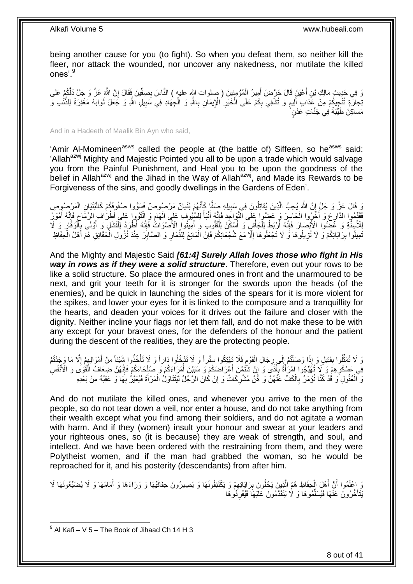being another cause for you (to fight). So when you defeat them, so neither kill the fleer, nor attack the wounded, nor uncover any nakedness, nor mutilate the killed ones'.<sup>9</sup>

نَّا فِي جَدِيثِ مَالِكِ بْنِ أَعْيَنَِ قَالَ حَرَّضَ أَمِيرُ الْمُؤْمِنِينَ ( صلوات الله عليه ) النَّاسَ بِصِفِّينَ فَقَالَ إِنَّ اللَّهِ عَزَّ وَ جَلَّ دَلَّكُمْ عَلَى ِ ِ ْ َ َ َنِّجارَةٍ تُنْجِيِكُمْ مِنْ عَذابٍ أَلِيمٍ وَ تُشْفِي بِكُمْ عَلَى الْخَيْرِ الْإِيمَانِ بِاللَّهِ وَ الْجِهَادِ فِي سَبِيلِ اللَّهِ وَ جَعَلَ ثَوَابَهُ مَغْفِرَةً لِلنَّنْٰبِ وَ **∶** ِ ْ ِ ֧֧֧֧֧֧֧֧֓֝֓֝֓֝֓֝֬֟֓֟֓֓֓֟֓֓֟֓֓<del>֛</del> َ َ ِ ْ مَساكِنَ طَيِّبَةً فِي جَنَّاتِ عَدْنٍ

And in a Hadeeth of Maalik Bin Ayn who said,

'Amir Al-Momineen<sup>asws</sup> called the people at (the battle of) Siffeen, so he<sup>asws</sup> said: 'Allah<sup>azwj</sup> Mighty and Majestic Pointed you all to be upon a trade which would salvage you from the Painful Punishment, and Heal you to be upon the goodness of the belief in Allah<sup>azwj</sup> and the Jihad in the Way of Allah<sup>azwj</sup>, and Made its Rewards to be Forgiveness of the sins, and goodly dwellings in the Gardens of Eden'.

ِ قَالَ عَزَّ وَ جَلَّ إِنَّ اللَّهَ يُحِبُّ الَّذِينَ يُقاتِلُونَ فِي سَبِيلِهِ صَفًّا كَأَنَّهُمْ بُنْيانٌ مَرْصُوصٌ فَسَوُّوا صُفُوفَكُمْ كَالْبُنْيَانِ الْمَرْصُوصِ َ **1 !** َّ ِ ْ ْ فَقَدِّمُوا الذَّارِعَ وَ أَخَّرُوا الْحَاسِرَ وَ عَضُوا عَلَى الَّذِّوَاجَدِ فَإِنَّهُ أَنْبَأُ لِلسُّيُوفَ عَلَى الْهَامِ وَ الْثَوُوا عَلَى أَطْرَاه ِ الزِّمَاحِ فَإِنَّهُ أَمْوَرُ  $\frac{1}{2}$ ْ َ ِ َ  $\frac{1}{2}$ ِ ْ ِ ْ ا<br>ا لِلْأَسِنَّةِ وَ غَضْوًا اِلْأَبْصَارَ فَإِنَّهُ أَرْبَطُ لِلْجَأْشِ وَ أَسْكَنُ لِلْقُلُوبِ وَ أَهْلَيْوا الْأَصْوَاتُ فَإِنَّهُ أَطْرَدُ لِلْفَشَلٖ وَ أَوْلَى بِأَلْوَقَارٍ وَ لَا ا∣<br>ِ∘ِ َ ْ َ ْ ْ َ ِ ِ َ ْ ِ ْ نَمِيلُوا بِرَايَاتِكُمْ وَ لَا تُزِيلُوهَا وَ لَا تَجْعَلُوهَا إِلَّا مَعَ شُجْعَانِكُمْ فَإِنَّ الْمَانِعَ لِلذِّمَارِ وَ الصَّابِرَ عِنْدَ نُزُولِ الْحَقَائِقِ هُمَّ أَهْلُ الْحِفَاظِ ِ ْ ِ ِ ِ **ِ** ْ َ ْ ِ

And the Mighty and Majestic Said *[61:4] Surely Allah loves those who fight in His way in rows as if they were a solid structure*. Therefore, even out your rows to be like a solid structure. So place the armoured ones in front and the unarmoured to be next, and grit your teeth for it is stronger for the swords upon the heads (of the enemies), and be quick in launching the sides of the spears for it is more violent for the spikes, and lower your eyes for it is linked to the composure and a tranquillity for the hearts, and deaden your voices for it drives out the failure and closer with the dignity. Neither incline your flags nor let them fall, and do not make these to be with any except for your bravest ones, for the defenders of the honour and the patient during the descent of the realities, they are the protecting people.

وَ لَا تُمَثِّلُوا بِقَتِيلٍ وَ إِذَا وَصَلْتُمْ إِلَى رِجَالِ الْقَوْمِ فَلَا تَهْتِكُوا سِتْراً وَ لَا تَدْخُلُوا دَاراً وَ لَا تَذْخُذُوا شَيْئِاً مِنْ أَمْوَالِهِمْ إِلَّا مَا وَجَدْتُمْ ِ ْ ِ ِ ْ **∣**  $\ddot{\phantom{a}}$ ِ ِ َ ْ فِي عَسْكَرِ هِمْ وَ لَا تُهَيِّجُوا إِمْرَأَةً بِأَذْيَ وَ إِنْ شَتُمْنَ أَعْرَاضَكُمْ وَ سَبَيْنَ أُمَرَاءَكُمْ وَ صَلِكَاءَكُمْ فَإِنَّهُنَّ ضِعَافٌ الْقُوَى وَ الْأَنْفُسِ ِ َ ِ َ ِ ْ ∣اٍ ُ َ وَ ٱلْعُقُولِ َو قُدْ كُنَّا نُؤْمَرُ بِالْكَفِّ عَنْهُنَّ وَ هُنَّ مُشْرِكَاتٌ وَ إِنْ كَانَ الرَّجُلُ لَيَتَنَاوَلُ الْمَرْأَةَ فَيُعَيَّرُ بِهَا وَ عَقِبُهُ مِنْ بَعْدِهِ ْ ِ **∶** ْ ِ **∶** َ

And do not mutilate the killed ones, and whenever you arrive to the men of the people, so do not tear down a veil, nor enter a house, and do not take anything from their wealth except what you find among their soldiers, and do not agitate a woman with harm. And if they (women) insult your honour and swear at your leaders and your righteous ones, so (it is because) they are weak of strength, and soul, and intellect. And we have been ordered with the restraining from them, and they were Polytheist women, and if the man had grabbed the woman, so he would be reproached for it, and his posterity (descendants) from after him.

وَ اِعْلَمُوا أَنَّ أَهْلَ الْحِفَاظِ هُمُ الَّذِينَ يَحُفُّونَ بِرَايَاتِهِمْ وَ يَكْتَنِفُونَهَا وَ يَصِيرُونَ حِفَافَيْهَا وَ وَرَاءَهَا وَ لَا يُضَيِّعُونَهَا لَا ِ **!** َّ ْ َ َ َ يَتَأَخَّرُونَ عَنْهَا فَيُسَلِّمُوهَا وَ لَا يَتَقَدَّمُونَ عَلَيْهَا فَيُفْرِدُوهَا ِّ َ ِ

 9 Al Kafi – V 5 – The Book of Jihaad Ch 14 H 3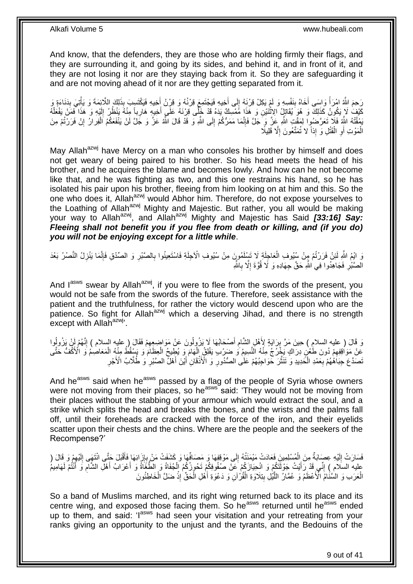And know, that the defenders, they are those who are holding firmly their flags, and they are surrounding it, and going by its sides, and behind it, and in front of it, and they are not losing it nor are they staying back from it. So they are safeguarding it and are not moving ahead of it nor are they getting separated from it.

َرَحِمَ اللَّهُ امْرَأَ وَاسَى أَخَاهُ بِنَفْسِهِ وَ لَمْ يَكِلْ قِرْنَهُ إِلَى أَخِيهِ فَيَجْتَمِعَ قِرْنُهُ وَ قِرْنُ أَخِيهِ فَيَكْتَسِبَ بِذَلِكَ اللَّائِمَةَ وَ يَأْتِيَ بِدَنَاءَةٍ وَ َ َ  $\frac{1}{2}$ ِ َ ً ْ ِ كَيْفُ لَا يَكُونُ كَذَلِكَ وَ هُوَ يُقَاتِلُ الِاِثْنَيْنِ وَ هَذَا مُمْسِكٌ يَدَهُ قَدْ خَلْى قِرْنَهُ عَلَى أَخِيهِ هَارِباً مِنْهُ يَنْظُرُ إِلَيْهِ وَ هَذَا فَمَنْ يَفْعَلْهُ<br>وَإِنْ الْعَلَيْفُ الْمَرْسَلَةُ وَ هُوَ ِ َ ا<br>: ْ لَ ِ يَمْقُتْهُ اللَّهِ فَلَا تَعَرَّضُوا لِمَقْتِ اللَّهِ عَِنَّ وَ َجَلَّ فَإِنَّمَا مَمَرُّكُمْ إِلَى اللَّهِ وَ قَدْ قَالَ اللَّهُ عَزَّ وَ جَلَّ لَنْ يَنْفَعَكُمُ اَلْفِرارُ إِنْ فَرَرْتُمْ مِنَ ِ ْ ِ ِ الْمَوْتِ أَوِ الْقَتْلِ وَ إِذاً لا تُمَتَّعُونَ إِلَّا قَلِيلًا ِ ْ ِ َ ْ

May Allah<sup>azwj</sup> have Mercy on a man who consoles his brother by himself and does not get weary of being paired to his brother. So his head meets the head of his brother, and he acquires the blame and becomes lowly. And how can he not become like that, and he was fighting as two, and this one restrains his hand, so he has isolated his pair upon his brother, fleeing from him looking on at him and this. So the one who does it, Allah<sup>azwj</sup> would Abhor him. Therefore, do not expose yourselves to the Loathing of Allah<sup>azwj</sup> Mighty and Majestic. But rather, you all would be making your way to Allah<sup>azwj</sup>, and Allah<sup>azwj</sup> Mighty and Majestic has Said [33:16] Say: *Fleeing shall not benefit you if you flee from death or killing, and (if you do) you will not be enjoying except for a little while*.

وَ ايْمُ اللَّهِ لَئِنْ فَرَرْتُمْ مِنْ سُبُوفِ الْعَاجِلَةِ لَا تَسْلَمُورٍنَ مِنْ سُبُوفِ الْأَجِلَةِ فَاسْتَعِينُوا بِالصَّبْرِ وَ الصِّدْقِ فَإِنَّمَا يَنْزِلُ النَّصْرُ بَعْدَ ِ ا∣<br>ِ∘ ِ ِ الصَّبْرِ فَجَاهِدُوا فِي ٰاللَّهِ حَقَّ جِهَادِهِ وَ لَا قُوَّةَ إِلَّا بِاللَّهِ ِ ِ ِ

And lasws swear by Allah<sup>azwj</sup>, if you were to flee from the swords of the present, you would not be safe from the swords of the future. Therefore, seek assistance with the patient and the truthfulness, for rather the victory would descend upon who are the patience. So fight for Allah<sup>azwj</sup> which a deserving Jihad, and there is no strength except with Allah<sup>azwj</sup>'.

وَ قَالَ ( عليه السلام ) حِينَ مَرَّ بِرَايَةٍ لِأَهْلِ الشَّامِ أَصْحَابُهَا لَا يَزُولُونَ عَنْ مَوَاضِعِهِمْ فَقَالَ ( عليه السلام ) إِنَّهُمْ لِنْ يَزُولُوا ِ َ ِ ِ ُ ِ َعَنْ مَوَاقِفِهِمْ دُونَ طَعْنٍ دِرَاكٍ يَخْرُجُ مِنْهُ النَّسِيمُ وَ ضَرْبٍ يَفْلِقُ الْمَهَامَ وَ يُطِّيحُ الْعِظَامَ وَ يَسْقُطُ مِنْهُ الْمَعَاصِمُ وَ الْأَكْفَ حَتَّى ْ ْ ْ ِ َنَصَدَّعَ حِبَاَهُهُمْ بِعَمْدِ الْحَدِيدِ وَ تَتَثَّلَ حَوَاجِبُهُمْ عَلَى الصُّدُورِ وَ الْأَنْقَانِ أَيْنَ أَهْلُ الصَّبْرِ وَ طُلَّابُ الْأَجْرِ َ َ **ٔ** ِ َّ ْ ِ ِ

And he<sup>asws</sup> said when he<sup>asws</sup> passed by a flag of the people of Syria whose owners were not moving from their places, so he<sup>asws</sup> said: 'They would not be moving from their places without the stabbing of your armour which would extract the soul, and a strike which splits the head and breaks the bones, and the wrists and the palms fall off, until their foreheads are cracked with the force of the iron, and their eyelids scatter upon their chests and the chins. Where are the people and the seekers of the Recompense?'

ِ فَسَارَتْ إِلَيْهِ عِصَابَةٌ مِنَ الْمُسْلِمِينَ فَعَادَتْ مَيْمَنَتُهُ إِلَى مَوْقِفِهَا وَ مَصَافِّهَا وَ كَشَفَتْ مَنْ بِإِزَائِهَا فَأَقْبَلَ حَتَّى انْتَهِى إِلَيْهِمْ وَ قَالَ ( ِ  $\frac{1}{2}$ ْ لَ  $\frac{1}{2}$ ِ لَ ِ َ عليه السِّلَام ) إِنِّي قَدْ رَأَيْتُ جَوْلَتَكُمْ وَ انْحِيَازَكُمْ عَلَّ صَفُوفِكُمْ تَحُوزُكُمُ الْجُفَاةُ وَ الطَّغَاّةُ وَ أَعْرَابُ أَهْلِ الشَّامِ وَ أَنْتُمْ لَهَامِيمُ<br>نُفِيهِ السِّلَامِ : يَجْبُهُ وَرَبِّيْهِ وَ َ ِ ْ َ َ َ ْ الْعَرَبِ وَ السَّنْامُ الْأَعْظَمُ وَ عُمَّارُ اللَّيْلِ بِتِلَاوَةِ الْقُرْآنِ وَ دَعْوَةِ أَهْلِ الْمَحَقِّ إِذْ ضَلَّ الْخَاطِئُونَ ْ **ٔ** ْ َ ْ **∣** َّ

So a band of Muslims marched, and its right wing returned back to its place and its centre wing, and exposed those facing them. So he<sup>asws</sup> returned until he<sup>asws</sup> ended up to them, and said: 'l<sup>asws</sup> had seen your visitation and your retreating from your ranks giving an opportunity to the unjust and the tyrants, and the Bedouins of the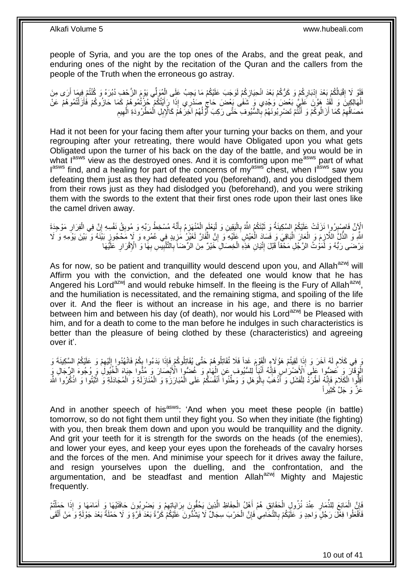people of Syria, and you are the top ones of the Arabs, and the great peak, and enduring ones of the night by the recitation of the Quran and the callers from the people of the Truth when the erroneous go astray.

فَلَوْ لَا إِقْبَالْكُمْ بَعْدَ إِدْبَارِكُمْ وَ كَرُّكُمْ بَعْدَ انْحِيَازِكُمْ لَوَجَبَ عَلَيْكُمْ مَا يَجِبُ عَلَى الْمُوَلِّي يَوْمَ الزَّحْفِ دُبُرَهُ وَ كُنْتُمْ فِيمَا أَرَى مِنَ ْ ِ ِ ِ ِ َ َّي َب ْع َض َو ْجِدي َو َهالِ ِكي َن َو لََقْد َهَّو َن َعلَ ال ُمو ُه ْم َع ْن ْ تُ َزل ُمو ُه ْم َكَما َحا ُزو ُكْم َفأ ْيتُ ُكْم ُح ْزتُ ا َرأ ِذَ ِ ي إ َصْدر َشَفى َب ْع َض َحاج ْ َ َ ِ مَصَافِّهِمْ كَمَا أَزَالُوكُمْ وَ أَنْثَمْ تَضْرِبُونَـهُمْ بِالشَّيُوفِ حَتَّى رَكِبَ أَوَّلُهُمْ اَخِرَهُمْ كَالْإِبِلِ الْمَطْرُودَةِ الْهِيمِ ْ ان<br>ا َ **∶ ∶** َ َ ِ ِ ِ ْ

Had it not been for your facing them after your turning your backs on them, and your regrouping after your retreating, there would have Obligated upon you what gets Obligated upon the turner of his back on the day of the battle, and you would be in what lasws view as the destroyed ones. And it is comforting upon measws part of what lasws find, and a healing for part of the concerns of my<sup>asws</sup> chest, when lasws saw you defeating them just as they had defeated you (beforehand), and you dislodged them from their rows just as they had dislodged you (beforehand), and you were striking them with the swords to the extent that their first ones rode upon their last ones like the camel driven away.

ْ الْإِنَّ فَاصْبِرُوا نَزَلَتْ عَلَيْكُمُ السَّكِينَةُ وَ ثَبَّتَكُمُ اللَّهُ بِالْيَقِينِ وَ لْيَعْلَمِ الْمُنْهَزِمُ بِأَنَّهُ مُسْخِطُ رَبِّهِ وَ مُوبِقُ نَفْسِهِ إِنَّ فِي الْفِرَارِ مَوْجِدَةَ ِ َ ِ ِ ْ ِ ِ اً ِ ِ ْ **ื** ْ اللَّهِ وَ الذَّلَّ اللَّازِمَ وَ الْعَانَ الْبَاقِيَ وَ فَسَادَ الْعَيْشِ عَلَيْهِ وَ إِنَّ الْفَارَّ لَغَيْرُ مَزِيدٍ فِي عُمُرِهِ وَ لَإِ مَحْجُوزٍ بَيْنَهُ وَ بَيْنَ يَوْمِهِ وَ لَا **∶** ْ ِ ْ :<br>ا ْ ِ َبْرْضَى رَبُّهُ وَ لَمَوْتُ الرَّجُلِ مَحْقاً قَبْلَ إِنْيَانِ هَذِهِ الْخِصَالِ خَيْرٌ مِنَ الرِّضَاَ بِالْتَّلْبِيِّسِ بِهََا وَ الْإِقْرَارِ عَلَيْهَا **∶** ِ ْ ِ ْ ِ ِ

As for now, so be patient and tranquillity would descend upon you, and Allah<sup>azwj</sup> will Affirm you with the conviction, and the defeated one would know that he has Angered his Lord<sup>azwj</sup> and would rebuke himself. In the fleeing is the Fury of Allah<sup>azwj</sup>, and the humiliation is necessitated, and the remaining stigma, and spoiling of the life over it. And the fleer is without an increase in his age, and there is no barrier between him and between his day (of death), nor would his Lord<sup>azwj</sup> be Pleased with him, and for a death to come to the man before he indulges in such characteristics is better than the pleasure of being clothed by these (characteristics) and agreeing over it'.

وَ كَلَامٍ لَهُ آخَرَ وَ إِذَا لَقِيتُمْ هَؤُلَاءٍ الْقَوْمَ غَداً فَلَا تُقَاتِلُوهُمْ حَتَّى يُقَاتِلُوكُمْ فَإِذَا بَدَءُوا بِكُمْ فَانْهُدُوا إِلَيْهِمْ وَ عَلَيْكُمُ السَّكِينَةَ وَ ْ لَ ٍ ِ ِ لَ ِ الْوَقَالَ وَ عُضُوا عَلَى الْأَضْرَاسِ فَإِنَّهُ أَنْبَأُ لِلسُّيُوفِ عَنِ الْهَامِ وَ غُضُوا الْأَبْصَارَ وَ مُدُّوا حِبَاهَ الْخُبُولَ وَ مُحُوهُ الرِّجَالِ وَ ِ ْ ا<br>ا ׀ו<br>ِי أَفِلُوا الْكَلَامَ فَإِنَّهُ أَطْرَدُ لِلْفَشَلِ وَ أَذْهَبُ بِالْوَهَلِ وَ وَطَّنُوا أَنْفُسَكُمْ عَلَى الْمُبَارَزَةِ وَ الْمُنَازَلَةِ وَ الْمُجَادَلَةِ وَ انْثَنُوا وَ انْكُرُوا اللَّه ْ ِ ْ َ **ٔ ٔ** ْ ْ ْ َ ْ **∶ ٔ** َ عَزٌّ وَ حَلَّ كَثَبَر أَ

And in another speech of his<sup>asws</sup>: 'And when you meet these people (in battle) tomorrow, so do not fight them until they fight you. So when they initiate (the fighting) with you, then break them down and upon you would be tranquillity and the dignity. And grit your teeth for it is strength for the swords on the heads (of the enemies), and lower your eyes, and keep your eyes upon the foreheads of the cavalry horses and the forces of the men. And minimise your speech for it drives away the failure, and resign yourselves upon the duelling, and the confrontation, and the argumentation, and be steadfast and mention Allah<sup>azwj</sup> Mighty and Maiestic frequently.

فَإِنَّ الْمَانِعَ لِلذِّمَارِ عِنْدَ نُزُولِ الْحَقَائِقِ هُمْ أَهْلُ الْحِفَاظِ الَّذِينَ يَحُفُّونَ بِرَايَاتِهِمْ وَ يَصْرِبُونَ حَافَتَيْهَا وَ أَمَامَهَا وَ إِذَا حَمَلْتُمْ ِ ِ َّ ْ َ ْ ِ ْ ِ ْ َ **ٍ** فَافْعَلُوا فِعْلَ رَجُلٍ وَاحِدٍ وَ عَلَيْكُمْ بِالتَّحَامِي فَإِنَّ الْحَرْبَ سِجَالٌ لَا يَشْدُّونَ عَلَيْكُمْ كَرَّةً بَعْدَ وَمِّلَةٍ بَعْدَ جَوْلَةٍ وَ مَنْ أَلْقَى ْ ∣lٍ ِ ْ َ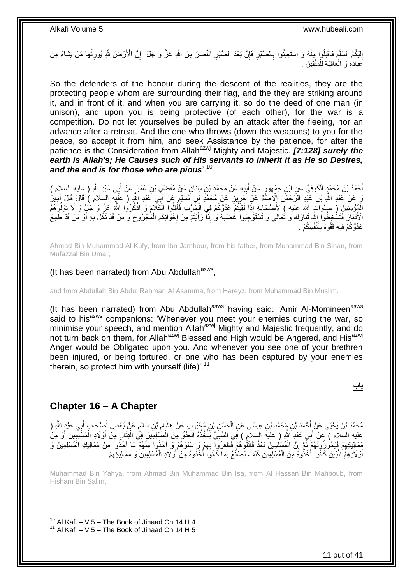إِنَّيْكُمُ السَّلَمَ فَاقْبَلُوا مِنْهُ وَ اسْتَعِينُوا بِالصَّبْرِ فَإِنَّ بَعْدَ الصَّبْرِ النَّصْرَ مِنَ اللَّهِ عَزَّ وَ جَلَّ ۚ إِنَّ الْأَرْضَ بِلَّهِ يُورِثُها مَنْ يَشاءُ مِنْ ِ **∶** ِ لَ ِ ا<br>: ِ ِ **∶** َعِبادِهِ وَ الْعَاقِبَةُ لِلْمُتَّقِينَ . ْ ْ

So the defenders of the honour during the descent of the realities, they are the protecting people whom are surrounding their flag, and the they are striking around it, and in front of it, and when you are carrying it, so do the deed of one man (in unison), and upon you is being protective (of each other), for the war is a competition. Do not let yourselves be pulled by an attack after the fleeing, nor an advance after a retreat. And the one who throws (down the weapons) to you for the peace, so accept it from him, and seek Assistance by the patience, for after the patience is the Consideration from Allah<sup>azwj</sup> Mighty and Majestic. **[7:128] surely the** *earth is Allah's; He Causes such of His servants to inherit it as He so Desires, and the end is for those who are pious*'.<sup>10</sup>

أَحْمَدُ بْنُ مُحَمَّدٍ الْكُوفِيُّ عَنِ ابْنِ جُمْهُورٍ عَنْ أَبِيهِ عَنْ مُحَمَّدٍ بْنِ سِنَانٍ عَنْ مُفَضَّلٍ بْنِ عُمَرَ عَنْ أَبِي عَبْدِ اللَّهِ ( عِليه السلام ) **!** َ َ َ مَ عَبْدِ اللَّهِ بْنِ عَبّْدِ الرَّحْمَنِ إِلْأَصَمَّ عَنْ جَرِيزٍ عَنْ مُحَمَّدِ بْنِ مُسْلِمٍ عَنْ أَبَى عَبْدِ اللَّهِ ( عَلَيْه السلام ) قَالَ قَالَ أَمِيٰنُ َ ٍ ِ َ الْمُؤْمِنِينَ ( صلواتٍ الله عليه )َ لِأَصْحَابِهِ إِذَا لَقِيَتُمْ عَدُوَّكُمْ فِي الْجَرْبِ فَأَقِلُوا الْكَلَّامَ وَ اذْكُرُوا اللَّهَ عَزَّ وَ لَمْ إِنَّ لَوَلْوِهُمُ **ٔ** ْ َ ْ ِ َ الْأَذْبَارَ فَتُسُخِطُواْ اللَّهَ تَبَارَكَ وَ تُعَالَى وَ تَسْتَوَجِبُواْ غُضَبَهُ وَ إِذَا ۖ رَأَيْتُمْ مِنْ إِخْوَانِكُمُ الْمُجْرُوحَ وَ مَنْ قَدْ نُكِّلَ بِهِ أَوْ مَنْ قَدْ طَمِعَ **∶** َ َ ِ ْ عَدُوُّكُمْ فِيهِ فَقُوهُ بِأَنْفُسِكُمْ . َ ِ

Ahmad Bin Muhammad Al Kufy, from Ibn Jamhour, from his father, from Muhammad Bin Sinan, from Mufazzal Bin Umar,

### (It has been narrated) from Abu Abdullah<sup>asws</sup>,

and from Abdullah Bin Abdul Rahman Al Asamma, from Hareyz, from Muhammad Bin Muslim,

(It has been narrated) from Abu Abdullah<sup>asws</sup> having said: 'Amir Al-Momineen<sup>asws</sup> said to his<sup>asws</sup> companions: 'Whenever you meet your enemies during the war, so minimise your speech, and mention Allah<sup>azwj</sup> Mighty and Majestic frequently, and do not turn back on them, for Allah<sup>azwj</sup> Blessed and High would be Angered, and His<sup>azwj</sup> Anger would be Obligated upon you. And whenever you see one of your brethren been injured, or being tortured, or one who has been captured by your enemies therein, so protect him with yourself (life)'.<sup>11</sup>

**باب**

### <span id="page-10-0"></span>**Chapter 16 – A Chapter**

1

مُحَمَّدُ بْنُ يَحْيَى عَنْ أَحْمَدَ بْنِ مُحَمَّدِ بْنِ عِيسَى عَنِ الْحَسِنِ بْنِ مَحْبُوبٍ عَنْ هِشَامٍ بْنِ سَالِمٍ عَنْ بَعْضِ أَصِبْحَابٍ أَبِي عَبْدٍ اللَّهِ ( ِ ْ َ َ َ م<br>م عليه السلام ) عَنْ أَبِي عَبْدِ اللَّهِ ( عليه السلامِ ) فِي السَّبِّيِّ يَأْخُذُهُ الْعَدُوُّ مِنَ الْمُسْلِمِينَ فِي الْقَتَالِ مِنْ أَوْلَادِ الْمُسْلِمِينَ أَوْ مِنْ ْ ْ ْ ْ ِ َ ْ َ ֦֦֦֦֦֦֧֦֦֦֦֧֦֦֦֦֦֧֦֧֦֦֦֧֦֧֦֧֦֧֦֧֦֧֦֧֦֧֦֧֦֧֦֧֦֧֦֧֦֧֦֧֦֚֚֚֚֚֚֚֚֚֝֝֝֝֝֓֡֝֝֝֟֓֡֟֟֓֡֟֓֡֟֓֡ مَمَالِيكِهِمْ فَيَحُوزُ وِنَّهُمْ ثَمَّ إِنَّ الْمُسْلِمِينَ بَعْدُ قَاتَلُوهُمْ فَظَوْرُوا بِهِمْ وَرِ سَبَوْهُمْ وَ ِ أَخَذُوا مِنْهُمْ مَا أَخَذُوا مِنْ مَمَالِيكِ الْمُسْلِمِينَ وَ ۔<br>۔<br>۔ ِ ْ َ َ ِ أَوْ لَادِهِمُ الَّذِينَ كَانُوا أَخَذُوهُ مِنَ الْمُسْلِمِينَ كَيْفَ يُصْنُعُ بِمَا كَانُوَا أَخَذُوهُ مِنْ أَوْلَادِ الْمُسْلِمِينَ وَ مَمَالِيكِهِمْ َ َ ِ ْ َ َّ ِ ْ

Muhammad Bin Yahya, from Ahmad Bin Muhammad Bin Isa, from Al Hassan Bin Mahboub, from Hisham Bin Salim,

 $10$  Al Kafi – V 5 – The Book of Jihaad Ch 14 H 4

 $11$  Al Kafi – V 5 – The Book of Jihaad Ch 14 H 5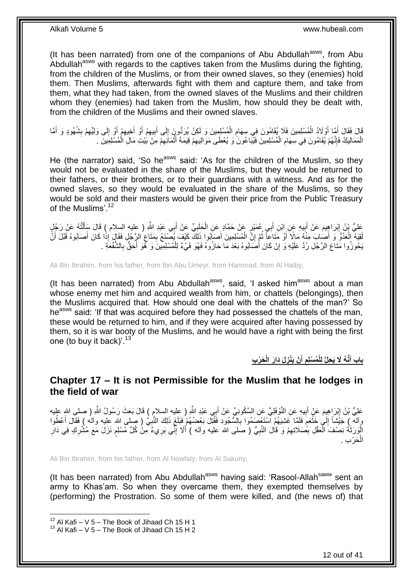(It has been narrated) from one of the companions of Abu Abdullah<sup>asws</sup>, from Abu Abdullah<sup>asws</sup> with regards to the captives taken from the Muslims during the fighting, from the children of the Muslims, or from their owned slaves, so they (enemies) hold them. Then Muslims, afterwards fight with them and capture them, and take from them, what they had taken, from the owned slaves of the Muslims and their children whom they (enemies) had taken from the Muslim, how should they be dealt with, from the children of the Muslims and their owned slaves.

قَالَ فَقَالَ أَوَّلاَدُ الْمُسْلِمِينَ فَلَا يُقَامُونَ فِي سِهَامِ الْمُسْلِمِينَ وَ لَكِنْ يُرَدُّونَ إِلَى أَبِيهِمْ أَوْ أَخِيهِمْ أَوْ إِلَى وَلِيِّهِمْ بِشُهُودٍ وَ أَمَّا ِ ِ َ ∣∣<br>ِ ْ ِ ْ َ َ أَ ِ ِ ِ َ ِ َ َ الْمَمَالِيكُ فَإِنَّهُمْ يُقَامُونَ فِي سِهَامِ الْمُسْلِمِينَ فَيُبَاعُونَ وَ يُعْطَى مَوَالِيهِمْ قِيمَةَ أَثْمَانِهِمْ مِنْ بَيْتِ مَالِ الْمُسْلِمِينَ . ْ **ُ** ِ ْ ْ ِ **ٔ** َ ِ

He (the narrator) said, 'So he<sup>asws</sup> said: 'As for the children of the Muslim, so they would not be evaluated in the share of the Muslims, but they would be returned to their fathers, or their brothers, or to their guardians with a witness. And as for the owned slaves, so they would be evaluated in the share of the Muslims, so they would be sold and their masters would be given their price from the Public Treasury of the Muslims'.<sup>12</sup>

عَلِيُّ بْنُ إِبْرَاهِيمَ عَنْ أَبِيهِ عَنِ ابْنِ أَبِي عُمَيْرٍ عَنْ حَمَّادٍ عَنِ الْحَلَبِيِّ عَنْ أَبِي عَبْدِ اللَّهِ ( عليه السلام ) قَالَ سَأَلْتُهُ عَنْ رَجُلٍ َ **∶** ْ َ  $\ddot{\phantom{a}}$ َ ْ َ لَقِيَةُ الْعَدُوُّ وَ أَصَابَ مِنْهُ مَالًا أَوْ مَتَاعاً ثُمَّ إِنَّ الْمُسْلِمِينَ أَصَابُوهِا ذَلِكَ كَيْفَ يُصْنَعُ بِمَتَاعِ الإِجْلِ فَقَالٍ إِذَا كَانَ أَصَابُوهُ قَبْلَ أَنَّ ْ ِ ان<br>المقام َ َ ْ َ َ ِ ِ َبِحُوزُوا مَتَاعَ الرَّجُلِ رُدَّ عَلَيْهِ وَ إِنْ كَانَ أَصَابُوهُ بَعْدَ مَا حَازُوهُ فَهُوَ فَيْءٌ لِلْمُسْلِمِبِينَ وَ لَّمُوَ أَحَقُّ بِالشَّفْعَةِ . َ ا ِ َ ْ

Ali Bin Ibrahim, from his father, from Ibn Abu Umeyr, from Hammad, from Al Halby,

(It has been narrated) from Abu Abdullah $a<sup>sws</sup>$ , said, 'I asked him $a<sup>sws</sup>$  about a man whose enemy met him and acquired wealth from him, or chattels (belongings), then the Muslims acquired that. How should one deal with the chattels of the man?' So he<sup>asws</sup> said: 'If that was acquired before they had possessed the chattels of the man, these would be returned to him, and if they were acquired after having possessed by them, so it is war booty of the Muslims, and he would have a right with being the first one (to buy it back)'.<sup>13</sup>

> **َح ْر ِب َدا َر الْ ِ لَ ْن َيْنز أ ُم ْسلِم َّن ُه ََل َي ِحلُّ لِلْ باب أ َ ِ َ**

### <span id="page-11-0"></span>**Chapter 17 – It is not Permissible for the Muslim that he lodges in the field of war**

عَلِيُّ بْنُ إِبْرَاهِيمَ عَنْ أَبِيهِ عَنِ النَّوْفَلِيِّ عَنِ السَّكُونِيِّ عَنْ أَبِي عَبْدِ اللَّهِ ( عِليه<br>عَلِيُّ بْنُ إِبْرَاهِيمَ عَنْ أَبِيهِ عَنِ النَّوْفَلِيِّ عَنِ السَّكُونِيِّ عَنْ أَبِي عَبْدِ النَّهِ ( عِلي **֓**ׇ֦֦֧֦֖ׅ֦ׅ֖֧֧֦֧֚֚֚֚֚֓֘֝֝֘֝֘֝֘֝֘֡֘֝֘֝֟֝ َ **!** َ وِالَّهِ ﴾ جَيْشًا إِلَىٰ خَثْعَمَ فَلَمَّا غَشِيَهُمُ ٱسْتَعْصَمُوا بِالسُّجُودِ فَقُتِلَ بَعْضُهُمْ فَبَلَغَ ذَلِكَ النَّبِيُّ ( صلى الله عليه وآله ) فَقَالَ أَعْطُوا **∶** م **ٔ**  $\frac{1}{2}$ َ ِ الْوَرَثَةُ نِصْفَ الْعَقْلِ بِصَلَاتِهِمْ وَ قَالَ النَّبِيُّ ( صَلى الله عليه وأله ) أَلَا إِنِّي بَرِيءٌ مِنْ كُلِّ مُسْلِمٍ نَزَلَ مَعَ مُثْمْرِكٍ فِي دَارِ ِ َ ِ ِ ِ ْ ْ ِ ِ ٍ الْحَرْبِ . ْ

Ali Bin Ibrahim, from his father, from Al Nowfaly, from Al Sakuny,

(It has been narrated) from Abu Abdullah<sup>asws</sup> having said: 'Rasool-Allah<sup>saww</sup> sent an army to Khas'am. So when they overcame them, they exempted themselves by (performing) the Prostration. So some of them were killed, and (the news of) that

 $12$  Al Kafi – V 5 – The Book of Jihaad Ch 15 H 1

 $13$  Al Kafi – V 5 – The Book of Jihaad Ch 15 H 2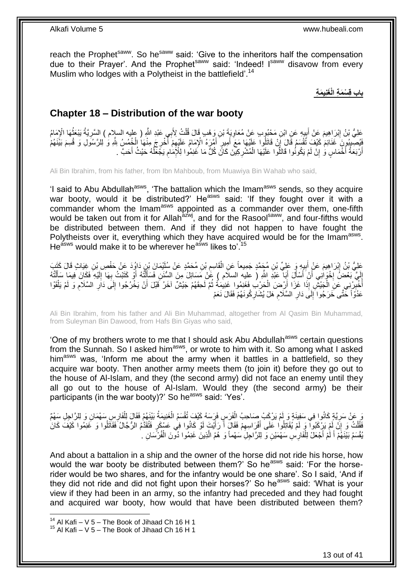reach the Prophet<sup>saww</sup>. So he<sup>saww</sup> said: 'Give to the inheritors half the compensation due to their Prayer'. And the Prophet<sup>saww</sup> said: 'Indeed! I<sup>saww</sup> disavow from every Muslim who lodges with a Polytheist in the battlefield'.<sup>14</sup>

**باب قِ ْس َم ِة الْ َغنِي َم ِة**

### <span id="page-12-0"></span>**Chapter 18 – Distribution of the war booty**

عَلِيُّ بْنُ إِبْرَاهِيمَ عَنْ أَبِيهِ عَنِ ابْنِ مَحْبُوبٍ عَنْ مُعَاوِيَةَ بْنِ وَهْبٍ قَالَ قُلْتُ لِأَبِي عَبْدِ اللَّهِ ( عليه السلام ) السَّرِيَّةُ يَبْعَثُهَا الْإِمَامُ ْ ِ ِ ِ ا<br>المناسبة ِ فَيُصِيبُونَ غَذَائِمَ كَيْفَ تُقْسَمُ قَالَ إِنْ قَاتَلُوا عَلَيْهَا مَعَ أَمِيرٍ أَمَّرَهُ الْإِمَامُ عَلَيْهِمْ أَخْرِجَ مِنْهَا الْخُمُسُ بِلَّهِ وَ لِلرَّسُولِ وَ قُسِمَ بَيْنَهُمْ<br>فَيَسِمِيهُمْ بَاللَّهُ وَاحْظَ الْ ْ ; ُ ِ َ َ ِ أَرْبَعَةُ أَخْمَاسٍ وَٰ إِنْ لَمْ يَكُونُوا قَاتَلُوا عَلَيْهَا الْمُشْرِكِيْنَ كَانَ كُلُّ مَا غَنِمُوا لِلْإِمَامِ يَجْعَلْهُ حَيْثُ أَحَبَّ . ِ ْ ِ َ اً َ ُ  $\ddot{\phantom{a}}$ 

Ali Bin Ibrahim, from his father, from Ibn Mahboub, from Muawiya Bin Wahab who said,

'I said to Abu Abdullah<sup>asws</sup>, 'The battalion which the Imam<sup>asws</sup> sends, so they acquire war booty, would it be distributed?' He<sup>asws</sup> said: 'If they fought over it with a commander whom the Imam<sup>asws</sup> appointed as a commander over them, one-fifth would be taken out from it for Allah<sup>azwj</sup>, and for the Rasool<sup>saww</sup>, and four-fifths would be distributed between them. And if they did not happen to have fought the Polytheists over it, everything which they have acquired would be for the Imam<sup>asws</sup>. He<sup>asws</sup> would make it to be wherever he<sup>asws</sup> likes to<sup>'.15</sup>

عَلِيُّ بْنُ إِبْرَاهِيمَ عَنْ أَبِيهِ وَ عَلِيِّ بْنِ مُجَمَّدٍ جَمِيعاً عَنِ الْقَاسِمِ بْنِ مُحَمَّدٍ عَنْ سُلَيْمَانَ بْنِ دَاوُدَ عَنْ حَفْصِ بْنِ غِيَاثٍ قَالَ كَتَبَ ِ ْ **!** َ إِلَيَّ بَعْضُ إِخْوَانِي أَنْ َأَسْأَلَ أَبَا ۖ عَبْدِ اللَّهِ ( عليه السلام ) عََنْ مَسَائِلَ مِنَ السُّنَنِ فَسَأَلْتُهُ أَوْ كَتَبْتُ بِهَا إِلَيْهِ فَكَانَ فِيمَا سَأَلْتُهُ َ اَ َ יֲ<br>י لَ ِ ْ َ لَ ِ ِ َ ْ َ أُخْبِّرْنِي عَنِ الْجَيْشِ إِذَا غَزَا أَرْضَ الْحَرْبُ فَغَنِمُوا غَنِيْمَةً ثُمَّ لَحِقَهُمْ جَيْشٌ آخَرُ قَبْلَ أَنْ يَخْرُجُوا إِلَى دَارِ السَّلَامِ وَ لَمْ يَلْقَوْا اُ ُ ْ ْ ِ َ ْ ِ ِ ِ عَدُوّاً حَتَّى خَرَجُوا َإِلَى دَارِ السَّلَامِ هَلْ يُشَارِكُونَهُمْ فَقَالَ نَعَمْ ِ ِ ِ  $\frac{1}{2}$ 

Ali Bin Ibrahim, from his father and Ali Bin Muhammad, altogether from Al Qasim Bin Muhammad, from Suleyman Bin Dawood, from Hafs Bin Giyas who said,

'One of my brothers wrote to me that I should ask Abu Abdullah<sup>asws</sup> certain questions from the Sunnah. So I asked himasws, or wrote to him with it. So among what I asked him<sup>asws</sup> was, 'Inform me about the army when it battles in a battlefield, so they acquire war booty. Then another army meets them (to join it) before they go out to the house of Al-Islam, and they (the second army) did not face an enemy until they all go out to the house of Al-Islam. Would they (the second army) be their participants (in the war booty)?' So he<sup>asws</sup> said: 'Yes'.

َو عَنْ سَرِيَّةٍ كَانُوا فِي سَفِينَةٍ وَ لَمْ يَرْكَبْ صَاحِبُ الْفَرَسِ فَرَسَهُ كَيْفَ تُقْسَمُ الْغَنِيمَةُ بَيْنَهُمْ فَقَالَ لِلْفَارِسِ سَهْمَانِ وَ لِلرَّاجِلِ سَهْمٌ<br>وَفِي الْمَسْرِيَّةِ كَانُوا فِي سَفِينَةٍ وَ ْ ْ ِ ْ فَقُلْتُ وَ إِنَّ لَمْ يَرْكَبُوا ۚ وَ لَمْ يُقَاتِلُوا عَلَى أَفْرَاسِهِمْ فَقَالَ أَ رَأَيْتَ لَوْ كَانُوا فِي عَسْكَرِ فَتُقَدَّمُ الرُّجَالُ فَقَاتَلُوا وَ غَنِمُوا كَيْفَ كَانَ ِ ْ َ َ ِ َ يُّقْسَمُ بَيْنَهُمْ أَ لَمْ أَجْعَلْ لِلْفَارِسِ سَهْمَيْنِ وَ لِلرَّاجِلِ سَهْماً وَ هُمُ الَّذِينَ غَنِمُوا دُونَ الْفُرْسَانِ . ْ َّ ْ لَ َ

And about a battalion in a ship and the owner of the horse did not ride his horse, how would the war booty be distributed between them?' So he<sup>asws</sup> said: 'For the horserider would be two shares, and for the infantry would be one share'. So I said, 'And if they did not ride and did not fight upon their horses?' So he<sup>asws</sup> said: 'What is your view if they had been in an army, so the infantry had preceded and they had fought and acquired war booty, how would that have been distributed between them?

 $14$  Al Kafi – V 5 – The Book of Jihaad Ch 16 H 1

 $15$  Al Kafi – V 5 – The Book of Jihaad Ch 16 H 1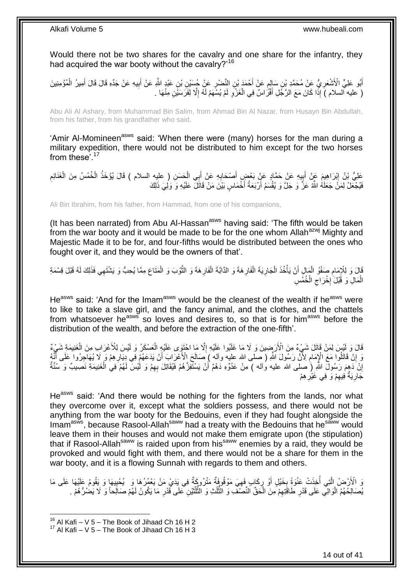Would there not be two shares for the cavalry and one share for the infantry, they had acquired the war booty without the cavalry?<sup>16</sup>

أَبُو عَلِيٍّ الْأَشْعَرِ يُّ عَنْ مُحَمَّدِ بْنِ سَإِلِمٍ عَنْ أَحْمَدَ بْنِ النَّصْرِ عَنْ جُسَيْنِ بْنِ عَبْدٍ اللَّهِ عَنْ جَذَهِ قَالَ قَالَ أَمِيرُ الْمُؤْمِنِينَ **ٍ** َ ֧֖֧֚֚֓֝֝֝ ِ ِ ْ َ ( عليه السلام )َ إِذَا كَانَ مَعَ الرَّجُلِ أَفْرَٰاسٌ فِي الْغَزْوِ لَمْ يُسْهَمْ لَهُ إِلَّا لِفَرَسَيْنِ مِنْهَا . ِ لَ **∶** ْ َ

Abu Ali Al Ashary, from Muhammad Bin Salim, from Ahmad Bin Al Nazar, from Husayn Bin Abdullah, from his father, from his grandfather who said,

'Amir Al-Momineen<sup>asws</sup> said: 'When there were (many) horses for the man during a military expedition, there would not be distributed to him except for the two horses from these<sup>'.17</sup>

عَلِيُّ بْنُ إِبْرَاهِيمَ عَنْ أَبِيهِ عَنْ حَمَّادٍ عَنْ بَعْضٍ أَصْحَابِهِ عَنْ أَبِي الْحَسَنِ ( عليه السلام ) قَالَ يُؤْخَذُ الْخُمُسُ مِنَ الْغَذَائِمِ ِ ْ ْ َ ِ **∣** َ **∶** فَيُجْعَلُ لِمَنْ جَعَلَهُ اللَّهُ عَزَّ وَ جَلَّ وَ يُقْسَمُ أَرْبَعَةُ أَخْمَاسٍ بَيْنَ مَنْ قَاتَلَ عَلَيْهِ وَ وَلِيَ ذَلِكَ اً

Ali Bin Ibrahim, from his father, from Hammad, from one of his companions,

(It has been narrated) from Abu Al-Hassan $a<sup>asws</sup>$  having said: 'The fifth would be taken from the war booty and it would be made to be for the one whom Allah<sup>azwj</sup> Mighty and Majestic Made it to be for, and four-fifths would be distributed between the ones who fought over it, and they would be the owners of that'.

قَالَ وَ لِلْإِمَامِ صَفْوُ الْمَالِ أَنْ يَأْخُذَ الْجَارِيَةَ الْفَارِهَةَ وَ الذَّابَّةَ الْفَارِهَةَ وَ الثَّوْبَ وَ الْمَتَاعَ مِمَّا يُحِبُّ وَ يَشْتَهِي فَذَلِكَ لَهُ قَبْلَ قِسْمَةِ<br>أَمْنَ الْجَمَعَ الْمَالِمِ أَن َّ **∶** ْ ِ ْ **ٍ** ْ ْ ْ ِ ْ الْمَالِ وَ قَُبْلَ ٰإِخْرَاجِ الْخُمُسِ ِ **∶** ْ

He<sup>asws</sup> said: 'And for the Imam<sup>asws</sup> would be the cleanest of the wealth if he<sup>asws</sup> were to like to take a slave girl, and the fancy animal, and the clothes, and the chattels from whatsoever he<sup>asws</sup> so loves and desires to, so that is for him<sup>asws</sup> before the distribution of the wealth, and before the extraction of the one-fifth'.

قَالَ وَ لَيْسَ لِمَنْ قَاتَلَ شَيْءٌ مِنَ الْأَرَضِينَ وَ لَا مَا غَلَبُوا عَلَيْهِ إِلَّا مَا اخْتَوِى عَلَيْهِ الْعَسْكَرُ وَ لَيْسَ لِلْأَعْرَابِ مِنَ الْغَنِيمَةِ شَيْءٌ ْ ْ ِ وَ إِنْ قَاتَلُوا مَعَ الْإِمَامِ لِأَنَّ رَسُولَ اللَّهِ ( صلَّى الله عليه وآله ) صَالَحَ الْأَعْرَابَ أَنْ يَدَعَهُمْ فِي دِبَارِهِمْ وَ لَا يُهَاجِرُوا عَلَى أَنَّهُ َ ِ ِ َ إِنْ دَهِمَ رَسُولَ اللَّهِ (ِ صلى الله عليه واله ) مِنْ عَدُوِّهِ دَهْمٌ أَنْ يَسْتَفِزَّهُمْ فَيُقَاتِلَ بِهِمْ وَ لَٰٓيْسَ لَهُمْ فِي الْغَنِيمَةِ نَصيبٌ وَ سُنَّةٌ ِ اُ اٍ ْ جَارِيَةٌ ٰفِيهِمْ وَ فِي غَيْرِهِمْ ِ ِ ِ

He<sup>asws</sup> said: 'And there would be nothing for the fighters from the lands, nor what they overcome over it, except what the soldiers possess, and there would not be anything from the war booty for the Bedouins, even if they had fought alongside the Imam<sup>asws</sup>, because Rasool-Allah<sup>saww</sup> had a treaty with the Bedouins that he<sup>saww</sup> would leave them in their houses and would not make them emigrate upon (the stipulation) that if Rasool-Allah<sup>saww</sup> is raided upon from his<sup>saww</sup> enemies by a raid, they would be provoked and would fight with them, and there would not be a share for them in the war booty, and it is a flowing Sunnah with regards to them and others.

وَ الْأَرْضُ الَّتِي أُخِذَتْ عَنْوَةً بِخَيْلٍ أَوْ رِكَابٍ فَهِيَ مَوْقُوفَةٌ مَتْرُوكَةٌ فِي يَدَيْ مَنْ يَعْمُرُهَا وَ ۖ يُحْيِيهَا وَ يَقُومُ عَلَيْهَا عَلَى مَا ِ ِ اُ **∶** ابل<br>ا َّ ِ ُهِصَالِحُهُمُ الْوَالِي عَلَى قَدْرِ طَاقَتِهِمْ مِنَ الْحَقِّ النِّصَنْفِ وَ النُّلُثِ وَ النُّلُثَيْنِ عَلَى قَدْرِ مَا يَكُونُ لَهُمْ صَالِحاً وَ لَا يَضُرُّهُمْ ـ ِ ة<br>أ ا<br>ا ُّ ُ ُّ ْ ِ ِ ْ

 $16$  Al Kafi – V 5 – The Book of Jihaad Ch 16 H 2

 $17$  Al Kafi – V 5 – The Book of Jihaad Ch 16 H 3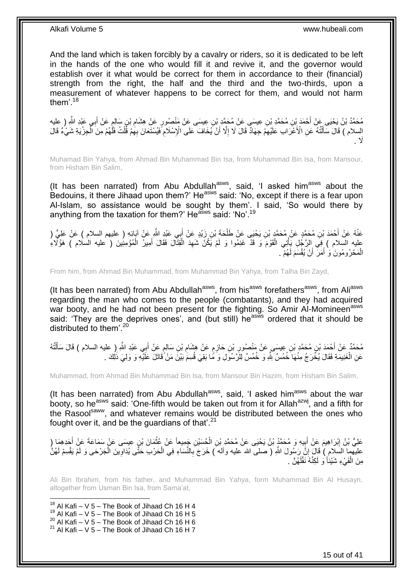And the land which is taken forcibly by a cavalry or riders, so it is dedicated to be left in the hands of the one who would fill it and revive it, and the governor would establish over it what would be correct for them in accordance to their (financial) strength from the right, the half and the third and the two-thirds, upon a measurement of whatever happens to be correct for them, and would not harm them'.<sup>18</sup>

مُحَمَّدُ بْنُ يَحْيَى عَنْ أَحْمَدَ بْنِ مُحَمَّدِ بْنِ عِيسَى عَنْ مُحَمَّدٍ بْنِ عِيسَى عَنْ مَنْصُورِ عَنْ هِشَامِ بْنِ سَالِمٍ عَنْ أَبِي عَبْدِ اللَّهِ ( عليه ِ َ **∶** السلام ) قَالَ سَأَلْتُهُ عَنِ الْأَعْرَابِ عَلَيْهِمْ جِهَادٌ قَالَ لَا إِلَّا أَنْ يُخَافَ عَلَى الْإِسْلَامِ فَيُسْتَعَانَ بِهِمْ قَلْتُ فَلَّهُمْ مِنَ الْجِزْيَةِ شَيْءٌ قَالَ َ ِ ِ ֺ֦֦֪֦֧֦֦֖֦֦֪֦֧֦֪֦֧֦֪֪֦֧֦֪֦֪֪֦֧֦֪֦֧֦֧֦֪֦֧֦֧֦֪֪֦֧֪֦֧֪֦֧֦֧֦֧֝֟֟֟֟֟֟֟֟֟֟֟֟֟֟֟֟֟֟֟֟֟֟֓֕֬֟֓֡֟֓֟֓֞֟֟֓֞֟֟֟֟֟֟֟֩֓֞֟֟֟֟֟֟ ْ ْ ِ ِ  $\lambda$ 

Muhamad Bin Yahya, from Ahmad Bin Muhammad Bin Isa, from Muhammad Bin Isa, from Mansour, from Hisham Bin Salim,

(It has been narrated) from Abu Abdullah $a$ sws, said, 'I asked him $a$ sws about the Bedouins, it there Jihaad upon them?' He<sup>asws</sup> said: 'No, except if there is a fear upon Al-Islam, so assistance would be sought by them'. I said, 'So would there by anything from the taxation for them?' He<sup>asws</sup> said: 'No'.<sup>19</sup>

عَنْهُ عَنْ أَحْمَدَ بْنِ مُحَمَّدٍ عَنْ مُحَمَّدٍ بْنِ يَحْيَى عَنْ طَلْحَةَ بْنِ زَيْدٍ عَنْ أَبِي عَنْدِ اللَّهِ عَنْ آبَائِهِ ( عليهم السلام ) عَنْ عَلِيٍّ ( َ ْ َ عليه السلام ) فِي اِلرَّجُلِ يَأْتِي الْقَوْمَ وَ قَدْ غَنِمُوا وَ لَمْ يَكُنْ شَهِدَ الْقِتَالَ فَقَالَ أَمِيرُ الْمُؤْمِنِينَ ( عليه السلام ) هَؤُلَاءِ ْ ِ ْ ْ ْ َ الْمَحْرُومُونَ وَ أَمَرَ ۚ أَنْ يُقْسَمَ لَهُمْ ۚ ـ َ ْ

From him, from Ahmad Bin Muhammad, from Muhammad Bin Yahya, from Talha Bin Zayd,

(It has been narrated) from Abu Abdullah<sup>asws</sup>, from his<sup>asws</sup> forefathers<sup>asws</sup>, from Ali<sup>asws</sup> regarding the man who comes to the people (combatants), and they had acquired war booty, and he had not been present for the fighting. So Amir Al-Momineen<sup>asws</sup> said: 'They are the deprives ones', and (but still) he<sup>asws</sup> ordered that it should be distributed to them<sup>'.20</sup>

مُحَمَّدٌ عَنْ أَحْمَدَ بْنِ مُحَمَّدٍ بْنِ عِيسَى عَنْ مَنْصُورِ بْنِ حَازِمٍ عَنْ هِشَامِ بْنِ سَالِمٍ عَنْ أَبِي عَبْدِ اللَّهِ (ِ عليه السلام ) قَالَ سَأَلْتُهُ َ ֧֖֖֖֧֧֖֧֧֧֧֧ׅ֧֧֧֧֧֚֚֚֚֓֝֝֝֝֟֓֟֓֝֬֝֓֝֓֝֬֟֓֟֓֟֓֟֓֝֬֝֬֝֓֝֬֜֓֝֬֝֓֝֬֝֬֝ ِ ֧֧֖֚֚֝֝֟֓֝ ِ ِ ْ َ عَنِ الْغَنِيمَةِ فَقَالَ يُخْرَجُ مِنْهَا خُمُسٌ بِثَّهِ وَ خُمُسٌ لِلرَّسُوَلِ وَ مَُا بَقِيَ قُسِمَ بَيْنَ مَنْ َقَاتَلَ عَلَيْهِ وَ وَلِيَ ذَلِكَ . ْ

Muhammad, from Ahmad Bin Muhammad Bin Isa, from Mansour Bin Hazim, from Hisham Bin Salim,

(It has been narrated) from Abu Abdullah<sup>asws</sup>, said, 'I asked him<sup>asws</sup> about the war booty, so he<sup>asws</sup> said: 'One-fifth would be taken out from it for Allah<sup>azwj</sup>, and a fifth for the Rasool<sup>saww</sup>, and whatever remains would be distributed between the ones who fought over it, and be the quardians of that  $2^1$ 

عَلِيُّ بْنُ إِبْرَاهِيمَ عَنْ أَبِيهِ وَ مُحَمَّدٍ بْنُ يَحْيَى عَنْ مُحَمَّدِ بْنِ الْحُسَيْنِ جَمِيعاً عَنْ عُثْمَانَ بْنِ عِيسَى عَنْ سَمَاعَةَ عَنْ أَحَدِهِمَا ( ِ َ **֓**֖֖֖֚֚֚֓֡ َ ْ ْ عليهما السَلام ) قَالَ إِنَّ رَسُولَ اللَّهِ ( صلى الله عليه وأله َ) خَرَجَ بِالنَّسَاءِ فِي الْحَرْبِ حَتَّى يُدَاوِينَ الْجَرْحَى وَ لَمْ يَقْسِمْ لَهُنَّ ْ ِ ْ ِ ِ مِنَ الْفَيْءِ شَيْئاً وَ لَكِنَّهُ نَفَّلَهُنَّ <sub>.</sub> ْ لَ

Ali Bin Ibrahim, from his father, and Muhammad Bin Yahya, form Muhammad Bin Al Husayn, altogether from Usman Bin Isa, from Sama'at,

1  $18$  Al Kafi – V 5 – The Book of Jihaad Ch 16 H 4  $19$  Al Kafi – V 5 – The Book of Jihaad Ch 16 H 5  $^{20}$  Al Kafi – V 5 – The Book of Jihaad Ch 16 H 6  $21$  Al Kafi – V 5 – The Book of Jihaad Ch 16 H 7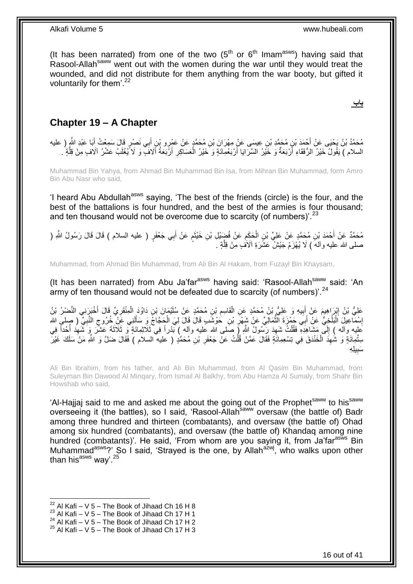(It has been narrated) from one of the two  $(5<sup>th</sup>$  or  $6<sup>th</sup>$  Imam<sup>asws</sup>) having said that Rasool-Allahsaww went out with the women during the war until they would treat the wounded, and did not distribute for them anything from the war booty, but gifted it voluntarily for them'. $^{22}$ 

**باب**

### <span id="page-15-0"></span>**Chapter 19 – A Chapter**

مُحَمَّدُ بْنُ يَحْيَى عَنْ أَحْمَدَ بْنِ مُحَمَّدِ بْنِ عِيسَى عَنْ مِهْرَانَ بْنِ مُحَمَّدٍ عَنْ عَمْرِو بْنِ أَبِي نَصْرٍ قَالَ سَمِعْتُ أَبَا عَبْدِ اللَّهِ ( عليه<br>بدين المريد : مَا يَوْمَ بِنَ مَثَّلَ مِنْ أَنْ يَعْب َ َ ِ السلام ) يَقُولُ خَيْرُ الرُّفَقَاءِ أَرْبَعَةٌ وَ خَيْرُ السَّرَايَا أَرْبَعُمِانَةٍ وَ خَيْرُ الْعَسَاكِرِ أَرْبَعَةُ أَلافَ ۗ وَ لاَ يُغْلَبُ عَشْرُ آلَافٍ مِنْ قِلَّةٍ . ْ َ َ َّ َ

Muhammad Bin Yahya, from Ahmad Bin Muhammad Bin Isa, from Mihran Bin Muhammad, form Amro Bin Abu Nasr who said,

'I heard Abu Abdullah<sup>asws</sup> saying, 'The best of the friends (circle) is the four, and the best of the battalions is four hundred, and the best of the armies is four thousand; and ten thousand would not be overcome due to scarcity (of numbers)<sup>'. 23</sup>

مُحَمَّدٌ عَنْ أَحْمَدَ بْنِ مُحَمَّدٍ عَنْ عَلِيِّ بْنِ الْحَكَمِ عَنْ فُضَيْلِ بْنِ خَيْنَمٍ عَنْ أَبِي جَعْفَرٍ ( عليه السلام ) قَالَ قَالَ رَسُولُ اللَّهِ ( ِ ْ َ َ م َ صلى الله عليه وآلهُ ) لَا يُهْزَمُ جَيْشٌ عَشَرَةِ آلَاَفٍ مِنْ قِلَّةٍ . َّ

Muhammad, from Ahmad Bin Muhammad, from Ali Bin Al Hakam, from Fuzayl Bin Khaysam,

(It has been narrated) from Abu Ja'far<sup>asws</sup> having said: 'Rasool-Allah<sup>saww</sup>, said: 'An army of ten thousand would not be defeated due to scarcity (of numbers)<sup>'. 24</sup>

عَلِيُّ بْنُ إِبْرَاهِيمَ عَنْ أَبِيهِ وَ عَلِيُّ بْنُ مُحَمَّدٍ عَنِ الْقَاسِمِ بْنِ مُحَمَّدٍ عَنْ سُلَيْمَانَ بْنِ دَاوُدَ الْمِنْقَرِيِّ قَالَ أَخْبَرَنِي النَّصْرُ بْنُ ِ ْ **!** َ ِ َ ِ ْ لَ َ إِسْمَاعِيلَ الْبَلْخِيُّ عَنْ أَبِي حَمْزَةَ النِّمَالِيِّ عَنْ شَهْرِ بْنِ حَوْشَبِ قَالَ قَالَ لِيَ الْحَجَاجُ وَ سَأَلَنِي عَنْ خُرُوجِ النَّبِيِّ ( صلى الله ْ **∶** ُّ َ ْ :<br>ا ِ ِ ِ ِ َعْلِيه وآله ) إِلَىَّ مَشَاهِدِهِ فَقُلْتُ شَهِدَ رَسُولُ اللَّهِ ( صَلى الله عَليه وآله ) بَدْراً فِي ثَلاثِمائَةٍ وَ ثَلاثَةَ عَشَرَ وَ شَهِدَ أُحُداً فِي ْ  $\frac{1}{2}$ ر<br>أ ِ سِتُّمِائَةٍ وَ شُهِدَ الْخَنْدَقَ فِي تِسْعِمِائَةٍ فَقَالَ عَمَّنْ قُلْتُ عَنْ جَعْفَرِ بْنِ مُحَمَّدٍ ( عليه السلام ) فَقَالَ ضَلَّ وَ اللَّهِ مَنْ سَلَكَ غَيْرَ ِ ْ ْ ِ ِّ يلِ ِه ِ َسب

Ali Bin Ibrahim, from his father, and Ali Bin Muhammad, from Al Qasim Bin Muhammad, from Suleyman Bin Dawood Al Minqary, from Ismail Al Balkhy, from Abu Hamza Al Sumaly, from Shahr Bin Howshab who said,

'Al-Hajjaj said to me and asked me about the going out of the Prophet<sup>saww</sup> to his<sup>saww</sup> overseeing it (the battles), so I said, 'Rasool-Allahsaww oversaw (the battle of) Badr among three hundred and thirteen (combatants), and oversaw (the battle of) Ohad among six hundred (combatants), and oversaw (the battle of) Khandaq among nine hundred (combatants)'. He said, 'From whom are you saying it, from Ja'far<sup>asws</sup> Bin Muhammad<sup>asws</sup>?' So I said, 'Strayed is the one, by Allah<sup>azwj</sup>, who walks upon other than his<sup>asws</sup> way'.<sup>25</sup>

1

<sup>24</sup> Al Kafi – V 5 – The Book of Jihaad Ch 17 H 2

 $^{22}$  Al Kafi – V 5 – The Book of Jihaad Ch 16 H 8

 $^{23}$  Al Kafi – V 5 – The Book of Jihaad Ch 17 H 1

 $25$  Al Kafi – V 5 – The Book of Jihaad Ch 17 H 3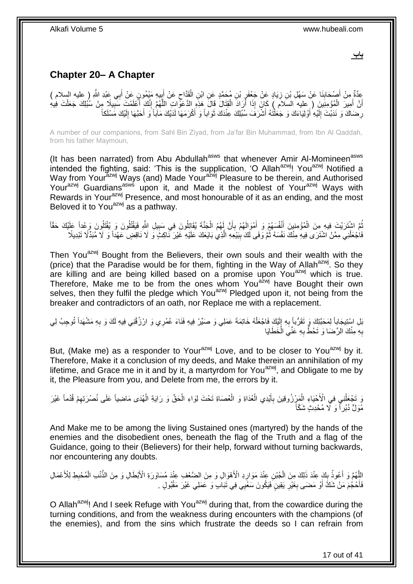**باب**

## <span id="page-16-0"></span>**Chapter 20– A Chapter**

عِدَّةٌ مِنْ أُصِيْحَابِذَا عَنْ سَهْلِ بْنِ زِيَادٍ عَنْ جَعْفَرٍ بْنِ مُحَمَّدٍ عَنِ ابْنِ الْقَدَّاحِ عَنْ أَبِيهِ مَيْمُونٍ عَنْ أَبِي عَبْدِ اللَّهِ ( عليه السلام )<br>يَحَدُّةُ مِنْ أُصِيحَابِذَا عَنْ سَهْلِ بْنِ زِيَاد ِ َ ِ ْ ِ ِ **∣** َ َ أَنَّ أَمِيرَ الْمُؤْمِنِينَ ( عليه السَّلاَمَ ) كَانَ إِذَا أَرَادَ الْقِتَالَ قَالَ هَذِهِ الدَّعَوَّاتِ اللَّهُمَّ إِنَّكَ أَعْلَمْتَ سَبِيلًا مِنْ سُبُلِكَ حَعَلْتَ فِيهِ ْ َ ْ ِ َ ِ َّ ْ رِضَاكَ وَ نَدَبْتَ إِلَيْهِ أَوْلِيَاءَكَ وَ جَعَلْنَهُ أَشْرَفَ سُبُلِكَ عِنْدَكَ ثَوَاباً وَ أَكْرَمَهَا لَدَيْكَ مَآباً وَ أَحَبَّهَا إِلَيْكَ مَسْلَكاً َ َ َ ْ َ لَ ِ ِ لَ ِ َ

A number of our companions, from Sahl Bin Ziyad, from Ja'far Bin Muhammad, from Ibn Al Qaddah, from his father Maymoun,

(It has been narrated) from Abu Abdullah<sup>asws</sup> that whenever Amir Al-Momineen<sup>asws</sup> intended the fighting, said: 'This is the supplication, 'O Allah<sup>azwj</sup>! You<sup>azwj</sup> Notified a Way from Your<sup>azwj</sup> Ways (and) Made Your<sup>azwj</sup> Pleasure to be therein, and Authorised Your<sup>azwj</sup> Guardians<sup>asws</sup> upon it, and Made it the noblest of Your<sup>azwj</sup> Ways with Rewards in Your<sup>azwj</sup> Presence, and most honourable of it as an ending, and the most Beloved it to You<sup>azwj</sup> as a pathway.

نُّمَ اشْتَرَيْتَ فِيهِ مِنَ الْمُؤْمِنِينَ أَنْفُسَهُمْ وَ أَمْوَالَهُمْ بِأَنَّ لَمْهُم الْجَنَّةَ يُقَاتِلُونَ فِي سَبِيلِ اللَّهِ فَيَقْتُلُونَ وَ يُقْتَلُونَ وَعِمْداً عَلِّيْكَ حَقَّاً ِ ْ َ ِ َ َ ْ ُ ِ فَاجْعَلْنِي مِمَّنْ اشْتَرَى فِيهِ مِنْكَ نَفْسَهُ ثُمَّ وَفَى لَكَ بِبَيْعِهِ الَّذِي بَايَعَكَ عَلَيْهِ غَيْرَ نَاكِثٍ وَ لَا نَاقِضٍ عَهْداً وَ لَا مُبَدِّلًا تَبْدِيلًا ُ ْ َّ

Then You<sup>azwj</sup> Bought from the Believers, their own souls and their wealth with the (price) that the Paradise would be for them, fighting in the Way of Allah<sup>azwj</sup>. So they are killing and are being killed based on a promise upon You<sup>azwj</sup> which is true. Therefore, Make me to be from the ones whom You<sup>azwj</sup> have Bought their own selves, then they fulfil the pledge which You<sup>azwj</sup> Pledged upon it, not being from the breaker and contradictors of an oath, nor Replace me with a replacement.

بَلِ اسْتِيجَاباً لِمَحَبَّتِكَ وَ تَقَرُّباً بِهِ إِلَيْكَ فَاجْعَلْهُ خَاتِمَةَ عَمَلِي وَ صَبِّرْ فِيهِ فَنَاءَ عُمُرِي وَ ارْزُقْنِي فِيهِ لَكَ وَ بِهِ مَشْهَداً تُوجِبُ لِي ْ لَ ِ **∶** ِ بِهِ مِنْكَ الرِّضَا وَ تَحُطُّ بِهِ عَنِّيَ الْخَطَايَا ْ ِ ِ

But, (Make me) as a responder to Your<sup>azwj</sup> Love, and to be closer to You<sup>azwj</sup> by it. Therefore, Make it a conclusion of my deeds, and Make therein an annihilation of my lifetime, and Grace me in it and by it, a martyrdom for You<sup>azwj</sup>, and Obligate to me by it, the Pleasure from you, and Delete from me, the errors by it.

وَ تَجْعَلُنِي فِي الْأَحْيَاءِ الْمَرْزُوقِينَ بِأَيْدِي الْعُدَاةِ وَ الْعُصَاةِ تَحْتَ لِوَاءِ الْحَقِّ وَ رَايَةِ الْهُدَى مَاضِياً عَلَى نُصْرَتِهِمْ قُدُماً غَيْرَ ْ ْ ْ ْ َ ِ ْ ُ ِ مُوَلٍّ دُبُرٍاً وَ ۚ لَا مُحْدِثٍ شَكَّاً

And Make me to be among the living Sustained ones (martyred) by the hands of the enemies and the disobedient ones, beneath the flag of the Truth and a flag of the Guidance, going to their (Believers) for their help, forward without turning backwards, nor encountering any doubts.

لْلَّهُمَّ وَ أَعُوذُ بِكَ عِنْدَ ذَلِكَ مِنَ الْجُبْنِ عِنْدَ مَوَارِدِ الْأَهْوَالِ وَ مِنَ الضَّعْفِ عِنْدَ مُسَاوَرَةِ الْأَبْطَالِ وَ مِنَ الضَّنِطِ لِلْأَعْمَالِ<br>اِنَّهُمْ وَ أَعُوذُ بِكَ عِنْدَ ذَلِكَ مِنَ الْجُبْنِ َ َّ **∶** ْ **↓**<br>; ِ ْ فَأَحْجُمَ مَنْ شَكَّ أَوْ مَضـَى بِغَيْرِ يَقِينٍ فَيَكُونَ سَعْيِي فِي نَبَابٍ وَ عَمَلِي غَيْرَ مَقْبُولٍ . **∶ ∶** َ َ

O Allah<sup>azwj</sup>! And I seek Refuge with You<sup>azwj</sup> during that, from the cowardice during the turning conditions, and from the weakness during encounters with the champions (of the enemies), and from the sins which frustrate the deeds so I can refrain from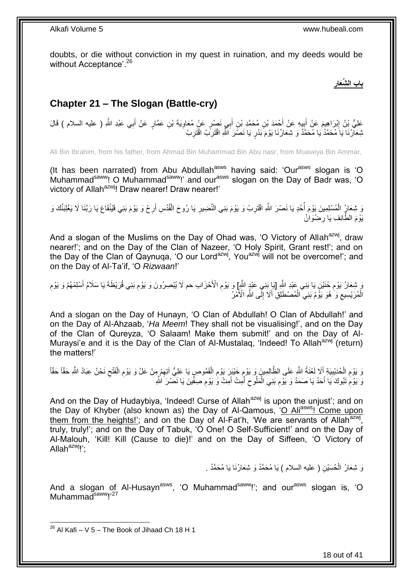doubts, or die without conviction in my quest in ruination, and my deeds would be without Acceptance'.<sup>26</sup>

> **ِ باب ال ِّشَعار**

# <span id="page-17-0"></span>**Chapter 21 – The Slogan (Battle-cry)**

عَلِيُّ بِنُ إِبْرَاهِيمَ عَنْ أَبِيهِ عَنْ أَحْمَدَ بْنِ مُحَمَّدِ بْنِ أَبِي نَصْرٍ عَنْ مُعَاوِيَةَ بْنِ عَمَّارٍ عَنْ أَبِي عَبْدِ اللَّهِ ( عليه السلام ) قَالَ َ َ ¦ َ َ ِ نْبِعَالَٰٓنَا يَا مُحَمَّدُۢ يَا مُحَمَّدُ وَ شِعَارُنَا يَوْمَ بَدْرٍ يَا نَصْرَ النَّهِ اقْتَرِبْ اقْتَرِبْ **∶** ِ

Ali Bin Ibrahim, from his father, from Ahmad Bin Muhammad Bin Abu nasr, from Muawiya Bin Ammar,

(It has been narrated) from Abu Abdullah<sup>asws</sup> having said: 'Our<sup>asws</sup> slogan is 'O Muhammad<sup>saww</sup>! O Muhammad<sup>saww</sup>!' and our<sup>asws</sup> slogan on the Day of Badr was, 'O victory of Allah<sup>azwj</sup>! Draw nearer! Draw nearer!'

وَ شِعَارٍُ الْمُسْلِمِينَ بَوْمَ أُحُدٍ يَا نَصْرَ اللَّهِ اقْتَرِبْ وَ يَوْمَ بَنِي النَّضِيرِ يَا رُوحَ الْقُدُسِ أَرِحْ وَ يَوْمَ بَنِي قَيْنُقَاعَ يَا رَبَّنَا لَا يَغْلِبَنَّكَ وَ ْ ِ اً ْ ِ ِ يَوْمَ الطَّائِفِ يَا رِضْوَانُ **∶** 

And a slogan of the Muslims on the Day of Ohad was, 'O Victory of Allah<sup>azwj</sup>, draw nearer!'; and on the Day of the Clan of Nazeer, 'O Holy Spirit, Grant rest!'; and on the Day of the Clan of Qaynuqa, 'O our Lord<sup>azwj</sup>, You<sup>azwj</sup> will not be overcome!'; and on the Day of Al-Ta'if, 'O *Rizwaan*!'

َوَ شِعَارُ يَوْمِ خُنَيْنٍ يَا بَنِي عَبْدِ اللَّهِ [يَإِ بَنِي عَبْدٍ اللَّهِ] وَ يَوْمِ الْأَحْزَابِ حم لَا يُبْصِرُونَ وَ يَوْمِ بَنِي قُرَيْظَةَ يَا سَلَامُ أَسْلِمْهُمْ وَ يَوْمِ ِ َ ِ ِ ِ الْمُرَ يْسِيعِ وَ ٰ هُوَ يَوْۚمُ بَنِي ۗ الْمُصْطَلِقِۖ أَلَا إِلَّى اللَّهِ الْأَمْرِ ِ اً<br>ا ْ  $\zeta$ ْ

And a slogan on the Day of Hunayn, 'O Clan of Abdullah! O Clan of Abdullah!' and on the Day of Al-Ahzaab, '*Ha Meem*! They shall not be visualising!', and on the Day of the Clan of Qureyza, 'O Salaam! Make them submit!' and on the Day of Al-Muraysi'e and it is the Day of the Clan of Al-Mustalaq, 'Indeed! To Allah<sup>azwj'</sup> (return) the matters!'

وَ يَوْمِ الْحُدَيْبِيَةِ أَلَا لَعْنَةُ اللَّهِ عَلَى الظَّالِمِينَ وَ يَوْمِ خَيْبَرَ يَوْمِ الْقَمُوصِ يَا عَلِيُّ آتِهِمْ مِنْ عَلُ وَ يَوْمِ الْفَتْح نَحْنُ عِبَادُ اللَّهِ حَقّاً حَقّاً ِ ْ ِ ِ َ **!** ْ ِ ِ ْ ِ ُ وَ يَوْمُ تَبُوكَ يَا أَحَدُ يَا صَمَدُ وَ يَوْمِ بَنِي الْمَلُوحِ أَمِتْ أَمِتْ وَّ يَوْمِ صِفِّينَ يَا نَصْرَ اللَّهِ ْ ِ َ **ُ** ِ َ َ  $\zeta$ 

And on the Day of Hudaybiya, 'Indeed! Curse of Allah<sup>azwj</sup> is upon the unjust'; and on the Day of Khyber (also known as) the Day of Al-Qamous, 'O Aliasws! Come upon them from the heights!'; and on the Day of Al-Fat'h, 'We are servants of Allah<sup>azwj</sup>, truly, truly!'; and on the Day of Tabuk, 'O One! O Self-Sufficient!' and on the Day of Al-Malouh, 'Kill! Kill (Cause to die)!' and on the Day of Siffeen, 'O Victory of Allah $a^{2w}$ !':

> وَ شِعَارُ الْمُسَيْنِ ( عليه السلام ) يَا مُحَمَّدُ وَ شِعَارُنَا يَا مُحَمَّدُ . ْ

And a slogan of Al-Husayn<sup>asws</sup>, 'O Muhammad<sup>saww</sup>!'; and our<sup>asws</sup> slogan is, 'O Muhammad<sup>saww</sup>!'<sup>27</sup>

<sup>1</sup>  $^{26}$  Al Kafi – V 5 – The Book of Jihaad Ch 18 H 1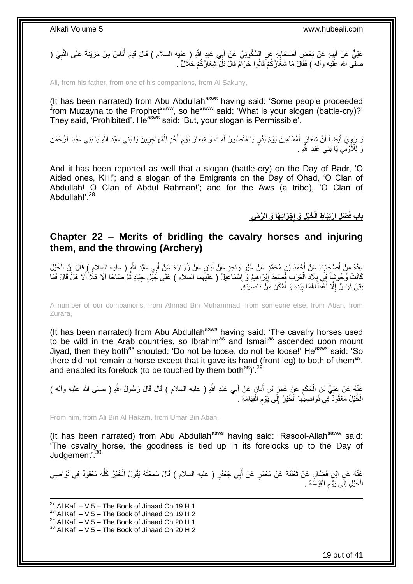عَلِيٌّ عَنْ أَبِيهِ عَنْ بَعْضٍ أَصْحَابِهِ عَنِ السَّكُونِيِّ عَنْ أَبِي عَبْدِ اللَّهِ ( عليه السلام ) قَالَ قَدِمَ أُنَاسٌ مِنْ مُزَيْنَةَ عَلَى النَّبِيِّ ( َ ِ َ ِ َ ِ ا<br>ا صلَّى الله عَليه وآله ) فَقَالَ مَا شِعَارُكُمْ قَالُوا حَرَامٌ قَالَ بَلْ شِعَارُكُمْ حَلَالٌ .

Ali, from his father, from one of his companions, from Al Sakuny,

(It has been narrated) from Abu Abdullah<sup>asws</sup> having said: 'Some people proceeded from Muzayna to the Prophet<sup>saww</sup>, so he<sup>saww</sup> said: 'What is your slogan (battle-cry)?' They said, 'Prohibited'. He<sup>asws</sup> said: 'But, your slogan is Permissible'.

نَ رُوٍيَ أَيْضاً أَنَّ شِعَارَ الْمُسْلِمِينَ يَوْمَ بَدْرٍ يَا مَنْصُورُ أَمِتْ وَ شِعَارَ يَوْمِ أُحُدٍ لِلْمُهَاجِرِينَ يَا بَنِي عَبْدِ الْفَصْرَ الرَّحْمَنِ ْ َ َ ِ<br>پ ِ ْ ا<br>ا ِ َ رَ لِلْأَوْسِ يَا بَنِي عَبْدِ اللَّهِ <sub>.</sub>

And it has been reported as well that a slogan (battle-cry) on the Day of Badr, 'O Aided ones, Kill!'; and a slogan of the Emigrants on the Day of Ohad, 'O Clan of Abdullah! O Clan of Abdul Rahman!'; and for the Aws (a tribe), 'O Clan of Abdullah!' 28

> **ْج َراِئ َها َو ال َّر ْميِ ْض ِل ا ْرتَِبا ِط الْ َخْي ِل َو إ باب فَ ِ**

### <span id="page-18-0"></span>**Chapter 22 – Merits of bridling the cavalry horses and injuring them, and the throwing (Archery)**

عِدَّةٌ مِنْ أَصْحَابِنَا عِنْ أَحْمَدَ بْنِ مُحَمَّدٍ عَنْ غَيْرِ وَاحِدٍ عَنْ أَبَانٍ عَنْ زُرَارَةَ عَنْ أَبِي عَبْدِ اللَّهِ ( عليه السلام ) قَالَ إِنَّ الْخَيْلَ َ َ **∶** َ ِ ْ ֚֚֚֚֬׀֛ كَانَتْ وُحُوشاً فِي بِلَادِ الْعَرَبِ فَمِسَعِدَ إِبْرَاهِيمُ وَ إِسْمَاعِيلُ ( عليهما السلام ) عَلَى جَبْلِ جِيَادٍ ثُمَّ صَاحَا أَلَا هَلاَ فَلاَ فَالَ فَمَا ِ َ َ ا پایا<br>ا ِ ِ ْ بَقِيَ فَرَسٌ إِلَّا أَعْطَاَهُمَا بِيَدِهِ وَ أَمْكَنَ مِنْ نَاصِيَتِهِ ۖ َ **!**  $\ddot{\phantom{a}}$ 

A number of our companions, from Ahmad Bin Muhammad, from someone else, from Aban, from Zurara,

(It has been narrated) from Abu Abdullah<sup>asws</sup> having said: 'The cavalry horses used to be wild in the Arab countries, so Ibrahim<sup>as</sup> and Ismail<sup>as</sup> ascended upon mount Jiyad, then they both<sup>as</sup> shouted: 'Do not be loose, do not be loose!' He<sup>asws</sup> said: 'So there did not remain a horse except that it gave its hand (front leg) to both of them<sup>as</sup>, and enabled its forelock (to be touched by them both<sup>as</sup>)<sup>'.29</sup>

عَذْلُه عَنْ عَلِيٍّ بْنِ الْحَكَمِ عَنْ عُمَرَ بْنِ أَبَانٍ عَنْ أَبِي عَبْدِ اللَّهِ ( عليه السلام ) قَالَ قَالَ رَسُولُ اللَّهِ ( صلى الله عليه وأله )<br>وَعَنْدُ عَلَى مُرْكِبَةٍ مِنْ أَوْلَا مَعْلَمَ عَنْ أَبَانٍ عَنْ أ َ َ ِ ْ الْخَيْلُ مَعْقُودٌ فِي نَوَاصِيَهَا الْخَيْرُ إِلَى يَوْمِ الْقِيَامَةِ . ْ ِ ∣∣<br>∶ ْ ْ

From him, from Ali Bin Al Hakam, from Umar Bin Aban,

(It has been narrated) from Abu Abdullah<sup>asws</sup> having said: 'Rasool-Allah<sup>saww</sup> said: 'The cavalry horse, the goodness is tied up in its forelocks up to the Day of Judgement<sup>'.30</sup>

عَنْهُ عَنِ ابْنِ فَضَّالٍ عَنْ ثَعْلَبَةَ عَنْ مَعْمَرٍ عَنْ أَبِي جَعْفَرٍ ( عليه السلام ) قَالَ سَمِعْتُهُ يَقُولُ الْخَيْرُ كُلُّهُ مَعْقُودٌ فِي نَوَاصِي َ ُّ ْ َ الْخَيْلِ إِلَى يَوْمِ الْقِيَامَةِ . ْ ِ  $\frac{1}{2}$ ْ

1  $^{27}$  Al Kafi – V 5 – The Book of Jihaad Ch 19 H 1  $^{28}$  Al Kafi – V 5 – The Book of Jihaad Ch 19 H 2  $^{29}$  Al Kafi – V 5 – The Book of Jihaad Ch 20 H 1  $30$  Al Kafi – V 5 – The Book of Jihaad Ch 20 H 2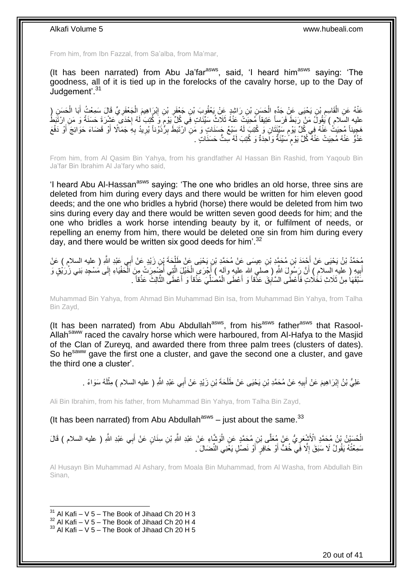From him, from Ibn Fazzal, from Sa'alba, from Ma'mar,

(It has been narrated) from Abu Ja'far<sup>asws</sup>, said, 'I heard him<sup>asws</sup> saying: 'The goodness, all of it is tied up in the forelocks of the cavalry horse, up to the Day of Judgement'.<sup>31</sup>

عَذْهُ عَنِ الْقَاسِمِ بْنِ يَحْيَى عَنْ جَدِّهٍ الْحَسَنِ بْنِ رَاشِدٍ عَنْ يَعْقُوبَ بْنِ فِبْنَوْ بِبْنِ إِبْرَاهِيمَ الْجَعْفَوِيِّ قَالَ سَمِعْتُ أَبَا الْحَسَنِ (ِ ْ ِ ِ ْ ِ ْ ِ ْ َ عليه السَلام ) يَقُولُ مَنْ رَبَطَ فَرَساً عَنِيقاً مُحِيَتْ عَنْهُ ثَلَاثُ سَيِّئَاتٍ فِي كُلِّ يَوْمٍ وَ كُتِبَ لَهُ إِحْدَى عَشْرَةَ حَسَنَةً وَ مَنِ رِرْتَبَطَّ ا.<br>: ֖֖֦֪֦֪֦֧֚֚֚֚֚֚֝֝֝֝֝֝֝֝֝֓֝֝֝֝֝֝֝֝֝֝֝֝֟֟֝֟֝֟֝֟֝֟֝֟֟֓֝ ً مَجِيناً مُحِيَتٌ عَنْهُ فِي كُلِّ يَوْمٍ سَيِّئَتَانِ وَ كُتِبَ لَهُ سَنْعُ جَسَنَاتٍ وَ مَنِ ٱرْتَبَطَ بِرُّذَوْناً يُرِيدُ بِهِ جَمَالًا أَوْ قَضَاءَ حَوَائِجَ أَوْ دَفْعَ ֧֧֧֧֧֧֧֧֓֝֓֝֓֝֓֝֬֟֓֟֓֓֓֟֓֓֟֓֓<del>֛</del> َ َ ِ ِ ِ لَ عَدُوٍّ عَنْهُ مُحِيَتْ عَنْهٌ كُلَّ يَوْم َسَيِّئَةٌ وَاَحِدَةٌ وَ كُتِبَ لَهُ سِتُّ حَسَنَاتٍ . ٍ

From him, from Al Qasim Bin Yahya, from his grandfather Al Hassan Bin Rashid, from Yaqoub Bin Ja'far Bin Ibrahim Al Ja'fary who said,

'I heard Abu Al-Hassan<sup>asws</sup> saying: 'The one who bridles an old horse, three sins are deleted from him during every days and there would be written for him eleven good deeds; and the one who bridles a hybrid (horse) there would be deleted from him two sins during every day and there would be written seven good deeds for him; and the one who bridles a work horse intending beauty by it, or fulfilment of needs, or repelling an enemy from him, there would be deleted one sin from him during every day, and there would be written six good deeds for him'.<sup>32</sup>

َ مُحَمَّدُ بْنُ يَحْيَى عَنْ أَحْمَدَ بْنِ مُحَمَّدِ بْنِ عِيسَى عَنْ مُحَمَّدِ بْنِ يَحْيَى عَنْ طَلْجَةَ بْنِ زَيْدٍ عَنْ أَبِي عَبْدِ اللَّهِ ( عليه السلام ) عَنْ ْ **∶** ِ أَبِيهِ ( عَلَيهِ السّلامِ ) أَنَّ رَسُولَ اللَّهِ ( صَلَّمَ اللَّه عِلْيهِ وآلهٖ ) أَجْرَى الْخَلْلِ الَّتِي أُضِّمْرَتْ مِنَ الْحَفْيَاءِ إِلَى مُسْجِدِ بَنِي زُرُيْقٍ وَ ْ ر<br>ا َّ ْ َ َ **∣** سَّتَقَهَا مِنْ ثَلَاثٍ نَخَلَاتٍ فَأَعْطَى السَّابِقَ عَذْقاً وَ أَعْطَى الْمُصَلِّيَ عَذْقاً وَ أَعْطَى الثَّالِثَ عَذْقاً . :<br>-<br>-**!** ا<br>أ **ٔ** َّ َ **ٔ** ِّ ْ َ

Muhammad Bin Yahya, from Ahmad Bin Muhammad Bin Isa, from Muhammad Bin Yahya, from Talha Bin Zayd,

(It has been narrated) from Abu Abdullah<sup>asws</sup>, from his<sup>asws</sup> father<sup>asws</sup> that Rasool-Allah<sup>saww</sup> raced the cavalry horse which were harboured, from Al-Hafya to the Masjid of the Clan of Zureyq, and awarded there from three palm trees (clusters of dates). So he<sup>saww</sup> gave the first one a cluster, and gave the second one a cluster, and gave the third one a cluster'.

> عَلِيُّ بْنُ إِبْرَاهِيمَ عَنْ أَبِيهِ عَنْ مُحَمَّدِ بْنِ يَحْيَى عَنْ طَلْحَةَ بْنِ زَيْدٍ عَنْ أَبِي عَبْدِ اللَّهِ ( عليه السلام ) مِثْلَهُ سَوَاءً . َ ْ **!** َ ِ لَ **ٔ**

Ali Bin Ibrahim, from his father, from Muhammad Bin Yahya, from Talha Bin Zayd,

(It has been narrated) from Abu Abdullah<sup>asws</sup> – just about the same.<sup>33</sup>

الْحُسَيْنُ بْنُ مُحَمَّدٍ الْأَشْعَرِيُّ عَنْ مُعَلَّى بْنِ مُحَمَّدٍ عَنِ الْوَشَّاءِ عَنْ عَبْدِ اللَّهِ بْنِ سِنَانٍ عَنْ أَبِي عَبْدِ اللَّهِ ( عليه السلام ) قَالَ ْ **∶** َ سَمِعْتُهُ يَقُولُ لَا سَبَقَ إِلَّا فَِي خُفٍّ أَوْ حَافِرٍ أَوْ نَصْلِ يَغْنِي النِّضَالَ . ِ َ َ

Al Husayn Bin Muhammad Al Ashary, from Moala Bin Muhammad, from Al Washa, from Abdullah Bin Sinan,

 $31$  Al Kafi – V 5 – The Book of Jihaad Ch 20 H 3

 $32$  Al Kafi – V 5 – The Book of Jihaad Ch 20 H 4

 $33$  Al Kafi – V 5 – The Book of Jihaad Ch 20 H 5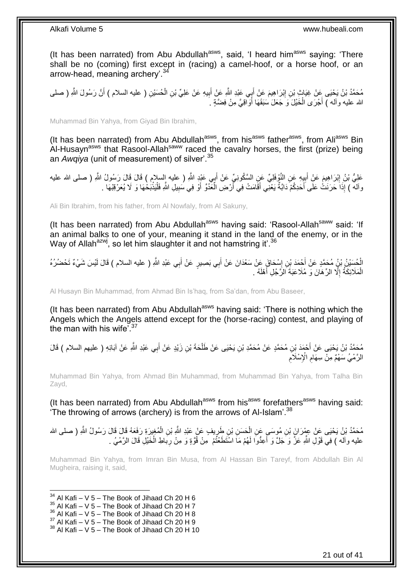(It has been narrated) from Abu Abdullah<sup>asws</sup>, said, 'I heard him<sup>asws</sup> saying: 'There shall be no (coming) first except in (racing) a camel-hoof, or a horse hoof, or an arrow-head, meaning archery<sup>'.34</sup>

مُحَمَّدُ بْنُ يَحْيَى عَنْ غِيَاثٍ بْنِ إِبْرَاهِيمَ عَنْ أَبِي عَبْدِ اللَّهِ عَنْ أَبِيهِ عَنْ عَلِيِّ بْنِ الْحُسَيْنِ ( عليه السلام ) أَنَّ رَسُولَ اللَّهِ ( صلى ْ ِ َ َ ِ َ الله عليه وأله ) أَجْرَى الْخَيْلَ وَ جَعَلَ سَبَقَهَا أَوَاقِيَّ مِنْ فِضَّةٍ . َ ْ َ

Muhammad Bin Yahya, from Giyad Bin Ibrahim,

(It has been narrated) from Abu Abdullah<sup>asws</sup>, from his<sup>asws</sup> father<sup>asws</sup>, from Ali<sup>asws</sup> Bin Al-Husayn<sup>asws</sup> that Rasool-Allah<sup>saww</sup> raced the cavalry horses, the first (prize) being an *Awqiya* (unit of measurement) of silver'.<sup>35</sup>

عَلِيُّ بْنُ إِبْرَاهِيمَ عَنِْ أَبِيِهِ عَنِ النَّوْفَلِيِّ عَنِ السَّكُونِيِّ عَنْ أَبِي عَبْدٍ اللَّهِ ( عليه إِلسلام ) قَالَ قَالَ رَسُولُ اللَّهِ ( صلى الله عليه َ ¦ ِ وآله ) إِذَا حَرَنَتْ عَلَى أَحَدِكُمْ دَابَّةٌ يَعْنِي أَقَامَتْ فِي أَرْضِ الْعََدُوِّ أَوْ فِي سَبِيلِ اللَّهِ فَلْيَذْبَخْهَا وَ لَا يُعَرْقِنْهَا . **ٔ** ْ ِ َ ْ َ َ َ

Ali Bin Ibrahim, from his father, from Al Nowfaly, from Al Sakuny,

(It has been narrated) from Abu Abdullah<sup>asws</sup> having said: 'Rasool-Allah<sup>saww</sup> said: 'If an animal balks to one of your, meaning it stand in the land of the enemy, or in the Way of Allah<sup>azwj</sup>, so let him slaughter it and not hamstring it'.<sup>36</sup>

الْخُسَيْنُ بِيُّ مُحَمَّدٍ عَنْ أَحْمَدَ بْنِ إِسْحَاقَ عَنْ سَعْدَانَ عَنْ أَبِي بَصِبِيرٍ عَنْ أَبِي عَبْدِ اللَّهِ ( عليه السلام ) قَالَ لَيْسَ شَيْءٌ تَحْضُرُهُ ِ َ َ َ الْمَلَائِكَةُ إِلَّا الرِّهَانَ وَ مُلَاعَبَةَ الزَّجُلِ أَهْلَهُ . َ  $\ddot{\phantom{a}}$ ْ

Al Husayn Bin Muhammad, from Ahmad Bin Is'haq, from Sa'dan, from Abu Baseer,

(It has been narrated) from Abu Abdullah<sup>asws</sup> having said: 'There is nothing which the Angels which the Angels attend except for the (horse-racing) contest, and playing of the man with his wife<sup>'.37</sup>

مُحَمَّدُ بْنُ يَحْيَى عَنْ أَحْمَدَ بْنِ مُحَمَّدٍ عَنْ مُحَمَّدِ بْنِ يَحْيَى عَنْ طَلْحَةَ بْنِ زَيْدٍ عَنْ أَبِي عَبْدِ اللَّهِ عَنْ آبَائِهِ ( عليهم السلام ) قَالَ<br>مَعَنَّدُ بْنُ يَحْيَى عَنْ أَحْمَدَ بْنِ مُحَمَّدٍ َ ْ ِ الرَّمْيُ سَهْمٌ مِنْ سِهَامِ الْإِسْلَاَمِ ِ

Muhammad Bin Yahya, from Ahmad Bin Muhammad, from Muhammad Bin Yahya, from Talha Bin Zayd,

(It has been narrated) from Abu Abdullah<sup>asws</sup> from his<sup>asws</sup> forefathers<sup>asws</sup> having said: The throwing of arrows (archery) is from the arrows of Al-Islam<sup>'.38</sup>

مُحَمَّدُ بْنُ يَحْيَى عَنْ عِبْرَانَ بْنِ مُوسَى عَنِ الْحَسَنِ بْنِ طَرِيفٍ عَنْ عَبْدِ اللَّهِ بْنِ الْمُغِيرَةِ رَفَعَهُ قَالَ قَالَ رَسُولُ اللَّهِ ( صلى الله ْ ِ ْ عليه وآله ) فِيَ قَوْلِ اللَّهِ عَزَّ وَ جَلَّ وَ أَعِدُّوا لَهُمْ مَا اسْتَطَعْتُمْ ۚ مِنْ قُوَّةٍ وَ مِنْ رِبَاطِ الْخَيْلِ قَالَ الرَّمْـيُ . ْ ِ <u>أ</u>

Muhammad Bin Yahya, from Imran Bin Musa, from Al Hassan Bin Tareyf, from Abdullah Bin Al Mugheira, raising it, said,

 $34$  Al Kafi – V 5 – The Book of Jihaad Ch 20 H 6

- $35$  Al Kafi V 5 The Book of Jihaad Ch 20 H 7
- $36$  Al Kafi V 5 The Book of Jihaad Ch 20 H 8
- $37$  Al Kafi V  $5$  The Book of Jihaad Ch 20 H 9

 $38$  Al Kafi – V 5 – The Book of Jihaad Ch 20 H 10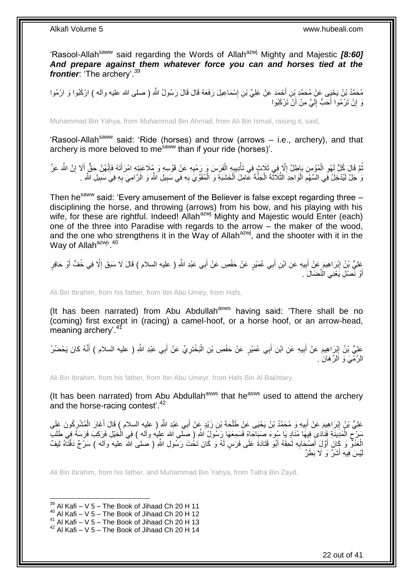'Rasool-Allah<sup>saww</sup> said regarding the Words of Allah<sup>azwj</sup> Mighty and Majestic *[8:60] And prepare against them whatever force you can and horses tied at the frontier*: 'The archery'.<sup>39</sup>

مُحَمَّدُ بْنُ يَحْيَى عَنْ مُحَمَّدِ بْنِ أَحْمَدَ عَنْ عَلِيٍّ بْنِ إِسْمَاعِيلَ رَفَعَهُ قَالَ قَالَ رَسُولُ اللَّهِ ( صلى الله عليه وآله ) ارْكَبُوا وَ ارْمُوا ِ َ رَ إِنْ تَرْمُوا أَحَبُّ إِلَيَّ مِنْ أَنْ تَرْكَبُوا اً لَ ∣∣<br>∶ יֲ<br>י

Muhammad Bin Yahya, from Muhammad Bin Ahmad, from Ali Bin Ismail, raising it, said,

'Rasool-Allah<sup>saww</sup> said: 'Ride (horses) and throw (arrows – i.e., archery), and that archery is more beloved to me<sup>saww</sup> than if your ride (horses)'.

نُّمَّ قَالَ كُلُّ لَهْوِ الْمُؤْمِنِ بَاطِلٌ إِلَّا فِي ثَلَاثٍ فِي تَأْدِيبِهِ الْفَرَسَ وَ رَمْيِهِ عَنْ قَوْسِهِ وَ مُلَاعَبَتِهِ امْرَأَتَهُ فَإِنَّهُنَّ حَقٌّ إِلَا إِنَّ اللَّهَ عَزَّ ْ ِ ْ ِ ُ ِ َ ∣اٍ َ ِ ْ ¦ ىَ جَلَّ لَيُدْخِلُ فِي السَّهْمِ الْوَاحِدِ الثَّلَاثُةَ الْجَنَّةَ عَامِلَ اَلْخَشَبَةِ وَ الْمُقَوِّيَ بِهِ فِي سَبِيلِ الثَّهِ وَ الرَّامِيَ بِهِ فِي سَبِيلِ الثَّهِ . **!** ِ ْ ْ ْ َّ ْ ِ ِ ِ

Then he<sup>saww</sup> said: 'Every amusement of the Believer is false except regarding three disciplining the horse, and throwing (arrows) from his bow, and his playing with his wife, for these are rightful. Indeed! Allah<sup>azwj</sup> Mighty and Majestic would Enter (each) one of the three into Paradise with regards to the arrow – the maker of the wood, and the one who strengthens it in the Way of Allah<sup>azwj</sup>, and the shooter with it in the Way of Allah<sup>azwj</sup>'.<sup>40</sup>

**!** بَعْلِيُّ بْنُ إِبْرَاهِيمَ عَنْ أَبِيهِ عَنِ ابْنِ أَبِي عُمَيْرٍ عَنْ حَفْصٍ عَنْ أَبِي عَبْدِ اللَّهِ ( عليه السلام ) قَالَ لَا سَبَقَ إِلَّا فِي خُفٍّ أَوْ حَافِرٍ َ ِ َ ِ َ َ أَوْ نَصْلٍ يَعْنِي الْنِّصَالَ ۚ. َ

Ali Bin Ibrahim, from his father, from Ibn Abu Umey, from Hafs,

(It has been narrated) from Abu Abdullah<sup>asws</sup> having said: 'There shall be no (coming) first except in (racing) a camel-hoof, or a horse hoof, or an arrow-head, meaning archery'.<sup>41</sup>

َ عَلِيُّ بْنُ إِبْرَاهِيمَ عَنْ أَبِيهِ عَنِ ابْنِ أَبِي عُمَيْرٍ عَنْ حَفْصِ بْنِ الْبَخْتَرِيِّ عَنْ أَبِي عَبْدِ اللَّهِ ( عليه السلام ) أَنَّهُ كَانَ يَحْضُرُ ِ ْ َ **!** َ **ֽ**ו َ الرَّمْـيَ وَ الرِّهَانَ .

Ali Bin Ibrahim, from his father, from Ibn Abu Umeyr, from Hafs Bin Al Bakhtary,

(It has been narrated) from Abu Abdullah<sup>asws</sup> that he<sup>asws</sup> used to attend the archery and the horse-racing contest<sup>'.42</sup>

عَلِيُّ بْنُ إِبْرَاهِيمَ عَنْ أَبِيهِ وَ مُحَمَّدُ بْنُ يَحْيَى عَنِْ طَلْحَةَ بْنِ زَيْدٍ عَنْ أَبِي عَبْدِ اللَّهِ ( عليه السلام ) قَالَ أَغَارَ الْمُشْرِكُونَ عَلَى َ ْ **!** َ ِ ِ ْ َ سَرْحِ الْمَدِينَةِ فَنَادَىِ فِيهَا مُنَادٍ يَا سُوءَ صَبَاحَاهْ فَسَمِعَهَا رَسُولُ اللّهِ ( صَلّمى الله عليه وأله ) فِي الْخَيْلِ فَرَكِبَ فَرَسَهُ فِي طَلَب ْ ِ ْ الْعَدُوٌّ وَ كَانَ أَوَّلَ أَصْبِحَابِهِ لَحِقَهُ أَبُو قَتَادَةَ عَلَى فَرَسٍ لَهُ وَ كَانَ تَخُتَ رَسُولِ اللَّهِ ( صلى الله عليه وآله ) سَرْجٌ دَقَّتَاهُ لِيفٌ َ **∶** َ َ ْ يْسَ فِيهِ أَشَرٌ وَ لَا بَطَرٌ َ لَ

Ali Bin Ibrahim, from his father, and Muhammad Bin Yahya, from Talha Bin Zayd,

 $39$  Al Kafi – V 5 – The Book of Jihaad Ch 20 H 11

 $40$  Al Kafi – V 5 – The Book of Jihaad Ch 20 H 12

<sup>41</sup> Al Kafi –  $V$  5 – The Book of Jihaad Ch 20 H 13

 $42$  Al Kafi – V 5 – The Book of Jihaad Ch 20 H 14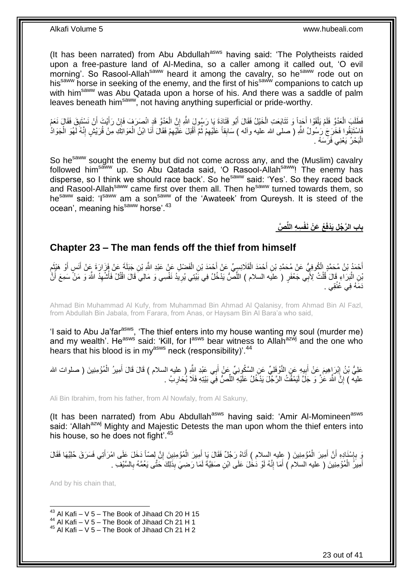(It has been narrated) from Abu Abdullah<sup>asws</sup> having said: 'The Polytheists raided upon a free-pasture land of Al-Medina, so a caller among it called out, 'O evil morning'. So Rasool-Allah<sup>saww</sup> heard it among the cavalry, so he<sup>saww</sup> rode out on his<sup>saww</sup> horse in seeking of the enemy, and the first of his<sup>saww</sup> companions to catch up with him<sup>saww</sup> was Abu Qatada upon a horse of his. And there was a saddle of palm leaves beneath him<sup>saww</sup>, not having anything superficial or pride-worthy.

فَطَّلَبَ الْعَدُوَّ فَلَمْ يَلْقَوْا أَحَدٍاً وَ تَتَابَعَتِ الْخَيْلُ فَقَالَ أَبُو قَتَادَةَ يَا رَسُولَ اللَّهِ إِنَّ الْعَدُوَّ قَدِ انْصَرَفٍ فَإِنْ رَأَيْتَ أَنْ نَسْتَبِقَ فَقَالَ نَعَمْ ْ ِ ْ َ ْ ْ ِ َ َ ∣ļ فَاسْتَنَقُوا فَخَرَجَ ٰرَسُولُ اللَّهِ ( صلى الله عليه وأله ) سَابِقاً عَلَيْهِمْ ثُمَّ أَقْبَلَ عَلَيْهِمْ فَقَالَ أَنَا ابْنُ الْعَوَالِنَكِ مِنْ قُرَيْشٍ إِنَّهُ لَهُوَ الْحَوَادُ ْ ِ ْ َ ِ َ ا دیکھیے ِ الْبَحْرُ يَعْنِي فَرَسَهُ . :<br>ا

So he<sup>saww</sup> sought the enemy but did not come across any, and the (Muslim) cavalry followed him<sup>saww</sup> up. So Abu Qatada said, 'O Rasool-Allah<sup>saww</sup>! The enemy has disperse, so I think we should race back'. So he<sup>saww</sup> said: 'Yes'. So they raced back and Rasool-Allah<sup>saww</sup> came first over them all. Then he<sup>saww</sup> turned towards them, so he<sup>saww</sup> said: 'I<sup>saww</sup> am a son<sup>saww</sup> of the 'Awateek' from Qureysh. It is steed of the ocean', meaning his<sup>saww</sup> horse'.<sup>43</sup>

**َّص ِس ِه اللِّ ُع َع ْن َنفْ باب ال َّر ُج ِل َيْدفَ**

## <span id="page-22-0"></span>**Chapter 23 – The man fends off the thief from himself**

أَحْمَدُ بْنُ مُحَمَّدٍ الْكُوفِيُّ عَنْ مُحَمَّدِ بْنِ أَحْمَدَ الْقَلَانِسِيِّ عَنْ أَحْمَدَ بْنِ الْفَضْلِ عَنْ عَبْدِ اللَّهِ بْنِ جَبَلَةَ عَنْ فَزَارَةَ عَنْ أَنَسٍ أَوْ هَيْئِمِ ْ َ ْ َ ِ َ َ َ بْنِ الْبَرَاءِ قَالَ قُلْتُ لِأَبِّي جَعْفَرٍ ( عليه السلام ) اللِّصُّ يَذْخُلُ فِي بََيْتِي يُرِيدُ نَفْسِي وَ مَالِيَ قَالَ اقْتُلْ فَأُشْهِدُ اللَّهَ وَ مَنْ سَمِعَ أَنَّ ِ ِّ ْ ْ َ ِ ُ دَمَّهُ فِي عُٰنُقِي .

Ahmad Bin Muhammad Al Kufy, from Muhammad Bin Ahmad Al Qalanisy, from Ahmad Bin Al Fazl, from Abdullah Bin Jabala, from Farara, from Anas, or Haysam Bin Al Bara'a who said,

'I said to Abu Ja'far<sup>asws</sup>, 'The thief enters into my house wanting my soul (murder me) and my wealth'. He<sup>asws</sup> said: 'Kill, for I<sup>asws</sup> bear witness to Allah<sup>azwj</sup> and the one who hears that his blood is in my<sup>asws</sup> neck (responsibility)<sup>'.44</sup>

عَلِيُّ بْنُ إِبْرَ إِهِيمَ عَنْ أَبِيهِ عَنِ النَّوْفَلِيِّ عَنِ السَّكُونِيِّ عَنْ أَبِي عَبْدِ اللَّهِ ( عليه السلام ) قَالَ قَالَ أَمِيرُ الْمُؤْمِنِينَ ( صلوات الله َ  $\frac{1}{2}$ َ ِ ْ َ عليه ) إِنَّ اللَّهَ عَٰزَ وَ جَلَّ لَيَمْقُتُ الرَّجْلَ يَدْخُلُ عَلَيْهِ ۗاللِّصُّ فِي بَيْتِهِ فَلَا يُحَارِبُ . ِّ ا

Ali Bin Ibrahim, from his father, from Al Nowfaly, from Al Sakuny,

(It has been narrated) from Abu Abdullah<sup>asws</sup> having said: 'Amir Al-Momineen<sup>asws</sup> said: 'Allah<sup>azwj</sup> Mighty and Majestic Detests the man upon whom the thief enters into his house, so he does not fight<sup>'.45</sup>

وَ بِإِسْنَادِهِ أَنَّ أَمِيرَ الْمُؤْمِنِينَ ( عِليه السلام ) أَتَاهُ رَجُلٌ فَقَالَ يَا أَمِيرَ الْمُؤْمِنِينَ إِنَّ لِصَّاً دَخَلَ عَلَى امْرَأَتِي فَسَرَقَ حُلِيَّهَا فَقَالَ ِ ْ َ َ ْ َ ِ ِ َ أَمِيزُ الْمُؤْمِنِينَ ( عليه السلام ) أَمَا إِنَّهُ لَوْ دَٰخْلَ عَلَى ابْنِ صَفِيَّةَ لَمَا رَضِيَ بِذَلِكَ حَتَّى يَعُمَّهُ بِالسَّيْفِ . ْ َ ِ ِ َ

And by his chain that,

1

 $^{44}$  Al Kafi – V 5 – The Book of Jihaad Ch 21 H 1

 $43$  Al Kafi – V 5 – The Book of Jihaad Ch 20 H 15

 $45$  Al Kafi – V 5 – The Book of Jihaad Ch 21 H 2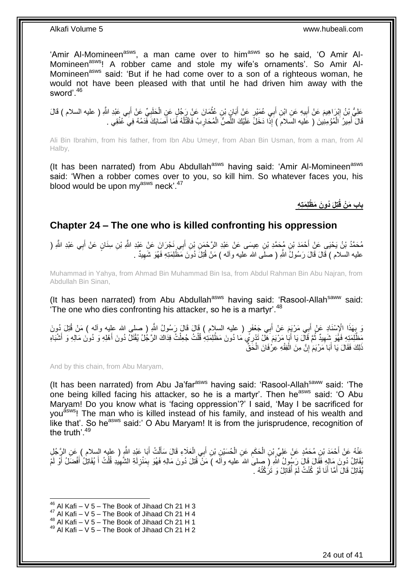'Amir Al-Momineen<sup>asws</sup>, a man came over to him<sup>asws</sup> so he said, 'O Amir Al-Momineen<sup>asws</sup>! A robber came and stole my wife's ornaments'. So Amir Al-Momineen<sup>asws</sup> said: 'But if he had come over to a son of a righteous woman, he would not have been pleased with that until he had driven him away with the sword'.<sup>46</sup>

عَلِيُّ بْنُ إِبْرَاهِيمَ عَنْ أَبِيهِ عَنِ ابْنِ أَبِي عُمَيْرٍ عَنْ أَبَانٍ بْنِ عُثْمَانَ عَنْ رَجُلٍ عَنِ الْحَلَبِيِّ عَنْ أَبِي عَبْدِ اللَّهِ ( عليه السلام ) قَالَ َ َ **!** َ ِ ْ ْ قَالَ أَمِيرُ الْمُؤْمِنِينَ ( عَليه السلامَ ) إِذَا دَخَلَّ عَلَيْكَ اللَّصُّ الْمُحَارِبُ فَاقْتُلْهُ فَمَا أَصَابَكَ فَدَمُهُ فِي عُنُقِي . َ ْ **∶** ْ ِّ ْ َ

Ali Bin Ibrahim, from his father, from Ibn Abu Umeyr, from Aban Bin Usman, from a man, from Al Halby,

(It has been narrated) from Abu Abdullah<sup>asws</sup> having said: 'Amir Al-Momineen<sup>asws</sup> said: 'When a robber comes over to you, so kill him. So whatever faces you, his blood would be upon myasws neck'.<sup>47</sup>

**ُدو َن َم ْظلِ َمتِ ِه تِلَ باب َم ْن قُ**

### <span id="page-23-0"></span>**Chapter 24 – The one who is killed confronting his oppression**

مُحَمَّدُ بْنُ يَحْيَى عَنِْ أَحْمَدَ بْنِ مُحَمَّدِ بْنِ عِيسَى عَنْ عَبْدِ الرَّحْمَنِ بْنِ أَبِي نَجْرَانَ عَنْ عَبْدِ اللَّهِ بْنِ سِنَانٍ عَنْ أَبِي عَبْدِ اللَّهِ ( َ **∶** َ عليه السلام ) قَالَ قَالَ رَسُولٌ اللَّهِ ( صلَّى الله عليه وآله ) مَنْ قُتِلَ دُوَنَ مَظْلِمَتِهِ فَهُوَ شَهِيدٌ . ِ

Muhammad in Yahya, from Ahmad Bin Muhammad Bin Isa, from Abdul Rahman Bin Abu Najran, from Abdullah Bin Sinan,

(It has been narrated) from Abu Abdullah<sup>asws</sup> having said: 'Rasool-Allah<sup>saww</sup> said: 'The one who dies confronting his attacker, so he is a martyr'.<sup>48</sup>

َ بِهَذَا الْإِسْنَادِ عَنْ أَبِي مَرْيَمَ عَنْ أَبِي جَعْفَرٍ ( عليه السلام ) قَالَ قَالَ رَسُولُ اللَّهِ ( صلى الله عليه وآله ) مَنْ قُتِلَ دُونَ<br>وَ يَمِنَّذَا الْإِسْنَادِ عَنْ أَبِي مَرْيَمَ عَنْ أَبِي جَعْفَرٍ ( الجه َ َ ِ مَظْٰلِمَتِهِ فَهُوَ شَهِيدٌ ثُمَّ فَالَّ يَا أَبَٰا مَرْيَمَ هَلْ تَدْرِمِّي مَا دُونَ مَظْلِمَتِهِ قُلْتُ جُعِلْتُ فِدَاكَ الرَّجُلُ يُقْتَلُ دُونَ أَهْلِهِ وَ دُونَ مَالِهِ وَ أَشْبَاهِ<br>نَنْدَ تَبَرَّتُ تَمْسَلِ بِهِ م ْ ْ َ .<br>• • • • ِ َ َ ذَلِكَ فَقَالَ يَا أَبَا مَرْيَمَ إِنَّ مِنَ الْفِقْهِ عِرْفَانَ الْحَقِّ ْ ֧<u>׀</u> َ ْ

And by this chain, from Abu Maryam,

(It has been narrated) from Abu Ja'far<sup>asws</sup> having said: 'Rasool-Allah<sup>saww</sup> said: 'The one being killed facing his attacker, so he is a martyr'. Then he<sup>asws</sup> said: 'O Abu Maryam! Do you know what is 'facing oppression'?' I said, 'May I be sacrificed for you<sup>asws</sup>! The man who is killed instead of his family, and instead of his wealth and like that'. So he<sup>asws</sup> said:' O Abu Marvam! It is from the jurisprudence, recognition of the truth'.<sup>49</sup>

عَنْهُ عَنْ أَحْمَدَ بْنِ مُحَمَّدٍ عَنْ عَلِيٍّ بْنِ الْحَكَمِ عَنِ الْحُسَيْنِ بْنِ أَبِي الْعَلَاءِ قَالَ سَأَلْتُ أَبَا عَبْدِ اللَّهِ ( عليه السلام ) عَنِ الرَّجُلِ<br>ِ َ ْ َ ْ َ ْ ِ ْ ُقَاتِلُ دُونَ مَالِهِ فَقَالَ قَالَ رَسُولُ ٱللَّهِ (َ صِلمَىٰ اللهَ عليه وآلَه )َ مَنْ ۖ قُتِلَ دُونَ مَالِهِ فَهُوَ بِمَنْزِلَةِ الشَّهِيدِ قُلْتُ أَ يُقَاتِلُ أَفْضَلُ أَوْ لَمْ َ َ َ ْ ِ لَ ِ ِ يُقَاتِلْ قَالَ أَمَّا أَنَا لَوْ كُنْتُ لَمْ أَقَاتِلْ وَ تَرَكْتُهُ . ُ َ َ

1

 $48$  Al Kafi – V 5 – The Book of Jihaad Ch 21 H 1

 $46$  Al Kafi – V 5 – The Book of Jihaad Ch 21 H 3

 $47$  Al Kafi – V 5 – The Book of Jihaad Ch 21 H 4

 $49$  Al Kafi – V 5 – The Book of Jihaad Ch 21 H 2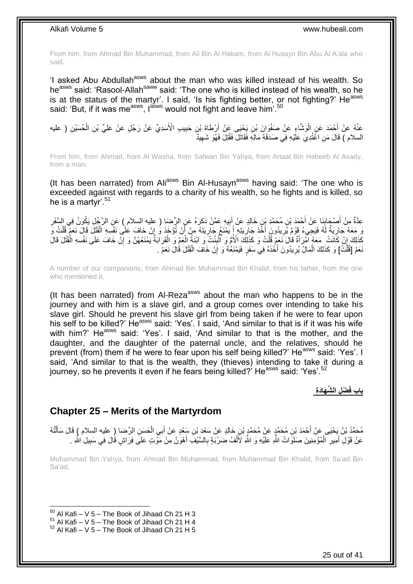From him, from Ahmad Bin Muhammad, from Ali Bin Al Hakam, from Al Husayn Bin Abu Al A'ala who said,

'I asked Abu Abdullah<sup>asws</sup> about the man who was killed instead of his wealth. So heasws said: 'Rasool-Allahsaww said: 'The one who is killed instead of his wealth, so he is at the status of the martyr'. I said, 'Is his fighting better, or not fighting?' He<sup>asws</sup> said: 'But, if it was me<sup>asws</sup>, l<sup>asws</sup> would not fight and leave him<sup>'.50</sup>

عَنْهُ عَنْ أَحْمَدَ عَنِ الْوَشَاءِِ عَنْ صَفْوَانَ بْنِ يَحْيَى عَنْ أَرْطَاةَ بْنٍ حَبِيبِ الْأَسَدِيِّ عَنْ رَجُلٍ عَنْ عَلِيٍّ بْنِ الْحُسَيْنِ ( عليه ِ ْ ْ السلام ) قَالَ مَنِ اغْتُدِيَ عَلَيْهِ فِي صَدَقَةِ مَالِهِ فَقَاتَلَ فَقُتِلَ فَهُوَ شَهِيدٌ ِ

From him, from Ahmad, from Al Washa, from Safwan Bin Yahya, from Artaat Bin Habeeb Al Asady, from a man,

(It has been narrated) from Ali<sup>asws</sup> Bin Al-Husayn<sup>asws</sup> having said: 'The one who is exceeded against with regards to a charity of his wealth, so he fights and is killed, so he is a martyr<sup>'.51</sup>

عِدَّةٌ مِنْ أَصْجَابِنَا عَنْ أَحْمَدَ بْنِ مُحَمَّدِ بْنٍ خَالِدٍ عَنْ أَبِيهِ عَمَّنْ ذَكَرَهُ عَنِ الرِّضَا ( عليه السلام ) عَنِ الرَّجُلِ يَكُونُ فِي السَّفَرِ ِ َ َ **∣** َ ِ يَ مَعَهُ جَارِيَةٌ لَهُ فَيَجِيءُ قَوْمٌ يُرِيدُونَ أَخْذَ جَارِيَتِهِ إَنَيَمْنَعُ جَارِيَتَهُ مِنْ أَنْ تُؤخَذَ وَ إِنْ خَافَ عَلْى نَفْسِهِ الْقَتْلَ قَالَ نَعَمْ قُلْتُ وَ لَ ِ ْ ِ َ ِ َ ِ ِ ْ كَّذَلِكَ إِنْ كَاَنَتْ ِ مَعَهُ اَمْرَأَةٌ قَالَ َنَعَمْ قُلْتُ وَ كَذَلِكَ الْأُمُّ وَ الّْذِنتُ وَ ابْنَةُ الْعَمّ وَ الْقَرَابَةُ يَمْنَعُهُنَّ وَ إِنْ خَافَ عَلَى نَفْسِهِ الْقُتْلَ قَالَ ْ َ ِ ْ ِ ْ ْ ِ ْ نَعَمْ [قُلْتُ] وَ كَذَلِكَ الْمَالُ يُرِيدُونَ أَخْذَهُ فِي سَفَرٍ فَيَمْنَعُهُ وَ إِنْ خَافَ الْقَتْلَ قَالَ نَعَمْ ْ ِ َ ِ ْ ْ

A number of our companions, from Ahmad Bin Muhammad Bin Khalid, from his father, from the one who mentioned it,

(It has been narrated) from Al-Reza<sup>asws</sup> about the man who happens to be in the journey and with him is a slave girl, and a group comes over intending to take his slave girl. Should he prevent his slave girl from being taken if he were to fear upon his self to be killed?' He<sup>asws</sup> said: 'Yes'. I said, 'And similar to that is if it was his wife with him?' He<sup>asws</sup> said: 'Yes'. I said, 'And similar to that is the mother, and the daughter, and the daughter of the paternal uncle, and the relatives, should he prevent (from) them if he were to fear upon his self being killed?' He<sup>asws</sup> said: 'Yes'. I said, 'And similar to that is the wealth, they (thieves) intending to take it during a journey, so he prevents it even if he fears being killed?' He<sup>asws</sup> said: 'Yes'.<sup>52</sup>

**ْض ِل ال َّش َهاَدِة باب فَ**

### <span id="page-24-0"></span>**Chapter 25 – Merits of the Martyrdom**

مُحَمَّدُ بْنُ يَحْيَى عَنْ أَحْمَدَ بْنِ مُحَمَّدٍ عَنْ مُحَمَّدٍ بْنِ خَالِدٍ عَنْ سَعْدِ بْنِ سَعْدٍ عَنْ أَبِي الْحَسَنِ الرِّضَا (ِ عليه السلام ) قَالَ سَأَلْتُهُ ْ َ ْ َ عَنْ قَوْلِ أَمِيرِ ۖ الْمُؤْمِنِينَ صَلَوَاتُ اللَّهِ عَلَيْهِ وَ اللَّهِ لَأَلْفُ ضَرْبَةٍ بِالسَّيْفِ أَهْوَنُ مِنْ مَوْتٍ عَلَى فِرَاشٍ قُالَ فِي سَبِيلِ اللَّهِ . َ **∶** ْ ْ ِ َ ِ

Muhammad Bin Yahya, from Ahmad Bin Muhammad, from Muhammad Bin Khalid, from Sa'ad Bin Sa'ad,

 $50$  Al Kafi – V 5 – The Book of Jihaad Ch 21 H 3

 $51$  Al Kafi – V 5 – The Book of Jihaad Ch 21 H 4

 $52$  Al Kafi – V 5 – The Book of Jihaad Ch 21 H 5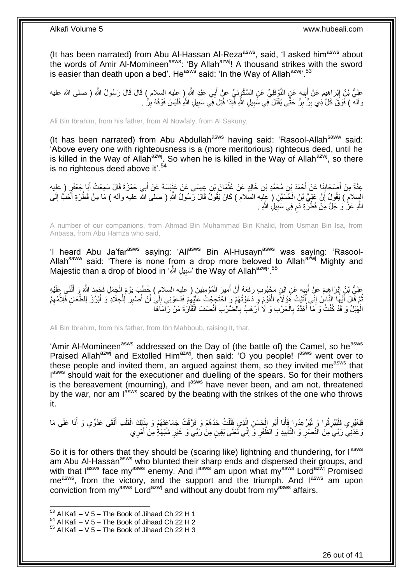(It has been narrated) from Abu Al-Hassan Al-Reza<sup>asws</sup>, said, 'I asked him<sup>asws</sup> about the words of Amir Al-Momineen<sup>asws</sup>: 'By Allah<sup>azwj</sup>! A thousand strikes with the sword is easier than death upon a bed'. He<sup>asws</sup> said: 'In the Way of Allah<sup>azwj', 53</sup>

عَلِيُّ بْنُ إِبْرَاهِيمَ عَنْ أَبِيهٍ عَنٍ النَّوْفِلِيِّ عَنِ السَّكُونِيِّ عَنْ أَبِي عَبْدِ اللَّهِ إِ عليه السلام ) قَالَ قَالَ رَسُولُ اللَّهِ ( صلى الله عليه َ **!** ِ وآله ) فَوْقَ كُلِّ ذِي بِرٍّ بِرٍّ حَتَّى يُقْتَلَ فِي سَبِيلِ اللَّهِ فَإِذَا قُتِلَ فِي سَبِيلِ اللَّهِ فَلَيْسَ فَوْقَهُ بِرٌّ ِ ِ ِ **!** 

Ali Bin Ibrahim, from his father, from Al Nowfaly, from Al Sakuny,

(It has been narrated) from Abu Abdullah<sup>asws</sup> having said: 'Rasool-Allah<sup>saww</sup> said: 'Above every one with righteousness is a (more meritorious) righteous deed, until he is killed in the Way of Allah<sup>azwj</sup>. So when he is killed in the Way of Allah<sup>azwj</sup>, so there is no righteous deed above it'.<sup>54</sup>

عِدَّةٌ مِنْ أَصْحَابِذَا عَنْ أَحْمَدَ بْنِ مُحَمَّدِ بْنِ خَالِدٍ عَنْ عُثْمَانَ بْنِ عِيسَى عَنْ عَنْنِسَةَ عَنْ أَبِي حَمْزَةَ قَالَ سَمِعْتُ أَبَا جَعْفَرٍ (عِلْبِه َ ِ َ َ َ ْ السِلامِ ) يَقُولُ إِنَّ عَلِيَّ بْنَ الْحُسَيْنِ ( عِلِّيه السَلام ) كَانَ يَقُولُ قَالَ رَسُولُ اللَّهِ ( صلى الله عليه وآله ) مَا مِنْ قَطْرَةٍ أَحَبُّ إِلَى ْ ِ َ لَ ِ اللَّهِ عَزُّ وَ جَلَّ مِنْ قَطْرَةِ دَمٍ فِي سَبِيلِ اللَّهِ . **!** م

A number of our companions, from Ahmad Bin Muhammad Bin Khalid, from Usman Bin Isa, from Anbasa, from Abu Hamza who said,

'I heard Abu Ja'far<sup>asws</sup> saying: 'Ali<sup>asws</sup> Bin Al-Husayn<sup>asws</sup> was saying: 'Rasool-Allah<sup>saww</sup> said: 'There is none from a drop more beloved to Allah<sup>azwj</sup> Mighty and Majestic than a drop of blood in 'سَبِيلِ اللَّهِ ' the Way of Allah $^{azwj}$ .  $^{55}$ ِ

عَلِيُّ بْنُ إِبْرَاهِيمَ عَنْ أَبِيهِ عَنِ ابْنِ مَجْبُوبِ رَفَعَهُ أَنَّ أَمِيرَ الْمُؤْمِنِينَ ( عليه السلام ) خَطَبَ يَوْمَ الْجَمَلِ فَجَمِدَ اللَّهِ وَ أَثْنَى عَلَيْهِ<br>بَيْتِ بِمُ يَرْسُ الْمَدِينَ مِّن الْبَيْتِ مِ َ اُ ِ َ ِ **ٔ** َ ْ ْ ُمَّ قَالَ أَيُّهَا النَّاسُ إِنِّي أَنَّيْتُ هَوُ لَاَءِ الْقَوْمَ وَ دَعَوْتُهُمْ وَ احْتَجِجْتُ عَلَيْهِمْ فَدَعَوْنِي إِلَى أَنْ أَصْبِرَ لِلْجِلَادِ وَ أَبْرُزَ لِلطِّعَانِ فَلِأُمَّهِم ِ ِ ْ َ ِ َ َ ْ ِ َ ِ الْهَبَلُ وَ قَدْ كُنْتُ وَ مَآ أَهَدَّدُ بِالْحَرْبِ وَ لَا أَرْهَبُ بِالْضَّرْبِ أَنْصَفَ الْقَارَةَ مَنْ رَآمَاهَا ْ َ **∶** ر<br>ا ْ **∶** ا<br>أ ْ

Ali Bin Ibrahim, from his father, from Ibn Mahboub, raising it, that,

'Amir Al-Momineen<sup>asws</sup> addressed on the Day of (the battle of) the Camel, so he<sup>asws</sup> Praised Allah<sup>azwj</sup> and Extolled Him<sup>azwj</sup>, then said: 'O you people! I<sup>asws</sup> went over to these people and invited them, an argued against them, so they invited me<sup>asws</sup> that lasws should wait for the executioner and duelling of the spears. So for their mothers is the bereavement (mourning), and  $I^{asws}$  have never been, and am not, threatened by the war, nor am  $I^{absws}$  scared by the beating with the strikes of the one who throws it.

فَلِغَيْرِي فَأَيْبْرِقُوا وَ لِيُرْعِدُوا فَأَنَا أَبُو الْجَسَنِ الَّذِي فَلَلْتُ حَدَّهُمْ وَ فَرَّقْتُ جَمَاعَتَهُمْ وَ بِذَلِكَ الْقَلْبِ أَلْقَى عَدُوِّي وَ أَنَا عَلَى مَا ا<br>ا **∶** ا<br>ا َ ْ َ ْ ْ ْ َّ ْ َ َ وَ عَذَنِي رَبِّيَ مِنَ النَّصْرِ وَ الثَّأْبِيدِ وَ الظُّفَرِ وَ إِنِّي لَعَلَى يَقِينٍ مِنْٰ رَبِّي وَ غَيْرِ شُبْهَةٍ مِنْ َأَمْرِي ِ ِ **∶ !** ْ ِ ِ َ

So it is for others that they should be (scaring like) lightning and thundering, for lasws am Abu Al-Hassan<sup>asws</sup> who blunted their sharp ends and dispersed their groups, and with that l<sup>asws</sup> face my<sup>asws</sup> enemy. And l<sup>asws</sup> am upon what my<sup>asws</sup> Lord<sup>azwj</sup> Promised me<sup>asws</sup>, from the victory, and the support and the triumph. And lasws am upon conviction from  $my<sup>asws</sup>$  Lord<sup>azwj</sup> and without any doubt from  $my<sup>asws</sup>$  affairs.

 $53$  Al Kafi – V 5 – The Book of Jihaad Ch 22 H 1

 $54$  Al Kafi – V 5 – The Book of Jihaad Ch 22 H 2

 $55$  Al Kafi – V 5 – The Book of Jihaad Ch 22 H 3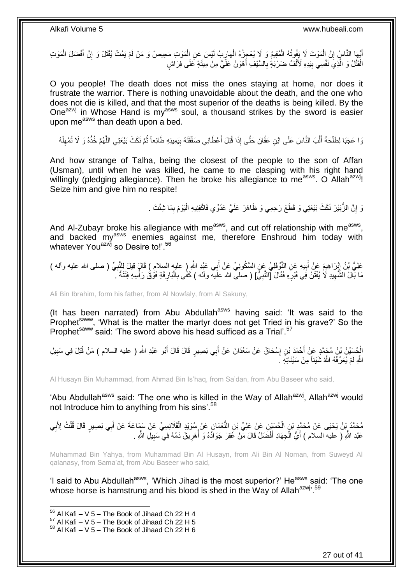أَيُّهَا النَّاسُ إِنَّ اِلْمَوْتَ لَا يَفُوتُهُ الْمُقِيمُ وَ لَا يُعْجِزُهُ الْهَارِبُ لَيْسَ عَنِ الْمَوْتِ مَحِيصٌ وَ مَنْ لَمْ يَمُتْ يُقْتَلْ وَ إِنَّ أَفْضَلَ الْمَوْتِ ِ ْ ْ ْ ֧<u>׀</u> ْ َ ِ ْ الْقَتْلُ وَ الَّذِيَ نَفْسِي بِبَدِهِ لَأَلْفُ ضَرْبَةٍ بِالسَّيْفِ أَهْوَنُ عَلَّيَّ مِنْ مِيتَةٍ عَلَى فِرَاشٍ َ ِ ْ ِ َّ ْ

O you people! The death does not miss the ones staying at home, nor does it frustrate the warrior. There is nothing unavoidable about the death, and the one who does not die is killed, and that the most superior of the deaths is being killed. By the One<sup>azwj</sup> in Whose Hand is my<sup>asws</sup> soul, a thousand strikes by the sword is easier upon me<sup>asws</sup> than death upon a bed.

ُ وَا عَجَبَا لِطَلْحَةَ أَلَّبَ النَّاسَ عَلَى ابْنِ عَفَّانَ حَتَّى إِذَا قُتِلَ أَعْطَانِي صَفْقَتَهُ بِيَمِينِهِ طَائِعاً ثُمَّ نَكَثَ بَيْعَتِي اللَّهُمَّ خُذُهُ وَ لَا تُمْهِلْهُ ِ َ َّ َ ْ ْ ِ **ٔ:** َّ

And how strange of Talha, being the closest of the people to the son of Affan (Usman), until when he was killed, he came to me clasping with his right hand willingly (pledging allegiance). Then he broke his allegiance to me<sup>asws</sup>. O Allah<sup>azwj</sup>! Seize him and give him no respite!

> َنَّ الزُّبَيْرَ نَكَثَ بَيْعَتِي وَ قَطَعَ رَحِمِي وَ ظَاهَرَ عَلَيَّ عَدُوِّي فَاكْفِنِيهِ الْيَوْمَ بِمَا شِئْتَ . ِ ْ ِ

And Al-Zubayr broke his allegiance with me<sup>asws</sup>, and cut off relationship with me<sup>asws</sup>, and backed my<sup>asws</sup> enemies against me, therefore Enshroud him today with whatever You<sup>azwj</sup> so Desire to!'.<sup>56</sup>

عَلِيُّ بْنُ إِيْرَاهِيمَ عَنْ أَبِيهِ عَنِ النَّوْفَلِيِّ عَنِ السَّكُونِيِّ عَنْ أَبِي عَيْدِ اللَّهِ إِ عليه السلامِ ) قَالٍ قِيلَ لِلنَّنِبِيِّ ( صلى الله عليه وأله ) َ **!** َ ِ **∶** مَا بَالُ الشَّهِيدِ لَا يُفْتَنُ فِي قَبْرِهِ فَقَالَ [النَّبِيُّ] ( صلى الله علَيه وآله ) كَفَى بِالْبَارِ قَةِ فَوْقُ رَأْسِهِ فِتْنَةً َ ِ **ہ میں ٍ** ْ ِ **∶** ِ

Ali Bin Ibrahim, form his father, from Al Nowfaly, from Al Sakuny,

(It has been narrated) from Abu Abdullah $a<sup>sws</sup>$  having said: 'It was said to the Prophet<sup>saww</sup>, 'What is the matter the martyr does not get Tried in his grave?' So the Prophet<sup>saww</sup> said: 'The sword above his head sufficed as a Trial'.<sup>57</sup>

َ الْجِسَيْنُ بْنُ مُجَمَّدٍ عَنْ أَحْمَدَ بْنِ إِسْحَاقَ عَنْ سَعْدَانَ عَنْ أَبِي بَصِيرٍ قَالَ قَالَ أَبُو عَبْدِ اللَّهِ ( عليه السلام ) مَنْ قُتِلَ فِي سَبِيلِ َ ِ َ ْ ِ اللَّهِ لَمْ يُعَرِّفْهُ اللَّهُ شَيْئاً مِنْ سَيِّئَاتِهِ ۖ

Al Husayn Bin Muhammad, from Ahmad Bin Is'haq, from Sa'dan, from Abu Baseer who said,

'Abu Abdullah<sup>asws</sup> said: 'The one who is killed in the Way of Allah<sup>azwj</sup>, Allah<sup>azwj</sup> would not Introduce him to anything from his sins'.<sup>58</sup>

مُحَمَّدُ بِنُ يَحْيَى عَنْ مُحَمَّدٍ بْنِ الْحُسَنِيْنِ عَنْ عَلِيِّ بْنِ النُّعْمَانِ عَنْ سُوَيْدٍ الْقَلَانِسِيِّ عَنْ سَمَاعَةَ عَنْ أَبِي بَصِيرٍ قَالَ قُلْتُ لِأَبِي ْ ْ ِ ْ َ عَبْدِ اللَّهِ ( عليه السلام ) أَيُّ الْجِهَادِ أَفْضَلُ قَالَ مَنْ غُقِرَ جَوَادُهُ وَ أَهَرِيقَ دَمُهُ فِي سَبِيلِ اللَّهِ ـ ِ ِ ا<br>أ َ ْ اً<br>ا

Muhammad Bin Yahya, from Muhammad Bin Al Husayn, from Ali Bin Al Noman, from Suweyd Al qalanasy, from Sama'at, from Abu Baseer who said,

'I said to Abu Abdullah<sup>asws</sup>, 'Which Jihad is the most superior?' He<sup>asws</sup> said: 'The one whose horse is hamstrung and his blood is shed in the Way of Allah<sup>azwj, 59</sup>

 $56$  Al Kafi – V 5 – The Book of Jihaad Ch 22 H 4

 $57$  Al Kafi – V 5 – The Book of Jihaad Ch 22 H 5

 $58$  Al Kafi – V 5 – The Book of Jihaad Ch 22 H 6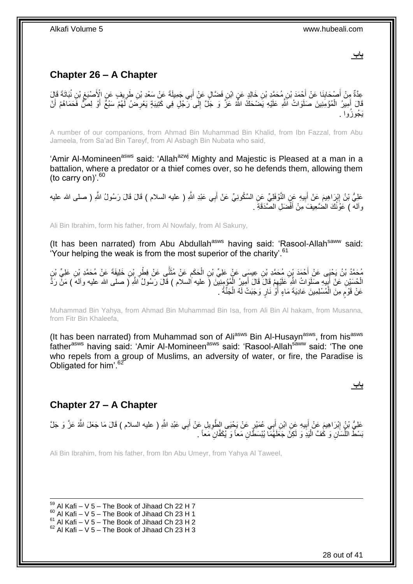**باب**

## <span id="page-27-0"></span>**Chapter 26 – A Chapter**

ِعِدَّةٌ مِنْ أَصْدَابِنَا عَنْ أَحْمَدَ بْنِ مُحَمَّدٍ بْنِ خَالِدٍ عَنٍ ابْنِ فَضَّالٍ عَنْ أَبِي جَمِيلَةَ عَنْ سَعْدِ بْنِ طَرِيفٍ عَنِ الْأَصْبَغِ بْنِ نُبَاتَةَ قَالَ َ ِ ِ ِ َ قَالَ أَمِيرُ الْمُؤْمِنِينَ صَلَوَاتُ اَشَّرِ عَلَيْهِ يَضْحَكُ اللَّهُ عَزَّ وَ جَلَّ إِلَى رَّجُلٍ فِي كَتِيبَةٍ يَعْرِضَنُ لَهُمْ سَبُعٌ أَوْ لِصَّ فَحَمَاهُمْ أَنْ ِ ِ ْ َ َ يَجُوزُوا .

A number of our companions, from Ahmad Bin Muhammad Bin Khalid, from Ibn Fazzal, from Abu Jameela, from Sa'ad Bin Tareyf, from Al Asbagh Bin Nubata who said,

'Amir Al-Momineen<sup>asws</sup> said: 'Allah<sup>azwj</sup> Mighty and Majestic is Pleased at a man in a battalion, where a predator or a thief comes over, so he defends them, allowing them (to carry on)<sup>'.60</sup>

عَلِيُّ بْنُ إِبْرَاهِيمَ عَنْ أَبِيهِ عَنٍ النَّوْفَلِيِّ عَنِ السَّكُونِيِّ عَنْ أَبِي عَبْدِ اللَّهِ ( عليه السلام ) قَالَ قَالَ رَسُولُ اللَّهِ ( صلى الله عليه َ **!**  ِ وآله ) عَوّْنُكَ الضَّعِيفَ مِنْ أَفْضَلِ الصَّدَقَةِ . َ

Ali Bin Ibrahim, form his father, from Al Nowfaly, from Al Sakuny,

(It has been narrated) from Abu Abdullah<sup>asws</sup> having said: 'Rasool-Allah<sup>saww</sup> said: 'Your helping the weak is from the most superior of the charity'.<sup>61</sup>

مُحَمَّدُ بْنُ يَحْيَى عَنْ أَحْمَدَ بْنِ مُحَمَّدِ بْنِ عِيسَى عَنْ عَلِيِّ بْنِ الْحَكَمِ عَنْ مُثَنَّى عَنْ فِطْرِ بْنِ خَلِيفَةَ عَنْ مُحَمَّدِ بْنِ عَلِيِّ بْنِ<br>\*\*\* ِ **1** َ ِ ْ الْمُسَيْنِ عَنْ أَبِيهِ صَلَوَاتُ الثَّهِ عَلَيْهِمْ قَالَ قَالَ أُمِيرُ الْمُؤْمِنِيْنَ (َ عليه السلام ) قَالَ رَسُولُ اللَّهِ ( صلى الله عليه وأله ) مَنْ رَدًّ ِ َ ْ َ ِ عَنْ قَوْمٍ مِنَ الْمُسْلِمِينَ عَادِيَةَ مَاءٍ أَوْ نَارٍ وَجَبَتْ لَهُ الْجَنَّةُ . ْ ر<br>ا ْ ڔ

Muhammad Bin Yahya, from Ahmad Bin Muhammad Bin Isa, from Ali Bin Al hakam, from Musanna, from Fitr Bin Khaleefa,

(It has been narrated) from Muhammad son of Ali<sup>asws</sup> Bin Al-Husayn<sup>asws</sup>, from his<sup>asws</sup> father<sup>asws</sup> having said: 'Amir Al-Momineen<sup>asws</sup> said: 'Rasool-Allah<sup>saww</sup> said: 'The one who repels from a group of Muslims, an adversity of water, or fire, the Paradise is Obligated for him'.<sup>62</sup>

## <span id="page-27-1"></span>**Chapter 27 – A Chapter**

عَلِيُّ بْنٍُ إِبْرَاهِيمَ عَنْ أَبِيهِ عَنِ ابْنِ أَبِي عُمَيْرٍ عَنْ يَحْيَى الطُّوِيلِ عَنْ أَبِي عَبْدِ اللَّهِ ( عليه السلام ) قَالَ مَا جَعَلَ اللَّهُ عَزَّ وَ جَلَّ َ ِ َ ِ َ ِ بَسْطُ اللَّسَانِ وَ كَٰفَّ الْمَدِّ وَ لَكِنْ جَعَلَهُمَا بُيْسَطًّانِ مَعاً وَ يُكَفَّانِ مَعاً . :<br>إ ِّ

Ali Bin Ibrahim, from his father, from Ibn Abu Umeyr, from Yahya Al Taweel,

1  $59$  Al Kafi – V 5 – The Book of Jihaad Ch 22 H 7  $^{60}$  Al Kafi – V 5 – The Book of Jihaad Ch 23 H 1  $61$  Al Kafi – V 5 – The Book of Jihaad Ch 23 H 2  $62$  Al Kafi – V 5 – The Book of Jihaad Ch 23 H 3

28 out of 41

**باب**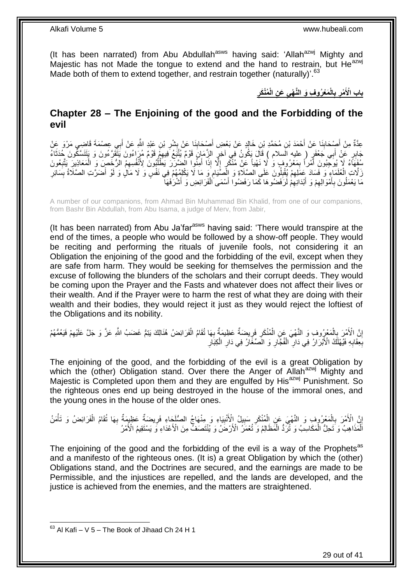(It has been narrated) from Abu Abdullah<sup>asws</sup> having said: 'Allah<sup>azwj</sup> Mighty and Majestic has not Made the tongue to extend and the hand to restrain, but He<sup>azwj</sup> Made both of them to extend together, and restrain together (naturally)<sup>'.63</sup>

> **ِ ُمْنَكر َع ِن الْ َم ْعُرو ِف َو الَّن ْهيِ الْ ب ْمر باب اْْلَ ِ ِ**

### <span id="page-28-0"></span>**Chapter 28 – The Enjoining of the good and the Forbidding of the evil**

عِدَّةٌ مِنْ أَصِدْحَابِذَا عَنْ أَحْمَدَ بْنِ مُحَمَّدِ بْنِ خَالِدٍ عَنْ بَعْضِ أَصْدَابِذَا عَنْ بِشْرِ بْنِ عَبْدِ اللَّهِ عَنْ أَبِي عِصْمَةَ قَاضِبِي مَرْوَ عَنْ ِ ِ َ **∣** َ َ جَابِرٍ عَنْ أَبِي جَعْفَرٍ ( عليه السلام ) قَالَ يَكُونُ فِي آخِرٍ الزَّمَإِنِ قَوْمٌ يُثَبَّعُ فِيهِمْ قَوْمٌ مُزَاعُونَ يَتَقَرَّعُونَ وَ يَتَنَسَّكُونَ حُدَثَاءُ<br>بِهِنَّ مَنْ أَبِي جَعْفَرٍ ( عليه السلام ) قَالَ يَكُون َ َ ِ ِ مُفَهَّاءُ لَا يُوجِّبُونَ أَمْراً بِمَعْرُوفٍ وَ لَا نَهْياً عَنْ مُنْكَرٍ إِلَّا إِذَا أَمِنُوا الْضَبَّرَرَ يَطْلُبُونَ لِأَنْفُسِهِمُ الرُّخَصِ وَ الْمَعَاذِينَ يَتَّبِعُونَ ُ َ ِ ِ َ ِ ْ زَلَّاتِ الْعُلَمَاءِ وَ فَسَادَ عَمَلِهِمْ يُقْلِلُونَ عَلَى الصَّلَاةِ وَ الْصَّيَامِ وَ مَا لَا يَكْلِمُهُمْ فِي نَفْسٍ وَ لَا مَالٍ وَ لَوْ أَصَرَّتِ الصَّلَاةُ بِسَائِرِ ِ ! ِ ْ ِ ِ َ مَا يَعْمَلُونَ بِأَمْوَالِهِمْ وَ أَبْدَانِهِمْ لَرَفَضُوهَا كَمَا رَفَضُوا أَسْمَى الْفَرَائِضِ وَ أَشْرَفَهَا َ ِ َ **∶** َ ْ ِ

A number of our companions, from Ahmad Bin Muhammad Bin Khalid, from one of our companions, from Bashr Bin Abdullah, from Abu Isama, a judge of Merv, from Jabir,

(It has been narrated) from Abu Ja'far $a<sup>asws</sup>$  having said: 'There would transpire at the end of the times, a people who would be followed by a show-off people. They would be reciting and performing the rituals of juvenile fools, not considering it an Obligation the enjoining of the good and the forbidding of the evil, except when they are safe from harm. They would be seeking for themselves the permission and the excuse of following the blunders of the scholars and their corrupt deeds. They would be coming upon the Prayer and the Fasts and whatever does not affect their lives or their wealth. And if the Prayer were to harm the rest of what they are doing with their wealth and their bodies, they would reject it just as they would reject the loftiest of the Obligations and its nobility.

إِنَّ الْأَمْرِ بِالْمَعْرُوفِ وَ النَّهْيَ عَنِ الْمُنْكَرِ فَرِيضَةٌ عَظِيمَةٌ بِهَا تُقَامُ الْفَرَائِضُ هُنَالِكَ يَتِمُّ غَضَبُ اللَّهِ عَزَّ وَ جَلَّ عَلَيْهِمْ فَيَعُمُّهُمْ ْ **∶** ِ **ٍ** ْ ْ **∶** ا ِ بِعِقَابِهِ فَيُهْلَكُ الْأَبْرَارُ فِي دَارِ ۖ الْفُجَّارِ وَ الْصِّغَّارُ فِي دَارِ الْكِبَارِ ِ ْ ِ ِ **∶** ِ ْ ِ

The enjoining of the good, and the forbidding of the evil is a great Obligation by which the (other) Obligation stand. Over there the Anger of Allah<sup>azwj</sup> Mighty and Majestic is Completed upon them and they are engulfed by His<sup>azwj</sup> Punishment. So the righteous ones end up being destroyed in the house of the immoral ones, and the young ones in the house of the older ones.

إِنَّ الْأَمْرَ بِالْمَعْرُوفِ وَ النَّهْيَ عَنِ الْمُنْكَرِ سَبِيلُ الْأَنْبِيَاءِ وَ مِنْهَاجُ الصُّلَجَاءِ فَرِيضَةٌ عَظِيمَةٌ بِهَا تُقَامُ الْفَرَائِضُ وَ تَأْمَنُ ِ ِ **!** ِ ْ ْ ِ ِ ْ ْ ِ اَلْمَذَاهِبُ وَ تَحِلُّ الْمَكَاسِبُ وَ تُزَدُّ الْمَظَالِمُ وَ تُعْمَرُ الْأَرْضَٰ وَ يُنْتَصَفُ مِنَ الْأَعْدَاءِ وَ يَسْتَقِيمُ الْأَمْرُ ْ ْ

The enjoining of the good and the forbidding of the evil is a way of the Prophets<sup>as</sup> and a manifesto of the righteous ones. (It is) a great Obligation by which the (other) Obligations stand, and the Doctrines are secured, and the earnings are made to be Permissible, and the injustices are repelled, and the lands are developed, and the justice is achieved from the enemies, and the matters are straightened.

 $63$  Al Kafi – V 5 – The Book of Jihaad Ch 24 H 1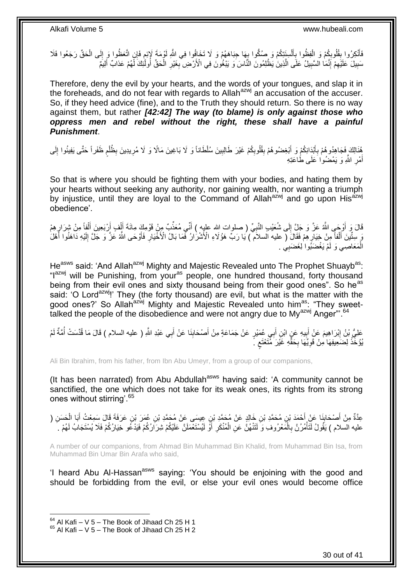فَأَنْكِرُوا بِقُلُوبِكُمْ وَ الْفِظُوا بِأَلْسِنَتِكُمْ وَ صُكُّوا بِهَا جِبَاهَهُمْ وَ لَا تَخَافُوا فِي اللَّهِ لَإِمْ إِنِّ أَقْتَظُوا وَ إِلَى الْحَقِّ رَجَعُوا فَلَا ِ ْ َ ِ ْ ِ **ِ** ْ ِ ֖֖֖֦֧֪֦֧֦֦֪֦֧֚֚֚֚֚֚֚֚֚֚֝֝֝֝֓֝֓֝֓֝֬֝֓֟֓֟֓ سَبِيلَ عَلَيْهِمْ إِنَّمَا السَّبِيلُ عَلَى الَّذِينَ يَظْلِمُونَ النَّاسَ وَ يَبْغُونَ فِي الْأَرْضِ بِغَيْرِ الْحَقِّ أُولَّئِكَ لِّهُمْ عَذابٌ أَلِيمٌ ْ ِ ِ َّ ِ ِ ِ **∣** َ

Therefore, deny the evil by your hearts, and the words of your tongues, and slap it in the foreheads, and do not fear with regards to Allah<sup>azwj</sup> an accusation of the accuser. So, if they heed advice (fine), and to the Truth they should return. So there is no way against them, but rather *[42:42] The way (to blame) is only against those who oppress men and rebel without the right, these shall have a painful Punishment*.

هُذَالِكَ فَجَاهِدُوهُمْ بِأَبْدَانِكُمْ وَ أَبْغِضُوهُمْ بِقُلُوبِكُمْ غَيْرَ طَالِبِينَ سُلْطَاناً وَ لَا بَاغِينَ مَالًا وَ لَا مُرِيدِينَ بِظُلْم ظَفَراً حَتَّى يَفِيئُوا إِلَى ِ ِ **!** َ ِ لَ ِ ֧֖֧֖֖֖֖֖֧֧֖֧֧֧֧ׅ֧֧֧֚֚֚֚֚֚֚֝֝֟֓֝֓֝֓֟֓֝֬֟֓֟֓֟֓֟֓֝֬֜֝֓֝֬֜֓֝֬֜֓֝֬ ْ ِ ِ أَمْرِ اللَّهِ وَ يَمْضُوٰا َعَلَى طَاعَتِهِ ِ َ

So that is where you should be fighting them with your bodies, and hating them by your hearts without seeking any authority, nor gaining wealth, nor wanting a triumph by injustice, until they are loyal to the Command of Allah<sup>azwj</sup> and go upon His<sup>azwj</sup> obedience'.

قَالَ وَ أَوْجَىِ اللَّهُ عَزَّ وَ جَلِّ إِلَى شُعَيْبِ النَّبِيِّ ( صلوات الله عليِهِ ) أَنِّي مُعَذِّبٌ مِنْ قَوْمِكَ مِائَةَ أَأْفٍ أَرْبَعِينَ أَلْفٍأَ مِنْ شِرَارٍ هِمْ َ ِ ِ َ ₹, ْ َ َ ْ َ رَ سِتَّيْنَ أَلْفاً مِنْ خِيَارٍ هِمْ فَقَالَ ( عليه السلام ) يَا رَبِّ هَؤُلاءِ الْأَشْرَارُ فَّمَا بَالُ الْأَخْيَارِ فَأَوْحَى اللَّهُ عَزَّ وَ جَلَّ إِلَيْهِ دَاهَنُوا أَهْلَ ِ ْ َ لَ ِ َ ِ َ الْمَعَاصِي وَ لَمْ يَغْضَبُوا لِغَضَبِي ۚ ـ ْ

He<sup>asws</sup> said: 'And Allah<sup>azwj</sup> Mighty and Majestic Revealed unto The Prophet Shuayb<sup>as</sup>: "I<sup>azwj</sup> will be Punishing, from your<sup>as</sup> people, one hundred thousand, forty thousand being from their evil ones and sixty thousand being from their good ones". So he<sup>as</sup> said: 'O Lord<sup>azwi</sup>!' They (the forty thousand) are evil, but what is the matter with the good ones?' So Allah<sup>azwj</sup> Mighty and Majestic Revealed unto him<sup>as</sup>: "They sweettalked the people of the disobedience and were not angry due to My<sup>azwj</sup> Anger"<sup>64</sup>

ِعْلِيُّ بْنُ إِبْرَاهِيمَ عَنِْ أَبِيهِ عَنٍ ابْنِ أَبِي عُمَيْرٍ عَنْ جَمَاعَةٍ مِنْ أَصْحَابِذَا عَنْ أَبِي عَبْدِ اللَّهِ ( عليه السلام ) قَالَ مَا قُدَّسَتْ أُمَّةٌ لَمْ َ **!** ِ لَ ا<br>ا َ يُوُخِّذْ لِضَعِيفِهَا مِنْ قَوِيِّهَا بِحَقٍّهِ غَيْرَ مُّتَعْتَعِ ۚ ٍ ِ ِ ْ

Ali Bin Ibrahim, from his father, from Ibn Abu Umeyr, from a group of our companions,

(It has been narrated) from Abu Abdullah<sup>asws</sup> having said: 'A community cannot be sanctified, the one which does not take for its weak ones, its rights from its strong ones without stirring'.<sup>65</sup>

عِدَّةٌ مِنْ أَصْحَابِذَا عَنْ أَحْمَدَ بْنِ مُحَمَّدِ بْنِ خَالِدٍ عَنْ مُحَمَّدِ بْنِ عِيسَى عَنْ مُحَمَّدِ ب<br>حَدَّةٌ مِنْ أَصْحَابِكُمْ بِيَ َّمْنِهُ مِنْ مُحَمَّدِ بْنِ حَمْلِهِ عَنْ مُحَمَّدٍ بْنِ عَمَٰهِ مَنْ مَعْرَ َ **⊥** َ ْ َ عليه السلام ) يَقُولُ لَنَأْمُرُنَّ بِالْمَعْرُوفِ وَ لَتَنْهُنَّ عَنِ الْمُنْكَرِ أَوْ لَيُسْتَعْمَلَنَّ عَلَيْكُمْ شِرَارُكُمْ فَيَدْعُو خِيَارُكُمْ فَلَا يُسْتَجَابُ لَهُمْ لَهُمْ َ ِ ْ ْ ِ **ٔ** 

A number of our companions, from Ahmad Bin Muhammad Bin Khalid, from Muhammad Bin Isa, from Muhammad Bin Umar Bin Arafa who said,

'I heard Abu Al-Hassan<sup>asws</sup> saying: 'You should be enjoining with the good and should be forbidding from the evil, or else your evil ones would become office

 $64$  Al Kafi – V 5 – The Book of Jihaad Ch 25 H 1

 $65$  Al Kafi – V 5 – The Book of Jihaad Ch 25 H 2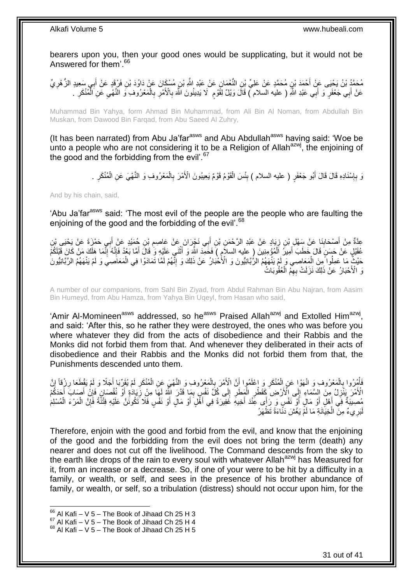bearers upon you, then your good ones would be supplicating, but it would not be Answered for them'.<sup>66</sup>

مُحَمَّدُ بْنُ يَحْنِى عَنِّ أَحْمَدَ بْنِ مُحَمَّدٍ عَنْ عَلِيٍّ بْنِ النُّعْمَانِ عَنْ عَبْدِ اللَّهِ بْنِ مُسْكَانَ عَنْ دَاوُدَ بْنِ فَرْقَدٍ عَنْ أَبِي سَعِيدٍ الزُّهْرِيِّ ِ َ عَنْ أَبِي جَعْفَرٍ ۖ وَ أَبِي عَبْدِ اللَّهِ ( عليه السلام ) قَالَ وَيْلٌ لِقَوْمٍ ۚ لَا يَدِينُونَ اللَّهَ بِالْأَمْرِ بِالْمَعْرُوفِ وَ النَّهْيِ عَنِ الْمُنْكَرِ ۘ ـ ْ ِ ِ ِ ٍ َ َ ِ ْ ِ

Muhammad Bin Yahya, form Ahmad Bin Muhammad, from Ali Bin Al Noman, from Abdullah Bin Muskan, from Dawood Bin Farqad, from Abu Saeed Al Zuhry,

(It has been narrated) from Abu Ja'far $a<sup>asws</sup>$  and Abu Abdullah $a<sup>asws</sup>$  having said: 'Woe be unto a people who are not considering it to be a Religion of Allah<sup>azwj</sup>, the enjoining of the good and the forbidding from the evil'.<sup>67</sup>

> وَ بِإِسْنَادِهِ قَالَ قَالَ أَبُو جَعْفَرٍ ( عليه السلام ) بِئْسَ الْقَوْمُ قَوْمٌ يَعِيبُونَ الْأَمْرَ بِالْمَعْرُوفِ وَ النَّهْيَ عَنِ الْمُنْكَرِ . ْ ِ ْ **∣** َ ِ ِ ِ ْ

And by his chain, said,

'Abu Ja'far<sup>asws</sup> said: 'The most evil of the people are the people who are faulting the enjoining of the good and the forbidding of the evil'.<sup>68</sup>

عِدَّةٌ مِنْ أَصْحَابِذَا عَنْ سَهْلِ بْنِ زِيَادٍ عَنْ عَبْدِ الرَّحْمَنِ بْنِ أَبِي نَجْرَانَ عَنْ عَاصِمِ بْنِ جُمَيْدٍ عَنْ أَبِي حَمْزَةَ عَنْ يَحْيَى بْنِ<br>مَيْنَ مَنْ أَسْحَابِذَا عَنْ سِفْلِ بْنِ زِيَادٍ عَنْ عَبْد ¦ **∣** َ ِ عُقَيْلٍ عَنْ حَسَنٍ قَالَ خَطَبَ أَمِيرُ اِلْمُؤْمِنِينَ (ِ عليه السلاَمِ ) فَحَمِدَ اللَّهَ وَ أَثْنَيِ عَلَيْهِ وَ قَالَ أَمَّا بَعْدُ فَإِنَّهُ إِنَّمَا هَلَكَ مَنْ كَانَ قَبْلَكُمْ َ ْ َ ْ َ ِ ِ حَيْثٌِ مَا عَمِلُوا مِنَ الْمَعَاصِي وَ لَمْ يَنْهَهُمُ الرُّبَانِيُّونَ وَ الْأَحْبَارُ عَنْ ذَلِكَ وَ إِنَّهُمْ لَمَّا تَمَادَوْا فِي الْمَعَاصِيِّ وَ لَمْ يَنْهَهُمُ الرَّبَانِيُّونَ ْ ِ وَ الْأَحْبَارُ عَنْ ذَلِكَ نَزَلَتْ بِهِمُ الْعُقُوبَاتُ ْ

A number of our companions, from Sahl Bin Ziyad, from Abdul Rahman Bin Abu Najran, from Aasim Bin Humeyd, from Abu Hamza, from Yahya Bin Uqeyl, from Hasan who said,

'Amir Al-Momineen<sup>asws</sup> addressed, so he<sup>asws</sup> Praised Allah<sup>azwj</sup> and Extolled Him<sup>azwj</sup>, and said: 'After this, so he rather they were destroyed, the ones who was before you where whatever they did from the acts of disobedience and their Rabbis and the Monks did not forbid them from that. And whenever they deliberated in their acts of disobedience and their Rabbis and the Monks did not forbid them from that, the Punishments descended unto them.

فَأْمُرُوا بِالْمَعْرُوفِ وَ انْهَوْا عَنِ الْمُنْكَرِ وَ إعْلَمُوا أَنَّ الْإِنَّمَ بِالْمَعْرُوفِ وَ النَّهْيَ عَنِ الْمُنْكَرِ لَمْ يُقَرِّبَا أَجَلًا وَ لَمْ يَقْطَعَا رِزْقاً إِنَّ ْ ْ ِ اُ **∶** ْ ْ **∶** ْ ِ ِ َ لَ ِ الْأَهْنَ يَنْزِلُ مِنَّ إِلسَّمَاءِ إِلَى الْأَرْضِ كَقَطْرِ الْمَطَرِّ إِلَى كُلِّ نَفْسٍ بِمَا قَدَّرَ اللَّهُ لَهَا مِنْ زِّيَادَةٍ أَوْ نُقْصَانٍ فَإِنْ أَصَابَ أَحَدَكُمْ ِ ِ ِ **ٍ** ْ **∶** ِ **∶** َ َ  $\frac{1}{2}$ َ مُصِنِيَةٌ فِي أَهْلِ أَوْ مَالٍ أَوْ نَفْسٍ وَ رَأَى عِنْدَ أَخِيهِ غَفِيرَةً فِي أَهْلِ أَوْ مَالٍ أَوْ نَفْسٍ فَلَا تَكُونَنَّ عَلَيْهِ فِتْتًةً فَإِنَّ الْمَرْءَ الْمُسْلِمَ َ َ َ َ ْ ْ ∣ļ َ َ لَبَرِ ي<sup>ْ</sup>ءً مِنَّ الْخِيَانَةِ ۖ مَا لَمَّ يَغْشَ دَنَّاءَةً تَظْهَرُ ْ

Therefore, enjoin with the good and forbid from the evil, and know that the enjoining of the good and the forbidding from the evil does not bring the term (death) any nearer and does not cut off the livelihood. The Command descends from the sky to the earth like drops of the rain to every soul with whatever Allah<sup>azwj</sup> has Measured for it, from an increase or a decrease. So, if one of your were to be hit by a difficulty in a family, or wealth, or self, and sees in the presence of his brother abundance of family, or wealth, or self, so a tribulation (distress) should not occur upon him, for the

 $66$  Al Kafi – V 5 – The Book of Jihaad Ch 25 H 3

 $^{67}$  Al Kafi – V 5 – The Book of Jihaad Ch 25 H 4

 $68$  Al Kafi – V 5 – The Book of Jihaad Ch 25 H 5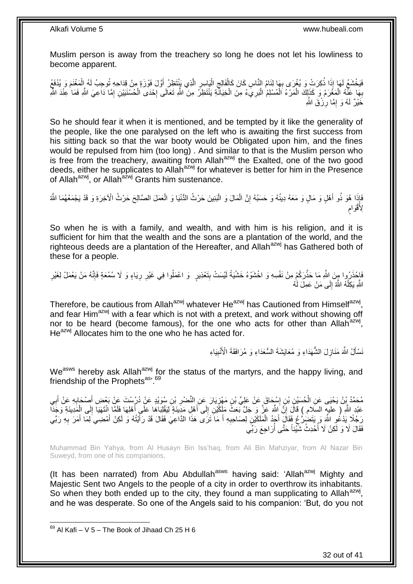Muslim person is away from the treachery so long he does not let his lowliness to become apparent.

فَيَخْشَعُ لَهَا إِذَا ذُكِرَتْ وَ يُغْرَى بِهَا لِثَامُ النَّاسِ كَانَ كَالْفَالِجِ الْيَاسِرِ الَّذِي يَنْتَظِرُ أَوَّلَ فَوْزَةٍ مِنْ قِدَاحِهِ تُوحِبُ لَهُ إِلْمَغْنَمَ وَ يُدْفَعُ َ َّ ¦ ْ ِ ْ ِ ْ ِبِهَا عَلَّهُ الْمَغْرَمُ وَ كَذَلِكَ الْمَرْءُ الْمُسْلِمُ الْبَرِيَءُ مِنَ الْخِيَانَّةِ يَنْتَظِرُ مِنَ اللَّهِ تَعَالَى إِحْدَى الْحُسْنَيَيْنِ إِمَّا دَاعِيَ اللَّهِ فَمَا عِنْدَ اللَّهِ ا.<br>ا ْ ْ ْ ِ ِ ْ |.<br>יִי ْ خَيْرٌ لَمُ<sub>ّ</sub> وَ إِمَّا رِزْقَ اللَّهِ **∶** ِ

So he should fear it when it is mentioned, and be tempted by it like the generality of the people, like the one paralysed on the left who is awaiting the first success from his sitting back so that the war booty would be Obligated upon him, and the fines would be repulsed from him (too long) . And similar to that is the Muslim person who is free from the treachery, awaiting from Allah<sup>azwj</sup> the Exalted, one of the two good deeds, either he supplicates to Allah<sup>azwj</sup> for whatever is better for him in the Presence of Allah<sup>azwj</sup>, or Allah<sup>azwj</sup> Grants him sustenance.

َفَإِذَا هُوَ ذُو أَهْلٍ وَ مَالٍ وَ مَعَهُ دِينُهُ وَ حَسَبُهُ إِنَّ الْمَالَ وَ الْبَنِينَ حَرْثُ الدُّنْيَا وَ الْعَمَلَ الصَّالِحَ حَرْثُ الْأَخِرَةِ وَ قَدْ يَجْمَعُهُمَا اللَّهُ ْ ْ ْ ِ َ ڔ لِأَقْوَامِ

So when he is with a family, and wealth, and with him is his religion, and it is sufficient for him that the wealth and the sons are a plantation of the world, and the righteous deeds are a plantation of the Hereafter, and Allah<sup>azwj</sup> has Gathered both of these for a people.

ْفَاحْذَرُوا مِنَ اللَّهِ مَا حَذَّرَكُمْ مِنْ نَفْسِهِ وَ اخْشَوْهُ خَشْيَةً لَيْسَتْ بِتَعْذِيرٍ ۚ وَ اعْمَلُوا فِي غَيْرِ رِيَاءٍ وَ لَا سُمْعَةٍ فَإِنَّهُ مَنْ يَعْمَلْ لِغَيْرِ ِ ! لَ ِ ا∣<br>ِ∘ِ اللَّهِ يَكِلْٰهُ اللَّهُ إِلَى مَنْ عَمِلَ لَٰهُ  $\frac{1}{2}$ ْ

Therefore, be cautious from Allah<sup>azwj</sup> whatever He<sup>azwj</sup> has Cautioned from Himself<sup>azwj</sup>, and fear Him<sup>azwj</sup> with a fear which is not with a pretext, and work without showing off nor to be heard (become famous), for the one who acts for other than Allah<sup>azwj</sup>, He<sup>azwj</sup> Allocates him to the one who he has acted for.

> نَسْأَلُ اللَّهَ مَذَازِلَ الشُّهَدَاءِ وَ مُعَايَشَةَ السُّعَدَاءِ وَ مُرَافَقَةَ الْأُنْبِيَاءِ ِ ِ َ

We<sup>asws</sup> hereby ask Allah<sup>azwj</sup> for the status of the martyrs, and the happy living, and friendship of the Prophets<sup>as, 69</sup>

مُحَمَّدُ بِنُ يَحْيَى عَنِ الْحُسَيْنِ بْنِ إِسْجَاقَ عَنْ عَلِيٍّ بْنِ مَهْزِيَارَ عَنِ النَّصْرِ بْنِ سُوَيْدِ عَنْ دُرُسْتَ عَنْ بَعْضِ أَصِمْحَادِهِ عَنْ أَبِي َ **ٍ** ¦ ֖֧֓֓<u>֓</u> ْ ِ َ **∶** عَبْدِ اللَّهِ ( عليهِ السَلام ) قَالَ إِنَّ اللَّهَ عَزَّ وَ جَلَّ بَعَثُ مَأَكَّيْنِ إِلَى أَهْلِ مَدِيَنَةٍ لَيَقْلِبَاهَا عَلَى أَهْلِهَا فَلَمَّا انْتَهَيَا إِلَى الْمَدِينَةِ وَجَدَّا َ  $\frac{1}{2}$ ِ ْ ِ ا<br>أ رَجُلًا يَدْعُو اللَّهَ وَ يَتَضُرُّعُ فَقَالَ أَجَدُ الْمَلَكَيْنِ لِصَاحِبِهِ أَ مَا َتَرَى هَذَا الدَّاعِيَ فَقَالَ قَدْ رَأَيْتُهُ وَ لَكِنْ أَمْضِيَ لِمَا أَمَرَ بِهِ رَبِّي َ **∶** ْ َ ِ َ َ َ فَقَالَ لَا وَ لَكِنْ لَا أُحْدِثُ شَّيْئاً حَتَّى أُرَاجِعَ رَبِّي ُ ابل<br>ا

Muhammad Bin Yahya, from Al Husayn Bin Iss'haq, from Ali Bin Mahziyar, from Al Nazar Bin Suweyd, from one of his companions,

(It has been narrated) from Abu Abdullah<sup>asws</sup> having said: 'Allah<sup>azwj</sup> Mighty and Majestic Sent two Angels to the people of a city in order to overthrow its inhabitants. So when they both ended up to the city, they found a man supplicating to Allah $a$ <sup>azwj</sup>, and he was desperate. So one of the Angels said to his companion: 'But, do you not

<sup>1</sup>  $69$  Al Kafi – V 5 – The Book of Jihaad Ch 25 H 6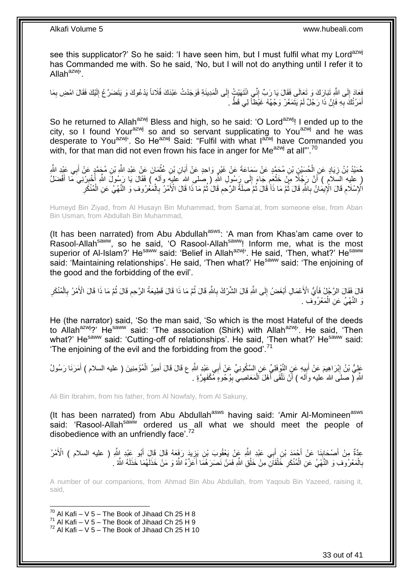see this supplicator?' So he said: 'I have seen him, but I must fulfil what my Lord<sup>azwj</sup> has Commanded me with. So he said, 'No, but I will not do anything until I refer it to Allah<sup>azwj,</sup>

فَعَادَ إِلَى اللَّهِ تَبَارَكَ وَ تَعَالَى فَقَالَ يَا رَبِّ إِنِّي انْتَهَيْتُ إِلَى الْمَدِينَةِ فَوَجَدْتُ عَبْدَكَ فُلَاناً يَدْعُوكَ وَ يَتَضَرَّعُ إِلَيْكَ فَقَالَ امْضِ بِمَا  $\frac{1}{2}$ ِ لَ ِ ْ ِ ِ أَمَرْ نُكَ بِهِ فَإِنَّ ذَا رَجُلٌ لَمْ يَتَمَعَّرْ وَجْهُهُ غَيْظآً لِي قَطُّ ـَ ِ ِ َ

So he returned to Allah<sup>azwj</sup> Bless and high, so he said: 'O Lord<sup>azwj</sup>! I ended up to the city, so I found Your<sup>azwj</sup> so and so servant supplicating to You<sup>azwj</sup> and he was desperate to You<sup>azwj</sup><sup>,</sup> So He<sup>azwj</sup> Said: "Fulfil with what l<sup>azwj</sup> have Commanded you with, for that man did not even frown his face in anger for Me $^{a}$ zwj at all"<sup>70</sup>

حُمَيْدُ بْنُ زِيَادٍ عَنِ الْحُسَيْنِ بْنِ مُحَمَّدٍ عَنْ سَمَاعَةَ عَنْ غَيْرٍ وَاحِدٍ عَنْ أَبَانِ بْنِ عُثْمَانَ عَنْ عَبْدِ اللَّهِ بْنِ مُجَمَّدٍ عَنْ أَبِي عَيْدِ اللَّهِ ْ َ ¦ ْ ِ َ ( عليه السّلاَمِ ) أَنَّ رَجُلًا مِنْ خَثْعَمِ جَاءَ إِلَى رَسُولِ اللهِ ( صَلى الله عليهِ واله ) فَقَالَ يَا رَسُولَ اللهِ أَخْبِرْنِيَ مَّا أَفْضَلُ ِ ֧֧֚֓֝֝֓֝ ْ **ٔ** َ ِ َ الْإِسْلَامِ قَالَ الْإِيمَانُ بِاللَّهِ قَالَ ثُمَّ مَا ذَاً قَالَ ثُمَّ صَلَةُ الرَّحَمِ قَالَ ثُمَّ مَا ذَا قَالَ الْأَمْرُ بِالْمَعْرُوفِ وَ الْنَّهْيُ عَنِ الْمُنْكَرِ ان<br>المقامات ِ ُ ان<br>المقامات ِ **ُ** ْ ْ **∶** ِ

Humeyd Bin Ziyad, from Al Husayn Bin Muhammad, from Sama'at, from someone else, from Aban Bin Usman, from Abdullah Bin Muhammad,

(It has been narrated) from Abu Abdullah<sup>asws</sup>: 'A man from Khas'am came over to Rasool-Allah<sup>saww</sup>, so he said, 'O Rasool-Allah<sup>saww</sup>! Inform me, what is the most superior of Al-Islam?' He<sup>saww</sup> said: 'Belief in Allah<sup>azwj</sup>'. He said, 'Then, what?' He<sup>saww</sup> said: 'Maintaining relationships'. He said, 'Then what?' He<sup>saww</sup> said: 'The enjoining of the good and the forbidding of the evil'.

قَالَ الرَّجُلُ فَأَيُّ الْأَعْمَالِ أَبْغَضُ إِلَى اللَّهِ قَالَ الشَّرْكُ بِاللَّهِ قَالَ ثُمَّ مَا ذَا قَالَ تَمَو قَالَ شَرَّكُ بِالْمُنْكَرِ ا<br>ا ِ ِ َ َ ِ ْ ِ ا<br>ا ِ وَ النَّهْيُ عَنِ الْمَعْرُوْفِ . ْ

He (the narrator) said, 'So the man said, 'So which is the most Hateful of the deeds to Allah<sup>azwj</sup>?' He<sup>saww</sup> said: 'The association (Shirk) with Allah<sup>azwj</sup>'. He said, 'Then what?' He<sup>saww</sup> said: 'Cutting-off of relationships'. He said, 'Then what?' He<sup>saww</sup> said: The enjoining of the evil and the forbidding from the good'.<sup>71</sup>

عَلِيُّ بْنُ إِبْرَاهِيمَ عَنْ أَبِيهِ عَنِ النَّوْفَلِيِّ عَنِ السَّكُونِيِّ عَنْ أَبِي عَبْدِ اللَّهِ ع قَالَ قَالَ أَمِيرُ الْمُؤْمِنِينَ ( عليه السلام ) أَمَرَنَا رَسُولُ َ َ ِ َ ِ َ ْ اللَّهِ لَّ صلَى الله عليه وأَله ) أَنْ نَلْقَى أَهْلَ الْمَعَاصِـيّ بِوُجُوهِ مُكْفَهِرَّةٍ . َ ْ اً ِ ِ ْ

Ali Bin Ibrahim, from his father, from Al Nowfaly, from Al Sakuny,

(It has been narrated) from Abu Abdullah<sup>asws</sup> having said: 'Amir Al-Momineen<sup>asws</sup> said: 'Rasool-Allah<sup>saw'w</sup> ordered us all what we should meet the people of disobedience with an unfriendly face'.<sup>72</sup>

عَدَّةٌ مِنْ أَصْحَابِذَا عَنْ أَجْمَدَ بْنِ أَبِي عَبْدِ اللَّهِ عَنْ يَعْقُوبَ بْنِ يَزِيدَ رَغَمَهُ قَالَ فَإِلَ أَبُو عَبْدِ إللَّهِ ( عليه السلام ) الْأَمْرُ َ ِ َ َ ِ َ ْ بِالْمَعْرُوفِ وَ النَّهْيُ عَنِ الْمُنْكَرِ خَلْقَانِّ مِنْ خَلْقِ اللَّهِ فَمَنْ نَصَرَهُمَا أَعَزَّهُ اللَّهُ وَ مَنْ خَذَلَهُمَا خَذَلَهُ اللَّهُ . ِ ْ ْ **∶** لَ لَ َ ْ

A number of our companions, from Ahmad Bin Abu Abdullah, from Yaqoub Bin Yazeed, raising it, said,

<sup>1</sup>  $70$  Al Kafi – V 5 – The Book of Jihaad Ch 25 H 8

 $^{71}$  Al Kafi – V 5 – The Book of Jihaad Ch 25 H 9

 $72$  Al Kafi – V 5 – The Book of Jihaad Ch 25 H 10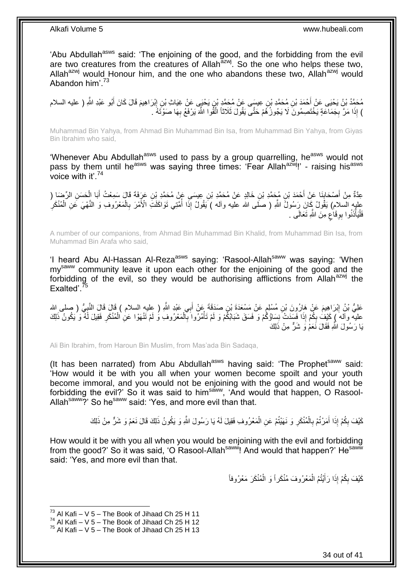'Abu Abdullah<sup>asws</sup> said: 'The enjoining of the good, and the forbidding from the evil are two creatures from the creatures of Allah $\frac{a}{a}$ zwj. So the one who helps these two, Allah<sup>azwj</sup> would Honour him, and the one who abandons these two, Allah<sup>azwj</sup> would Abandon him' $^{73}$ 

مُحَمَّدُ بْنُ يَحْيَى عَنْ أَحْمَدَ بْنِ مُحَمَّدِ بْنِ عِيسَى عَنْ مُحَمَّدٍ بْنِ يَحْيَى عَنْ غِيَاثِ بْنِ إِبْرَاهِيمَ قَالَ كَانَ أَبُو عَبْدِ اللَّهِ ( عليه السلام َ ِ ) إِذَا مَرَّ بِجَمَاعَةٍ يَخْتَصِمُونَ لَا يَجُوزُكُمْ حَتَّى يَقُولَ ثَلَاثًا اتَّقُوا اللَّهَ يَرْفَعُ بِهَا صَوْتَهُ . ِ ِ

Muhammad Bin Yahya, from Ahmad Bin Muhammad Bin Isa, from Muhammad Bin Yahya, from Giyas Bin Ibrahim who said,

'Whenever Abu Abdullah<sup>asws</sup> used to pass by a group quarrelling, he<sup>asws</sup> would not pass by them until he<sup>asws</sup> was saying three times: 'Fear Allah<sup>azwj</sup>!' - raising his<sup>asws</sup> voice with it'. $74$ 

ِن َع َرَفَة َق ِن ِعي َسى َع ْن ُم َح َّمِد ْب ِن َخالِ ٍد َع ْن ُم َح َّمِد ْب ِن ُم َح َّمِد ْب ْح َمَد ْب َنا َع ْن أ ْص َحاب ال ِّر َضا ) ِم ْن أ َح َس ِن ِعَّدةٌ َبا ال ا َل َس ِمْع ُت أ **∣** َ ْ َ عليه السلامِ) يَقُولُ كَانَ رَسُولُ اللَّهِ ( صَلَّى الله عليه وأله ) يَقُولُ إِذَا أُمَّتِي تَوَاكَلَتِّ الْأَمْرَ بِالْمَعْرُوفِ وَ النَّهْيَ عَنِ الْمُنْكَرِ<br>تَمْهُمُ ْ ْ ِ ا<br>ا فَلْيَأْذَنُوا بِوِقَاعٍ مِنَ اللَّهِ تَعَالَى <sub>.</sub> ٍ **∶** ا<br>ا ا<br>ا

A number of our companions, from Ahmad Bin Muhammad Bin Khalid, from Muhammad Bin Isa, from Muhammad Bin Arafa who said,

'I heard Abu Al-Hassan Al-Reza<sup>asws</sup> saying: 'Rasool-Allah<sup>saww</sup> was saying: 'When my<sup>saww</sup> community leave it upon each other for the enjoining of the good and the forbidding of the evil, so they would be authorising afflictions from Allah $a$ <sub>zwj</sub> the Fxalted'.

عَلِيُّ بْنُ إِبْرَاهِيمَ عَنْ هَارُونَ بْنِ مُسْلِمٍ عَنْ مَسْعَدَةَ بْنِ صَدَقَةَ عَنْ أَبِي عَبْدِ اللَّهِ ( عِليهِ السلام ) قَالَ قَالَ النَّبِيُّ ( صلى الله َ م<br>و <u>֖֚֚֚֓</u> ِ عليه وآله َ كَيْفُ بِكُمْ إِذَا فَسَدَتْ نِسَاؤُكُمْ وَ فَسَقَ شَبَابُكُمْ وَ لَمْ تَأْمُرُوا بِالْمَعْرُوفِ وَ لَمْ تَنْهَوْا عَنِ الْمُنْكَرِ فَقِيلَ لَهُ وَ يَكُونُ ذَلِكَ ِ ْ ْ ِ ْ يَا رَسُولَ اللَّهِ فَقَالَ نَعَمْ وَ شَرٌّ مِنْ ذَلِكَ

Ali Bin Ibrahim, from Haroun Bin Muslim, from Mas'ada Bin Sadaqa,

(It has been narrated) from Abu Abdullah<sup>asws</sup> having said: 'The Prophet<sup>saww</sup> said: 'How would it be with you all when your women become spoilt and your youth become immoral, and you would not be enjoining with the good and would not be forbidding the evil?' So it was said to him<sup>saww</sup>, 'And would that happen, O Rasool-Allah<sup>saww</sup>?' So he<sup>saww</sup> said: 'Yes, and more evil than that.

> كَيْفَ بِكُمْ إِذَا أَمَرْتُمْ بِالْمُنْكَرِ وَ نَهَيْتُمْ عَنِ الْمَعْرُوفِ فَقِيلَ لَهُ يَا رَسُولَ اللَّهِ وَ يَكُونُ ذَلِكَ قَالَ نَعَمْ وَ شَرٍّ مِنْ ذَلِكَ ْ **∶** ْ **∶** َ ِ

How would it be with you all when you would be enjoining with the evil and forbidding from the good?' So it was said, 'O Rasool-Allah<sup>saww</sup>! And would that happen?' He<sup>saww</sup> said: 'Yes, and more evil than that.

> كَيْفَ بِكُمْ إِذَا رَأَيْتُمُ الْمَعْرُوفَ مُنْكَراً وَ الْمُنْكَرَ مَعْرُوفاً ْ ْ َ ِ

 $^{73}$  Al Kafi – V 5 – The Book of Jihaad Ch 25 H 11

 $^{74}$  Al Kafi – V 5 – The Book of Jihaad Ch 25 H 12

 $75$  Al Kafi – V 5 – The Book of Jihaad Ch 25 H 13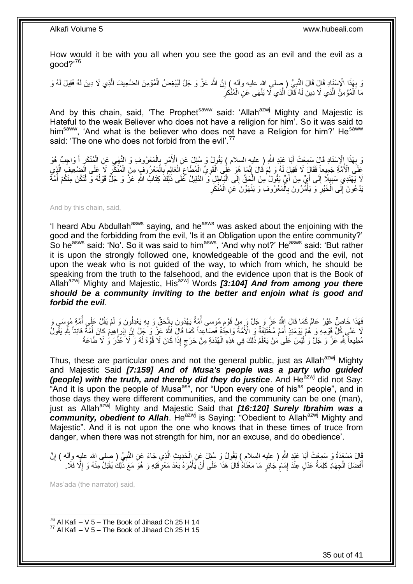How would it be with you all when you see the good as an evil and the evil as a good?'<sup>76</sup>

ُّ بِهَذَا الْإِسْنَادِ قَالَ قَالَ النَّبِيُّ ( صلى الله عليه وأله ) إِنَّ اللَّهَ عَنَّ وَ جَلَّ لَمِيْغِضُ الْمُؤْمِنَ الضَّعِيفَ الَّذِي لَا دِينَ لَمُه فَقِيلَ لَهُ وَ<br>وَيَنْهُوْهِ الْمُسْئَلِدِ قَالَ قَالَ النَّبِيُ ْ ِ ِ ِ لَ ِ مَا اَلْمُؤْمِنُ الَّذِي لَا دِينَ لَهُ قَالَ الَّذِي لَا يَنْهَى عَنِ الْمُنْكَرِ ْ َّ َّ ْ

And by this chain, said, 'The Prophet<sup>saww</sup> said: 'Allah<sup>azwj</sup> Mighty and Majestic is Hateful to the weak Believer who does not have a religion for him'. So it was said to him<sup>saww</sup>, 'And what is the believer who does not have a Religion for him?' He<sup>saww</sup> said: 'The one who does not forbid from the evil'.<sup>77</sup>

وَ بِهَذَا إِلْإِسْنَادِ قَالَ سَمِعْتُ أَبَا عَبْدِ اللَّهِ ( عليهِ السلام ) يَقُولُ وَ سُئِلَ عَنِ الْأَمْرِ بِالْمَعْرُوفِ وَ النَّهْيِ عَنِ الْمُنْكَرِ أَ وَاجِبٌ هُوَ َ ِ َ ِ ْ ِ ْ ֧֦֧֦֧֦֧֦֧֦֧֦֧֦֧ׅ֢ׅ֦֧֜֜ ِ عَلَى الْأُمَّةِ جَمِيعاً فَقَالَ لَا فَقِيلَ لَهُ وَ لِمَ قُالَ إِنَّمَا هُوَ عَلَى الْفَوِيِّ الْمُطَاعِ الْعَالِمِ بِالْمَعْرُوفِ مِنَّ الْمُنْكَّرِ ۖ لَا عَلَى الْصَعِيفِ الَّذِي ْ ِ ِ ْ ِ ْ ِ ْ ِ َّ ِ ْ لَا يَهْتَدِي سَبِيِلًا إِلَى أَبِيٍّ مِنْ أَيٍّ يَقُولُ مِنَ الْكِقِّ إِلَى الْبَاطِلِ وَ الدَّلِيلُ كَلَى ذَلِكَ كِتَابُ اللَّهِ عَزَّ وَ جَلَّ قَوْلُهُ وَ لَّتَكُنْ مِنْكُمْ أُمَّةٌ ْ ِ ْ َ ِ ِ ْ ُ **ٍ** بَدْعُونَ إِلَى اَلْخَيْرِ وَ يَأْمُرُونَ بِالْمَعْرُوفِ وَ يَنْهَوْنَ عَنِ الْمُنْكَرِ ْ ْ ِ ا<br>ا ِ ْ ِ

And by this chain, said,

'I heard Abu Abdullah<sup>asws</sup> saying, and he<sup>asws</sup> was asked about the enjoining with the good and the forbidding from the evil, 'Is it an Obligation upon the entire community?' So he<sup>asws</sup> said: 'No'. So it was said to him<sup>asws</sup>, 'And why not?' He<sup>asws</sup> said: 'But rather it is upon the strongly followed one, knowledgeable of the good and the evil, not upon the weak who is not guided of the way, to which from which, he should be speaking from the truth to the falsehood, and the evidence upon that is the Book of Allah<sup>azwj</sup> Mighty and Majestic, His<sup>azwj</sup> Words [3:104] And from among you there *should be a community inviting to the better and enjoin what is good and forbid the evil*.

َفَهَذَا خَاصِّ غَيْرُ عَامٍّ كَمَا قَالَ إِلَّهُ عَنَّ وَ جَلَّ وَ مِنْ قَوْمِ مُوسى أُمَّةٌ يَهْدُونَ بِالْحَقِّ وَ بِهِ يَعْدِلُونَ وَ لَمْ يَقُلْ عَلَى أُمَّةِ مُوسَى وَ ُ ِ ْ ِ ان<br>المستقبل ِ لَا عَلَى كُلِّ قَوْمِهِ وَ ٰهُمْ يَوْمَئِذٍ أُمَمٌ مُخْتَلِفَةٌ وَ الْأُمَّةُ وَاحِدُةٌ فَصَاعِداً كَمَا قَالَ اللَّهُ عَنَّ وَ خَلَّ إِنَّ إِبْراهِيمَ كانَ اُمَّةً قانِتًا لِلَّهِ يَقُولُ ان<br>المالي ِ ِ ُ مُطِيعاً لِلَّهِ عَزَّ وَ جَلَّ وَ لَيْسَ عَلَى مَنْ يَعْلَمُ ذَلِكَ فِي هَذِهِ الْهُدْنَةِ مِنْ حَرَجٍ إِذَا كَانَ لَا قُوَّةَ لَهُ وَ لَا عُذْرَ وَ لَا طَاعَةَ ٍ ْ **ٔ** 

Thus, these are particular ones and not the general public, just as Allah<sup>azwj</sup> Mighty and Majestic Said *[7:159] And of Musa's people was a party who guided (people) with the truth, and thereby did they do justice*. And He<sup>azwj</sup> did not Say: "And it is upon the people of Musa<sup>as"</sup>, nor "Upon every one of his<sup>as</sup> people", and in those days they were different communities, and the community can be one (man), just as Allah<sup>azwj</sup> Mighty and Majestic Said that *[16:120] Surely Ibrahim was a* community, obedient to Allah. He<sup>azwj</sup> is Saying: "Obedient to Allah<sup>azwj</sup> Mighty and Majestic". And it is not upon the one who knows that in these times of truce from danger, when there was not strength for him, nor an excuse, and do obedience'.

َّ قَالَ مَسْعَدَةُ وَ سَمِعْتُ أَبَا عَيْدِ اللَّهِ ( عليه السلامِ ) يَقُولُ وَ سُئِلَ عَنِ الْحَدِيثِ الَّذِي جَاءَ عَنِ النَّبِيِّ ( صلى الله عليه وِأله ) إِنَّ ْ ِ ِ أَفْضَلَ الْجِهَادِ كَلِمَةُ عَذْلٍ عِنْدَ إِمَامٍ جَائِرٍ مَا مَعْنَاهُ قَالَ هَذَا عَلَى أَنْ يَأْمُرَهُ بَعْدَ مَعْرِفَتِهِ وَ هُوَ مَعَ ذُلِكَ يُقْبَلُ مِنْهُ وَ إِلَّا فَلَا ِ ْ َ ٍ ِ ْ َ ِ

Mas'ada (the narrator) said,

 $^{76}$  Al Kafi – V 5 – The Book of Jihaad Ch 25 H 14  $^{77}$  Al Kafi – V 5 – The Book of Jihaad Ch 25 H 15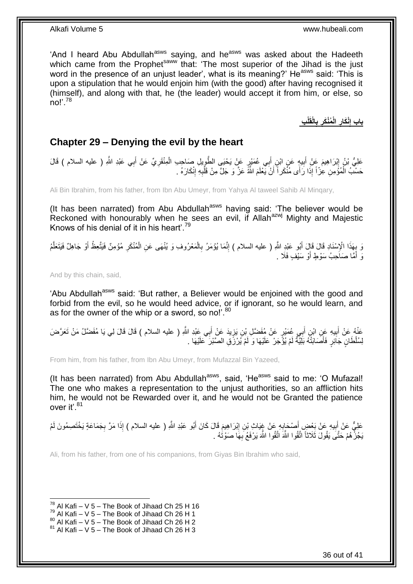'And I heard Abu Abdullah<sup>asws</sup> saying, and he<sup>asws</sup> was asked about the Hadeeth which came from the Prophet<sup>saww</sup> that: 'The most superior of the Jihad is the just word in the presence of an unjust leader', what is its meaning?' He<sup>asws</sup> said: 'This is upon a stipulation that he would enjoin him (with the good) after having recognised it (himself), and along with that, he (the leader) would accept it from him, or else, so no!'.<sup>78</sup>

> **ِب لْ الْقَ ب ُمْنَكر الْ ْنَكار باب إ ِ ِ ِ ِ**

## <span id="page-35-0"></span>**Chapter 29 – Denying the evil by the heart**

عَلِيُّ بْنُ إِبْرَاهِيمَ عَنْ أَبِيهٍ عَنِ ابْنِ أَبِي عُمَيْرٍ عَنْ يَحْيَى الطَّوِيلِ صَاحِبِ الْمِنْقَرِيِّ عَنْ أَبِي عَبْدِ اللَّهِ ( عليه السلام ) قَالَ َ ِ ْ ِ َ ِ َ ׀<br>ׇׇ֧֝֓֝֝֝֝֝֝֝ حَسْبُ الْمُؤْمِنِ عِزْاً إِذَا رَأَى مُنْكَراً أَنْ يَعْلَمَ اللَّهُ عَزَّ وَ جَلَّ مِنْ قَلْبِهِ إِنْكَارَهُ . ْ ِ **∶** ْ

Ali Bin Ibrahim, from his father, from Ibn Abu Umeyr, from Yahya Al taweel Sahib Al Minqary,

(It has been narrated) from Abu Abdullah<sup>asws</sup> having said: 'The believer would be Reckoned with honourably when he sees an evil, if Allah<sup>azwj</sup> Mighty and Majestic Knows of his denial of it in his heart'.<sup>79</sup>

ْ وَ بِهَذَا الْإِسْنَادِ قَالَ قَالَ أَبُو عَنْدِ اللَّهِ ( عليه السلام ) إِنَّمَا يُؤْمَرُ بِالْمَعْرُوفِ وَ يُنْهَى عَنِ الْمُنْكَرِ مُؤْمِنٌ فَيَتَّعِظُمُ أَوْ جَاهِلٌ فَيَتَعَلَّمُ ْ ِ ِ َ **∶** َّ َ ِ وَ أُمَّا صَاَحِبُ سَوْطٍ أَوْ سَيْفٍ فَلَا ۚ. َ َ

And by this chain, said,

'Abu Abdullah<sup>asws</sup> said: 'But rather, a Believer would be enjoined with the good and forbid from the evil, so he would heed advice, or if ignorant, so he would learn, and as for the owner of the whip or a sword, so no!'.<sup>80</sup>

عَذْهُ عَنْ أَبِيهِ عَنِ ابْنِ أَبِي عُمَيْرٍ عَنْ مُفَضَّلِ بْنِ يَزِيدَ عَنْ أَبِي عَيْدِ اللَّهِ ( عليه السلام ) قَالَ قَالَ لِي يَا مُفَضَّلُ مَنْ تَعَرَّضَ<br>... َ ِ َ **!** َ لِسُلْطَانٍ جَاَئِرٍ فَأَصَابَتْهُ بَلِّيَّةٌ لَمْ يُؤْجَرْ عَلَيْهَا وَ لَمْ يُرْزَقِ الصَّبْرَ<sup>ّ</sup> عَلَيْهَا . لَ َ

From him, from his father, from Ibn Abu Umeyr, from Mufazzal Bin Yazeed,

(It has been narrated) from Abu Abdullah<sup>asws</sup>, said, 'He<sup>asws</sup> said to me: 'O Mufazal! The one who makes a representation to the unjust authorities, so an affliction hits him, he would not be Rewarded over it, and he would not be Granted the patience over it'.<sup>81</sup>

عَلِيٌّ عَنْ أَبِيهِ عَنْ بَعْضٍ أَصْحَابِهِ عَنْ غِيَاثٍ بْنِ إِبْرَاهِيمَ قَالَ كَانَ أَبُو عَبْدِ اللَّهِ ( عليه السلام ) إِذَا مَرَّ بِجَمَاعَةٍ يَخْتَصِمُونَ لَمْ ِ **∶** َ **!** ِ يَجُزْ هُمْ حَتَّى يَقُولَ ثَلَاثاً اتَّقُوا اللَّهَ اتَّقُوا اللَّهَ يَرْفَعُ بِهَا صَوْتُهُ . **∶** 

Ali, from his father, from one of his companions, from Giyas Bin Ibrahim who said,

 $^{78}$  Al Kafi – V 5 – The Book of Jihaad Ch 25 H 16

 $^{79}$  Al Kafi – V 5 – The Book of Jihaad Ch 26 H 1

 $80$  Al Kafi – V 5 – The Book of Jihaad Ch 26 H 2

 $81$  Al Kafi – V 5 – The Book of Jihaad Ch 26 H 3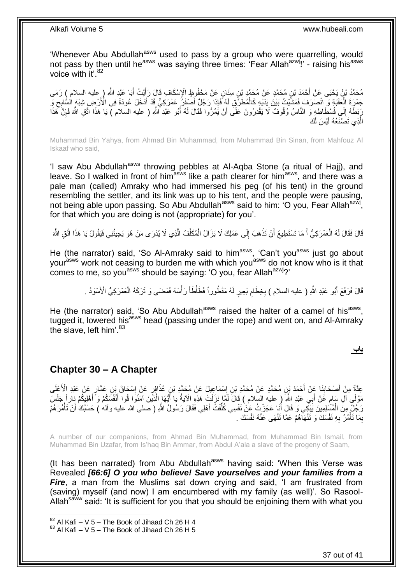'Whenever Abu Abdullah<sup>asws</sup> used to pass by a group who were quarrelling, would not pass by then until he<sup>asws</sup> was saying three times: 'Fear Allah<sup>azwj</sup>!' - raising his<sup>asws</sup> voice with it'.<sup>82</sup>

مُحَمَّدُ بْنُ يَحْيَى عَنْ أَحْمَدَ بْنِ مُحَمَّدٍ عَنْ مُحَمَّدٍ بْنِ سِنَانٍ عَنْ مَحْفُوظٍ الْإِسْكَافِ قَالَ رَأَيْتُ أَبَا عَبْدِ اللَّهِ ( عليه السلام ) رَمَى<br>مدد كوف العالم ( عليه السالم ) لا يقول السابق السابق ال َ َ جَمْرِةَ الْعَقَبَةِ وَ انْصَرَفَ فَمَشْئِتُ بَيْنَ يَدَيْهِ كَالْمُطَرِّقِ لَهُ فَإِذَا رَجُلٌ أَصْفَرُ عَمْرَكِيٌّ قَدْ أَذْخَلَ عُودَةً فِي الْأَرْضِ شِبْهَ السُّابِحِ وَ َ َ ْ ْ ِ رَبَطَهُ إِلَى فُسْطَاطِهِ وَ النَّاسُ وُقُوفٌ لَا يَقْدِرُونَ عَلَى أَنْ يَمُرُّوا فَقَالَ لَهُ أَبُو عَبْدِ اللَّهِ ( عليه السلام ) يَا هَذَا اتَّقِ اللَّهَ فَإِنَّ كَمَذَا ِ َ َ ِ الَّذِي تَصَنَعُهُ لَيْسَ لَكَ َّ

Muhammad Bin Yahya, from Ahmad Bin Muhammad, from Muhammad Bin Sinan, from Mahfouz Al Iskaaf who said,

'I saw Abu Abdullah<sup>asws</sup> throwing pebbles at Al-Aqba Stone (a ritual of Hajj), and leave. So I walked in front of him  $a$ sws like a path clearer for him  $a$ sws, and there was a pale man (called) Amraky who had immersed his peg (of his tent) in the ground resembling the settler, and its link was up to his tent, and the people were pausing, not being able upon passing. So Abu Abdullah<sup>asws</sup> said to him: 'O you, Fear Allah<sup>azwj</sup>, for that which you are doing is not (appropriate) for you'.

قَالَ فَقَالَ لَهُ الْعَمْرَكِيُّ أَ مَا تَسْتَطِيعُ أَنْ تَذْهَبَ إِلَى عَمَلِكَ لَا يَزَالُ الْمُكَلِّفُ الَّذِي لَا يُدْرَى مَنْ هُوَ يَجِيئُنِي فَيَقُولُ يَا هَذَا اتَّقِ اللَّهَ َّ ِّ ْ  $\frac{1}{2}$ **ٔ** اً َ ْ

He (the narrator) said, 'So Al-Amraky said to him<sup>asws</sup>, 'Can't you<sup>asws</sup> just go about your<sup>asws</sup> work not ceasing to burden me with which you<sup>asws</sup> do not know who is it that comes to me, so you<sup>asws</sup> should be saying: 'O you, fear Allah<sup>azwj</sup>?'

> **المتحدة** قَالَ فَرَفَعَ أَبُو عَبْدِ اللَّهِ ( عليه السلام ) بِخِطَامِ بَعِيرٍ لَهُ مَقْطُوراً فَطَأْطَأَ رَأْسَهُ فَمَضَى وَ تَرَكَهُ الْعَمْرَكِيُّ الْأَسْوَدُ . َ ْ ِ ِ َ ْ

He (the narrator) said, 'So Abu Abdullah<sup>asws</sup> raised the halter of a camel of his<sup>asws</sup>, tugged it, lowered his<sup>asws</sup> head (passing under the rope) and went on, and Al-Amraky the slave, left him'. $83$ 

**باب**

### <span id="page-36-0"></span>**Chapter 30 – A Chapter**

ِ عِدَّةٌ مِنْ أَصْحَابِنَا عَنْ أَحْمَدَ بْنِ مُحَمَّدٍ عَنْ مُحَمَّدِ بْنِ إِسْمَاعِيلَ عَنْ مُحَمَّدٍ بِنِ عَ<br>حِدَّةٌ مِنْ أَصْحَابِنَا عَنْ أَحْمَدَ بْنِ مُحَمَّدٍ عَنْ مُحَمَّدِ بْنِ إِسْمَاعِيلَ عَنْ مُحَمَّدٍ بِنَ عُ ِ َ **∣** َ مَوْلَى آلِ سَامٍ عَنْ أَبِي عَبْدِ اللَّهِ ( ِ عليه السلام ) قَالَ لَمَّا نَزَلَتْ هَذِهِ الْآيَةُ يا أَيُّهَا الَّذِيَنَ آمَنُوا قُوا أَنْفُسَكُمْ وَ أَهْلِيكُمْ نِاراً جَلَسَ َ ٍ َ َ َّ َ لَ رَجُلٌّ مِنَ الْمُسَّلِمِينَ يَبْكِي وَ قَالَ أَنَا عَجَزْتُ عَنْ نَفْسِي كُلِّفْتُ أَهْلِي فَقَالَ رَسُولُ اللَّهِ ( صلى الله عليه وآلم ) حَسْبُكَ أَنْ تَأْمُرَهُمْ َ ِّ َ ْ ْ بِمَا تَأْمُرُ بِهِ نَفْسَكَ وَ تَنْهَاْهُمْ عَمَّا تَنْهَى عَنْهُ نَفْسَكَ . **∶ ٔ** ِ

A number of our companions, from Ahmad Bin Muhammad, from Muhammad Bin Ismail, from Muhammad Bin Uzafar, from Is'haq Bin Ammar, from Abdul A'ala a slave of the progeny of Saam,

(It has been narrated) from Abu Abdullah $a<sup>asws</sup>$  having said: 'When this Verse was Revealed *[66:6] O you who believe! Save yourselves and your families from a Fire*, a man from the Muslims sat down crying and said, I am frustrated from (saving) myself (and now) I am encumbered with my family (as well)'. So Rasool-Allah<sup>saww</sup> said: 'It is sufficient for you that you should be enjoining them with what you

 $82$  Al Kafi – V 5 – The Book of Jihaad Ch 26 H 4

 $83$  Al Kafi – V 5 – The Book of Jihaad Ch 26 H 5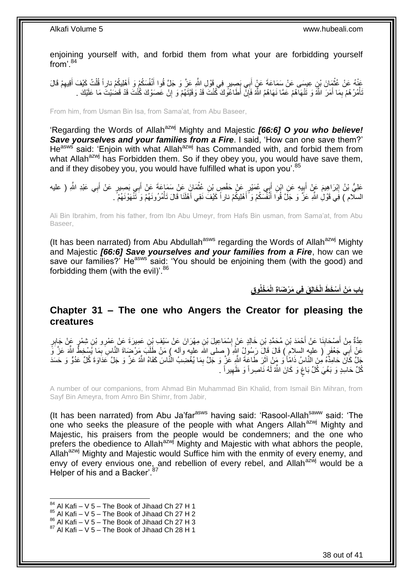enjoining yourself with, and forbid them from what your are forbidding yourself from'.<sup>84</sup>

عَذْهُ عَنْ عُثْمَانَ بْنِ عِيسَى عَنْ سَمَاعَةَ عَنْ أَبِي بَصِيرٍ فِي قَوْلِ اللَّهِ عَزَّ وَ جَلَّ قُوا أَنْفُسَكُمْ وَ أَهْلِيكُمْ ذارِاً قُلْتُ كَيْفَ أَقِيهِمْ قَالَ<br>فَيْنَ يَقْوَلُونَ بَيْنٍ عِيسَى عَنْ سَمَاعَةَ ع َ َ َ ِ َ ْ تَأْمُرُ هُمْ بِمَا أَمَرَ اللَّهُ وَ تَنْهَاهُمْ عَمَّا نَهَاهُمُ اللَّهُ فَإِنَّ أَطَاعُونَكَ كُنْتَ فَدْ وَقَيْتَهُمْ وَ إِنْ عَصَوْكَ كُنْتَ قَدْ قَضْيَيْتَ مَا عَلَيْكَ . ِ َ ِ **ٔ** ِ

From him, from Usman Bin Isa, from Sama'at, from Abu Baseer,

'Regarding the Words of Allah<sup>azwj</sup> Mighty and Majestic *[66:6] O you who believe! Save yourselves and your families from a Fire*. I said, 'How can one save them?' He<sup>asws</sup> said: 'Enjoin with what Allah<sup>azwj</sup> has Commanded with, and forbid them from what Allah<sup>azwj</sup> has Forbidden them. So if they obey you, you would have save them, and if they disobey you, you would have fulfilled what is upon you'.<sup>85</sup>

عَلِيُّ بْنُ إِبْرَاهِيمَ عَنْ أَبِيهِ عَنِ ابْنِ أَبِي عُمَيْرٍ عَنْ حَفْصٍ بْنِ عُثْمَانَ عَنْ سَمَاعَةَ عَنْ أَبِي بَصِيرٍ عَنْ أَبِي عَبْدِ اللَّهِ ( عليه َ ْ َ ِ َ <u>֖֚֚֚֓</u> َ السلّام ) فَِي قَوْلِٰ اللَّهِ عَزَّ وَ جَلَّ قُواَ أَنْفُسَكُمْ وَ أَهْلِيكُمْ نار أَ كَيْفَ نَقِي أَهْلَنَا قَالَ تَأْمُرُونَـهُمْ وَ تَنَّهَوْنَـهُمْ ً. َ َ ْ َ

Ali Bin Ibrahim, from his father, from Ibn Abu Umeyr, from Hafs Bin usman, from Sama'at, from Abu Baseer,

(It has been narrated) from Abu Abdullah<sup>asws</sup> regarding the Words of Allah<sup>azwj</sup> Mighty and Majestic *[66:6] Save yourselves and your families from a Fire*, how can we save our families?' He<sup>asws</sup> said: 'You should be enjoining them (with the good) and forbidding them (with the evil)'. $86$ 

> **َم ْخلُو ْس َخ َط الْ َخالِ َق فِي َم ْر َضا ِة الْ ِق باب َم ْن أ َ**

### <span id="page-37-0"></span>**Chapter 31 – The one who Angers the Creator for pleasing the creatures**

عِدَّةٌ مِنْ أَصْحَابِذَا عَنْ أَحْمَدَ بْنِ هُحَمَّدِ بْنِ خَالِدٍ عَنْ إِسْمَاعِيلَ بْنِ مِهْرَانَ عَنْ سَيْفِ بْنِ عَمِيرَةَ عَنْ عَمْرِو بْنِ شِمْرٍ عَنْ جَابِرٍ<br>حَدَّةٌ عَلَى عَمْرِو بْنِ شِمْرٍ عَنْ أَحْمَدَ بْنِ مُ ِ َ ِ َ عَنْ أَبِي جَعْفَرٍ َ( عليه السلام ِّ) قَالَ قَالَ رَسُولُ اللَّهِ ۚ ( صلى اللَّه عليه وآله ) مَنْ طَلَبَ مَرْضَاةَ النَّاسِ بِمَا يُسْخِطُ اللَّهَ عَزَّ وَّ ِ جَلَّ كَانَّ حَامِدَهُ مِنَ النَّاسُ ذَامِّأْ وَ مَنْ آثَرَ طَاعَةَ اللَّهِ عَٰزَّ وَ جَلَّ بِمَا يُغْضِبُ النَّاسَ كَفَاهُ اللَّهُ عَزَّ وَ جَلَّ عَدَاوَة كُلِّ عَدُوٍّ وَ حَسَدَ ِ ة<br>أ كُلِّ حَاسِدٍ وَ بَغْيَ كُلِّ بَاغٍ وَ كَانَ اللَّهُ لَهُ نَاصِراً وَ ظَهِيراً . ِ ٍ

A number of our companions, from Ahmad Bin Muhammad Bin Khalid, from Ismail Bin Mihran, from Sayf Bin Ameyra, from Amro Bin Shimr, from Jabir,

(It has been narrated) from Abu Ja'far<sup>asws</sup> having said: 'Rasool-Allah<sup>saww</sup> said: 'The one who seeks the pleasure of the people with what Angers Allah<sup>azwj</sup> Mighty and Majestic, his praisers from the people would be condemners; and the one who prefers the obedience to Allah<sup>azwj</sup> Mighty and Majestic with what abhors the people, Allah $a^{2}$ <sup>wj</sup> Mighty and Majestic would Suffice him with the enmity of every enemy, and envy of every envious one, and rebellion of every rebel, and Allah<sup>azwj</sup> would be a Helper of his and a Backer'.<sup>87</sup>

- $85$  Al Kafi V 5 The Book of Jihaad Ch 27 H 2
- 86 Al Kafi V 5 The Book of Jihaad Ch 27 H 3

 $84$  Al Kafi – V 5 – The Book of Jihaad Ch 27 H 1

 $87$  Al Kafi – V 5 – The Book of Jihaad Ch 28 H 1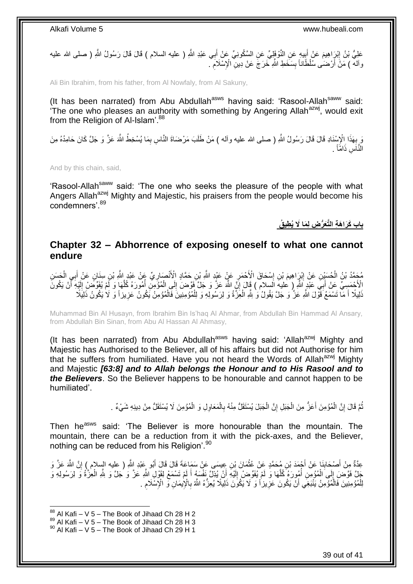عَلِيُّ بْنُ إِبْرَاهِيمَ عَنْ أَبِيهِ عَنِ النَّوْفَإِلِيِّ عَنِ السَّكُونِيِّ عَنْ أَبِي عَبْدِ اللَّهِ ( عليه السلام ) قَالَ قَالَ رَسُولُ اللَّهِ ( صلى الله عليه َ **∣** ِ وآلله ) مَنْ أَرْضَى سُلْطَّاناً بِسَخَطِ اللَّهِ خَرَجَ عَنْ دِينِ ۗ الْإِسْلَامِ ۗ ۚ **∣** َ

Ali Bin Ibrahim, from his father, from Al Nowfaly, from Al Sakuny,

(It has been narrated) from Abu Abdullah $^{asws}$  having said: 'Rasool-Allah $^{saww}$  said: The one who pleases an authority with something by Angering Allah<sup>azwj</sup>, would exit from the Religion of Al-Islam'.<sup>88</sup>

رَ بِهَذَا الْإِسْنَادِ قَالَ قَالَ رَسُولُ اللَّهِ ( صلى الله عليه وألـه ) مَنْ طَلَبَ مَرْضَاةَ النَّاسِ بِمَا يُسْخِطُ اللَّهَ عَنَّ وَ جَلَّ كَانَ حَامِدُهُ مِنَ<br>يَعْ يَبْضَلُ مِن الْمَرْضَلِ ِ **∶** النَّاَسِ ذَامَّاً <sub>.</sub>

And by this chain, said,

'Rasool-Allah<sup>saww</sup> said: 'The one who seeks the pleasure of the people with what Angers Allah<sup>azwj</sup> Mighty and Majestic, his praisers from the people would become his condemners'.<sup>89</sup>

**َكَرا َه ِة الَّتَعُّر ِض لِ َما ََل باب ُي ِطي ُق**

### <span id="page-38-0"></span>**Chapter 32 – Abhorrence of exposing oneself to what one cannot endure**

مُحَمَّدُ بْنُ الْحُسَيِّنِ عَنْ إِبْرَاهِيمَ بْنِ إِسْحَاقَ الْأَحْمَرِ عَنْ عَيْدِ اللَّهِ بْنِ حَمَّادٍ الْأَنْصَارِيِّ عَنْ عَبْدِ اللَّهِ بْنِ سِنَانٍ عَنْ أَبِي الْحَسَنِ **ٍ** ِ ِ ِ ْ ْ َ لَا حُمَسٍيِّ عَنْ أَبِيِّ عَلْدٍ اللَّهِ ( عليهِ السلام ) قَالَ إِنِّي اللَّهَ عَنَّ وَ جَلَّ فَوَّضَ إِلَي الْمُؤْمِنِ أُمُورَهُ كُلَّهَا وَ لَمْ يُفَوِّضْ إِلَيْهِ أَنْ يَكُونَ َ َ لَ ِ َّ ا<br>ا ْ ِ ِ َنِيلًا أَ مَا تَسْمَعُ فَّوْلَ اللَّهِ عَزَّ وَ جَلَّ يَقُولُ وَٰ لِلَّهِ الْعِزَّةُ وَ لِرَسُولِهِ وَ لِلْمُؤْمِنِينَ فَالْمُؤْمِنُ يَكُونُ عَزِيزاً وَ لَا يَكُونُ ذَلِيَلًا ْ ْ ْ َ :<br>نا **∶** 

Muhammad Bin Al Husayn, from Ibrahim Bin Is'haq Al Ahmar, from Abdullah Bin Hammad Al Ansary, from Abdullah Bin Sinan, from Abu Al Hassan Al Ahmasy,

(It has been narrated) from Abu Abdullah<sup>asws</sup> having said: 'Allah<sup>azwj</sup> Mighty and Majestic has Authorised to the Believer, all of his affairs but did not Authorise for him that he suffers from humiliated. Have you not heard the Words of Allah $a^{2}$ wj Mighty and Majestic *[63:8] and to Allah belongs the Honour and to His Rasool and to the Believers*. So the Believer happens to be honourable and cannot happen to be humiliated'.

> نْمَّ قَالَ إِنَّ الْمُؤْمِنَ أَعَزُ مِنَ الْجَبَلِ إِنَّ الْجَبَلَ يُسْتَقَلُّ مِنْهُ بِالْمَعَاوِلِ وَ الْمُؤْمِنَ لَا يُسْتَقَلُّ مِنْ دِينِهِ شَيْءٌ . ْ ْ ِ ْ ِ ْ َ ْ יֲ<br>י ُ

Then he<sup>asws</sup> said: 'The Believer is more honourable than the mountain. The mountain, there can be a reduction from it with the pick-axes, and the Believer, nothing can be reduced from his Religion'.<sup>90</sup>

عِدَّةٌ مِنْ أَصْحَابِنَا عَنْ أَجْمَدَ بْنِ مُحَمَّدٍ عَنْ عُثْمَانَ بْنِ عِيسَى عَنْ سَمَاعَةَ قَالَ قَالَ أَبُو عَبْدِ اللَّهِ ( عليه السلام ) إِنَّ اللَّهَ عَزَّ وَ<br>-َ ِ َ ِ َ **ٔ** جَلَّ فَوَّضَ إِلَى الْمُؤْمِنِ أُمُورَهُ كُلَّهَا وَ لَمْ يُفَوِّضْ إِلَيْهِ أَنْ يُذِلَّ نَفْسَهُ أَمْ تَسْمَعْ لِقَوْلِ اللَّهِ عَزَّ وَ يُجَلَّ وَ لِلَّهِ الْعِزَّةُ وَ لِرَسُولِهِ وَ لَ َ اُ لَ  $\frac{1}{2}$ َّ ُ ْ ِ ْ لِلْمُؤْمِنِينَ فَالْمُؤْمِنُ يَنْبَغِي أَنْ يَكُونَ عَزِيزاً وَ لَا يَكُونَ ذَلِيلًا يُعِزُّهُ اللَّهُ بِالْإِيمَانِ فَى الْإِسْلَامِ . ِ ِ ا<br>ا ْ ِ

 $88$  Al Kafi – V 5 – The Book of Jihaad Ch 28 H 2

 $89$  Al Kafi – V 5 – The Book of Jihaad Ch 28 H 3

 $90$  Al Kafi – V 5 – The Book of Jihaad Ch 29 H 1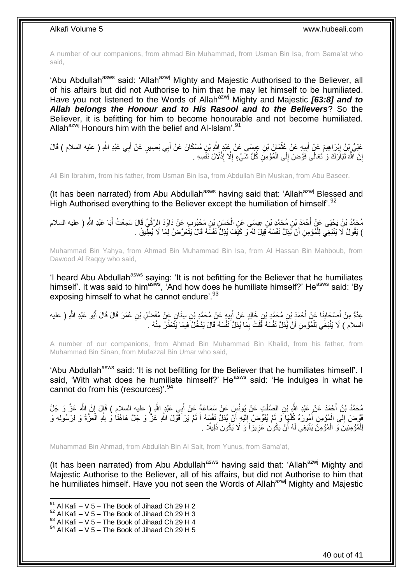A number of our companions, from ahmad Bin Muhammad, from Usman Bin Isa, from Sama'at who said,

'Abu Abdullah<sup>asws</sup> said: 'Allah<sup>azwj</sup> Mighty and Majestic Authorised to the Believer, all of his affairs but did not Authorise to him that he may let himself to be humiliated. Have you not listened to the Words of Allah<sup>azwj</sup> Mighty and Majestic [63:8] and to *Allah belongs the Honour and to His Rasool and to the Believers*? So the Believer, it is befitting for him to become honourable and not become humiliated. Allah<sup>azwj</sup> Honours him with the belief and Al-Islam<sup>'.91</sup>

عَلِيُّ بِنُ إِبْرَاهِيمَ عَنْ أَبِيهِ عَنْ عُثْمَانَ بْنِ عِيسَى عَنْ عَبْدٍ اللَّهِ بْنٍ مُسْكَانَ عَنْ أَبِي بَصِبيرٍ عَنْ أَبِي عَبْدِ اللَّهِ ( عليه السلام ) قَالَ ِ َ َ ْ ِ إِنَّ اللَّهَ تَبَارَكَ وَ تَعَالَى فَوَّضَ إِلَى الْمُؤْمِنِ كُلَّ شَيْءٍ إِلَّا إِذْلَالَ نَفْسِهِ . ْ ∣∣<br>∶ <u>֖֚֚֚֚֚֚֚֓</u> **ٔ** ِ

Ali Bin Ibrahim, from his father, from Usman Bin Isa, from Abdullah Bin Muskan, from Abu Baseer,

(It has been narrated) from Abu Abdullah<sup>asws</sup> having said that: 'Allah<sup>azwj</sup> Blessed and High Authorised everything to the Believer except the humiliation of himself<sup>'. 92</sup>

مُحَمَّدُ بْنُ يَحْيَى عَنْ أَحْمَدَ بْنِ مُحَمَّدٍ بْنِ عِيسَى عَنِ الْحَسَنِ بْنِ مَحْبُوبِ عَنْ دَاوُدَ الرَّقِّيِّ قَالَ سَمِعْتُ أَبَا عَبْدِ اللَّهِ ( عليه السلام<br>-ْ َ ) يَقُولُ لَا يَنْبَغِي لِلْمُؤْمِنِ أَنْ يُذِلَّ نَفْسَهُ فَيْلَ لَهُ وَ كَيْفَ يُذِلُّ نَفْسَهُ قَالَ يَتَعَرَّضُ لِمَا لَا يُطِّيقُ . ْ

Muhammad Bin Yahya, from Ahmad Bin Muhammad Bin Isa, from Al Hassan Bin Mahboub, from Dawood Al Raqqy who said,

'I heard Abu Abdullah<sup>asws</sup> saying: 'It is not befitting for the Believer that he humiliates himself'. It was said to him<sup>asws</sup>, 'And how does he humiliate himself?' He<sup>asws</sup> said: 'By exposing himself to what he cannot endure'.<sup>93</sup>

عِدَّةٌ مِنْ أَصْحَابِنَا عَنْ أَحْمَدَ بْنِ مُحَمَّدِ بْنِ خَالِدٍ عَنْ أُبِيهِ عَنْ مُحَمَّدِ بْنِ سِنَانٍ عَنْ مُفَضَّلِ بْنِ عُمَرَ قَالَ قَالَ أَبُو عَبْدِ اللَّهِ ( عليه ِ َ َ ِ َ السلام ) لَا يَنْبَغِي لِلْمُؤْمِنِ أَنْ يُذِلَّ نَفْسَهُ قُلْتُ بِمَا يُذِلُّ نَفْسَهُ قَالَ يَدْخُلُ فِيمَا يَتَعَذَّرُ مِنْهُ . ِ ْ ْ

A number of our companions, from Ahmad Bin Muhammad Bin Khalid, from his father, from Muhammad Bin Sinan, from Mufazzal Bin Umar who said,

'Abu Abdullah<sup>asws</sup> said: 'It is not befitting for the Believer that he humiliates himself'. I said, 'With what does he humiliate himself?' He<sup>asws</sup> said: 'He indulges in what he cannot do from his (resources)'.<sup>94</sup>

يُّحَمَّدُ بْنُ أَحْمَدَ عَنْ عَبْدِ اللَّهِ بْنِ الصَّلْتِ عَنْ يُونُسٍ عَنْ سَمَاعَةَ عَنْ أَبِي عَبْدٍ اللَّهِ ( عليه السلام ) قَإِلَ إِنَّ اللَّهَ عَزَّ وَ جَلَّ َ ْ ِ فَوَّضَ إِلَى الْمُؤْمِنِ أُمُورَهُ كُلُّهَا وَ لَمْ يُفَوِّضْ إِلَيْهِ أَنْ يُذِلَّ نَفْسَهُ أَ لَمْ يَرَ فَوْلَ اللَّهِ عَزَّ وَ لَحَلَّ هَاهُنَا وَ لِلَّهِ الْعِزَّةُ وَ لِرَسُولِهِ و<br>فَاللَّهُ عَاهُنَا وَ لِلَّهِ الْع اُ لَ ِ َّ ُ ْ ∣∣<br>∶ ْ لَ َ لِلْمُؤْمِنِينَ وَ الْمُؤْمِنَۢ يَنْبَغِي لَهُ أَنْ يَكُونَ عَزِيزاً َوَ لَا يَكُونَ ذَلِيلًا . **∶** َ ْ ْ

Muhammad Bin Ahmad, from Abdullah Bin Al Salt, from Yunus, from Sama'at,

(It has been narrated) from Abu Abdullah<sup>asws</sup> having said that: 'Allah<sup>azwj</sup> Mighty and Majestic Authorise to the Believer, all of his affairs, but did not Authorise to him that he humiliates himself. Have you not seen the Words of Allah<sup>azwj</sup> Mighty and Majestic

1

 $^{93}$  Al Kafi – V 5 – The Book of Jihaad Ch 29 H 4

 $91$  Al Kafi – V 5 – The Book of Jihaad Ch 29 H 2

 $92$  Al Kafi – V 5 – The Book of Jihaad Ch 29 H 3

 $94$  Al Kafi – V 5 – The Book of Jihaad Ch 29 H 5